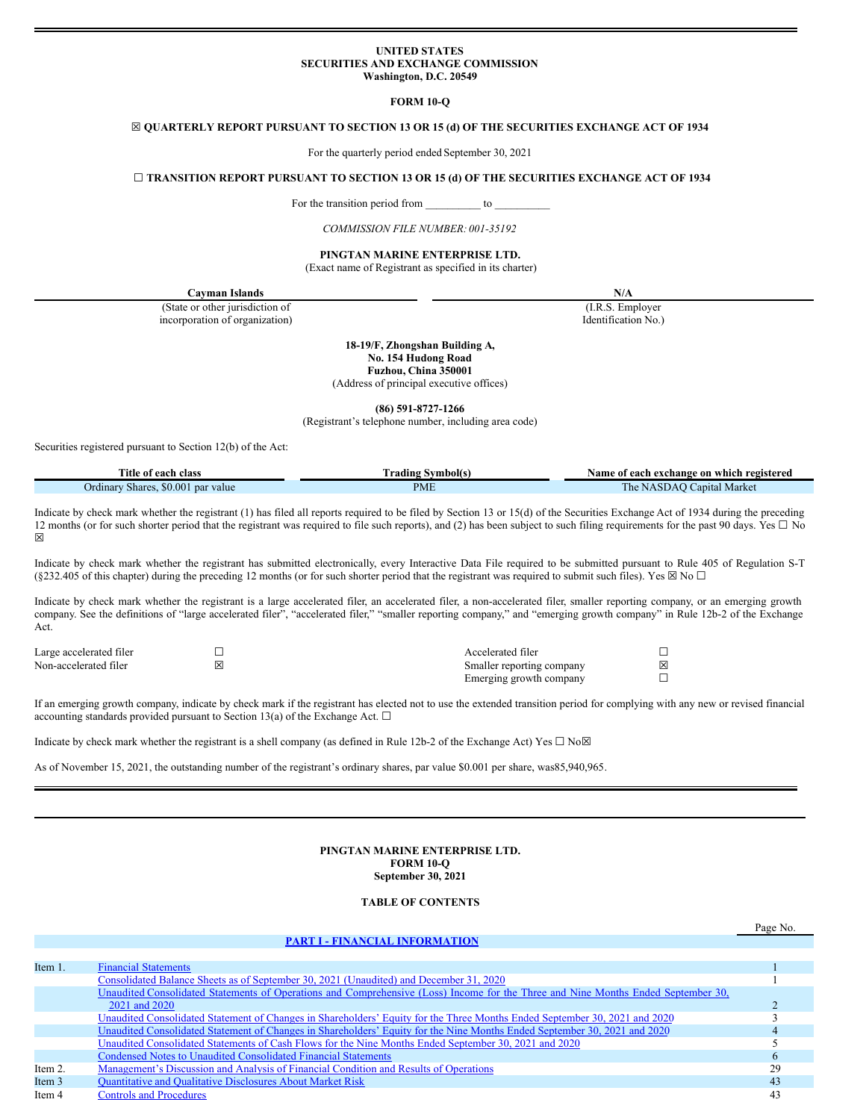#### **UNITED STATES SECURITIES AND EXCHANGE COMMISSION Washington, D.C. 20549**

**FORM 10-Q**

#### <span id="page-0-0"></span>**☒ QUARTERLY REPORT PURSUANT TO SECTION 13 OR 15 (d) OF THE SECURITIES EXCHANGE ACT OF 1934**

For the quarterly period ended September 30, 2021

#### **☐ TRANSITION REPORT PURSUANT TO SECTION 13 OR 15 (d) OF THE SECURITIES EXCHANGE ACT OF 1934**

For the transition period from \_\_\_\_\_\_\_\_\_\_\_ to \_

*COMMISSION FILE NUMBER: 001-35192*

**PINGTAN MARINE ENTERPRISE LTD.**

(Exact name of Registrant as specified in its charter)

**Cayman Islands N/A**

(State or other jurisdiction of (I.R.S. Employer incorporation of organization) Identification No.)

**18-19/F, Zhongshan Building A, No. 154 Hudong Road Fuzhou, China 350001** (Address of principal executive offices)

**(86) 591-8727-1266** (Registrant's telephone number, including area code)

Securities registered pursuant to Section 12(b) of the Act:

| <b>Title</b><br>class<br>` each-<br>⊹∩t        | Symbol(s<br>radıng | Name of<br>f each exchange on which f<br>registered |  |  |  |  |  |
|------------------------------------------------|--------------------|-----------------------------------------------------|--|--|--|--|--|
| \$0.001<br>share<br>Ordinary<br>. par<br>value | <b>PML</b>         | Market<br>l he<br>apıtal<br>N<br>ıÞ<br>N.A.         |  |  |  |  |  |

Indicate by check mark whether the registrant (1) has filed all reports required to be filed by Section 13 or 15(d) of the Securities Exchange Act of 1934 during the preceding 12 months (or for such shorter period that the registrant was required to file such reports), and (2) has been subject to such filing requirements for the past 90 days. Yes ☐ No ☒

Indicate by check mark whether the registrant has submitted electronically, every Interactive Data File required to be submitted pursuant to Rule 405 of Regulation S-T (§232.405 of this chapter) during the preceding 12 months (or for such shorter period that the registrant was required to submit such files). Yes  $\boxtimes$  No  $\Box$ 

Indicate by check mark whether the registrant is a large accelerated filer, an accelerated filer, a non-accelerated filer, smaller reporting company, or an emerging growth company. See the definitions of "large accelerated filer", "accelerated filer," "smaller reporting company," and "emerging growth company" in Rule 12b-2 of the Exchange Act.

| Large accelerated filer | Accelerated filer         |   |
|-------------------------|---------------------------|---|
| Non-accelerated filer   | Smaller reporting company | × |
|                         | Emerging growth company   |   |

If an emerging growth company, indicate by check mark if the registrant has elected not to use the extended transition period for complying with any new or revised financial accounting standards provided pursuant to Section 13(a) of the Exchange Act.  $\square$ 

Indicate by check mark whether the registrant is a shell company (as defined in Rule 12b-2 of the Exchange Act) Yes  $\Box$  No $\boxtimes$ 

As of November 15, 2021, the outstanding number of the registrant's ordinary shares, par value \$0.001 per share, was85,940,965.

### **PINGTAN MARINE ENTERPRISE LTD. FORM 10-Q September 30, 2021**

## **TABLE OF CONTENTS**

Page No.

| <b>PART I - FINANCIAL INFORMATION</b> |  |
|---------------------------------------|--|
|---------------------------------------|--|

| Item 1. | <b>Financial Statements</b>                                                                                                       |    |
|---------|-----------------------------------------------------------------------------------------------------------------------------------|----|
|         | Consolidated Balance Sheets as of September 30, 2021 (Unaudited) and December 31, 2020                                            |    |
|         | Unaudited Consolidated Statements of Operations and Comprehensive (Loss) Income for the Three and Nine Months Ended September 30, |    |
|         | 2021 and 2020                                                                                                                     |    |
|         | Unaudited Consolidated Statement of Changes in Shareholders' Equity for the Three Months Ended September 30, 2021 and 2020        |    |
|         | Unaudited Consolidated Statement of Changes in Shareholders' Equity for the Nine Months Ended September 30, 2021 and 2020         |    |
|         | Unaudited Consolidated Statements of Cash Flows for the Nine Months Ended September 30, 2021 and 2020                             |    |
|         | <b>Condensed Notes to Unaudited Consolidated Financial Statements</b>                                                             |    |
| Item 2. | Management's Discussion and Analysis of Financial Condition and Results of Operations                                             | 29 |
| Item 3  | <b>Quantitative and Qualitative Disclosures About Market Risk</b>                                                                 | 43 |
| Item 4  | <b>Controls and Procedures</b>                                                                                                    | 43 |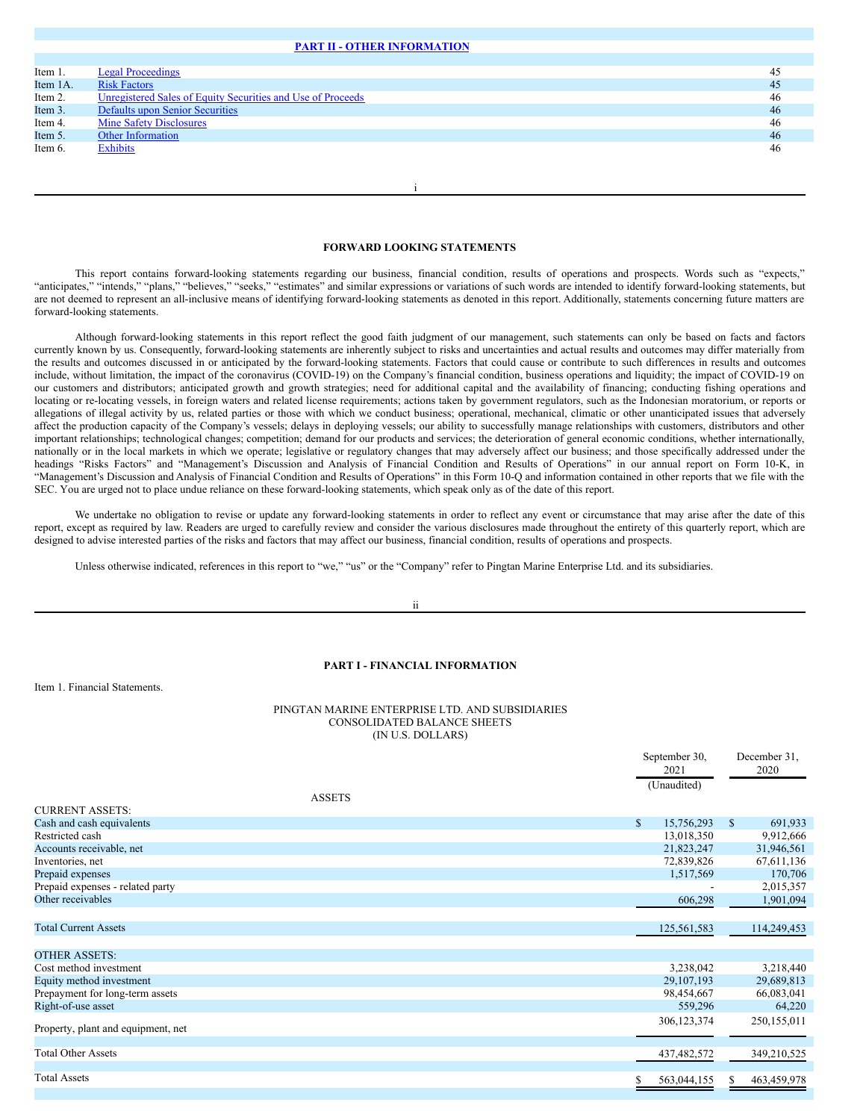# **PART II - OTHER [INFORMATION](#page-0-0)**

| Item 1.  | <b>Legal Proceedings</b>                                    | 45 |
|----------|-------------------------------------------------------------|----|
| Item 1A. | <b>Risk Factors</b>                                         | 45 |
| Item 2.  | Unregistered Sales of Equity Securities and Use of Proceeds | 46 |
| Item 3.  | <b>Defaults upon Senior Securities</b>                      | 46 |
| Item 4.  | <b>Mine Safety Disclosures</b>                              | 46 |
| Item 5.  | <b>Other Information</b>                                    | 46 |
| Item 6.  | <b>Exhibits</b>                                             | 46 |
|          |                                                             |    |
|          |                                                             |    |

i

## **FORWARD LOOKING STATEMENTS**

This report contains forward-looking statements regarding our business, financial condition, results of operations and prospects. Words such as "expects," "anticipates," "intends," "plans," "believes," "seeks," "estimates" and similar expressions or variations of such words are intended to identify forward-looking statements, but are not deemed to represent an all-inclusive means of identifying forward-looking statements as denoted in this report. Additionally, statements concerning future matters are forward-looking statements.

Although forward-looking statements in this report reflect the good faith judgment of our management, such statements can only be based on facts and factors currently known by us. Consequently, forward-looking statements are inherently subject to risks and uncertainties and actual results and outcomes may differ materially from the results and outcomes discussed in or anticipated by the forward-looking statements. Factors that could cause or contribute to such differences in results and outcomes include, without limitation, the impact of the coronavirus (COVID-19) on the Company's financial condition, business operations and liquidity; the impact of COVID-19 on our customers and distributors; anticipated growth and growth strategies; need for additional capital and the availability of financing; conducting fishing operations and locating or re-locating vessels, in foreign waters and related license requirements; actions taken by government regulators, such as the Indonesian moratorium, or reports or allegations of illegal activity by us, related parties or those with which we conduct business; operational, mechanical, climatic or other unanticipated issues that adversely affect the production capacity of the Company's vessels; delays in deploying vessels; our ability to successfully manage relationships with customers, distributors and other important relationships; technological changes; competition; demand for our products and services; the deterioration of general economic conditions, whether internationally, nationally or in the local markets in which we operate; legislative or regulatory changes that may adversely affect our business; and those specifically addressed under the headings "Risks Factors" and "Management's Discussion and Analysis of Financial Condition and Results of Operations" in our annual report on Form 10-K, in "Management's Discussion and Analysis of Financial Condition and Results of Operations" in this Form 10-Q and information contained in other reports that we file with the SEC. You are urged not to place undue reliance on these forward-looking statements, which speak only as of the date of this report.

We undertake no obligation to revise or update any forward-looking statements in order to reflect any event or circumstance that may arise after the date of this report, except as required by law. Readers are urged to carefully review and consider the various disclosures made throughout the entirety of this quarterly report, which are designed to advise interested parties of the risks and factors that may affect our business, financial condition, results of operations and prospects.

Unless otherwise indicated, references in this report to "we," "us" or the "Company" refer to Pingtan Marine Enterprise Ltd. and its subsidiaries.

ii

### **PART I - FINANCIAL INFORMATION**

Item 1. Financial Statements.

#### PINGTAN MARINE ENTERPRISE LTD. AND SUBSIDIARIES CONSOLIDATED BALANCE SHEETS (IN U.S. DOLLARS)

|                                    | September 30,<br>2021      | December 31,<br>2020    |
|------------------------------------|----------------------------|-------------------------|
| <b>ASSETS</b>                      | (Unaudited)                |                         |
| CURRENT ASSETS:                    |                            |                         |
| Cash and cash equivalents          | $\mathbb{S}$<br>15,756,293 | $\mathbb{S}$<br>691,933 |
| Restricted cash                    | 13,018,350                 | 9,912,666               |
| Accounts receivable, net           | 21,823,247                 | 31,946,561              |
| Inventories, net                   | 72,839,826                 | 67, 611, 136            |
| Prepaid expenses                   | 1,517,569                  | 170,706                 |
| Prepaid expenses - related party   |                            | 2,015,357               |
| Other receivables                  | 606,298                    | 1,901,094               |
|                                    |                            |                         |
| <b>Total Current Assets</b>        | 125,561,583                | 114,249,453             |
|                                    |                            |                         |
| <b>OTHER ASSETS:</b>               |                            |                         |
| Cost method investment             | 3,238,042                  | 3,218,440               |
| Equity method investment           | 29, 107, 193               | 29,689,813              |
| Prepayment for long-term assets    | 98,454,667                 | 66,083,041              |
| Right-of-use asset                 | 559,296                    | 64,220                  |
|                                    | 306, 123, 374              | 250,155,011             |
| Property, plant and equipment, net |                            |                         |
| <b>Total Other Assets</b>          |                            |                         |
|                                    | 437,482,572                | 349,210,525             |
| <b>Total Assets</b>                | 563,044,155<br>S.          | 463,459,978<br>S        |
|                                    |                            |                         |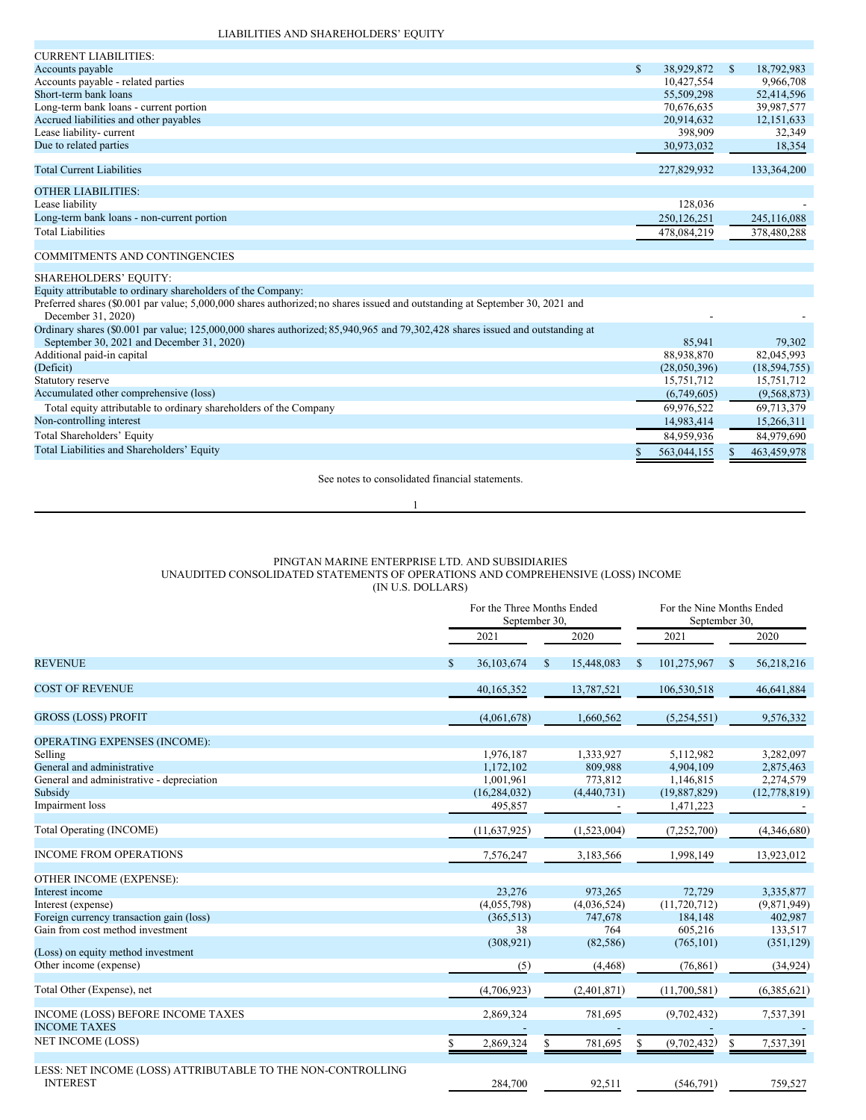| <b>CURRENT LIABILITIES:</b>                |                  |              |             |
|--------------------------------------------|------------------|--------------|-------------|
| Accounts payable                           | \$<br>38,929,872 | <sup>S</sup> | 18,792,983  |
| Accounts payable - related parties         | 10,427,554       |              | 9,966,708   |
| Short-term bank loans                      | 55,509,298       |              | 52,414,596  |
| Long-term bank loans - current portion     | 70,676,635       |              | 39,987,577  |
| Accrued liabilities and other payables     | 20,914,632       |              | 12,151,633  |
| Lease liability-current                    | 398,909          |              | 32,349      |
| Due to related parties                     | 30,973,032       |              | 18,354      |
|                                            |                  |              |             |
| <b>Total Current Liabilities</b>           | 227,829,932      |              | 133,364,200 |
|                                            |                  |              |             |
| OTHER LIABILITIES:                         |                  |              |             |
| Lease liability                            | 128,036          |              |             |
| Long-term bank loans - non-current portion | 250, 126, 251    |              | 245,116,088 |
| <b>Total Liabilities</b>                   | 478,084,219      |              | 378,480,288 |
|                                            |                  |              |             |
| <b>COMMITMENTS AND CONTINGENCIES</b>       |                  |              |             |
| <b>SHAREHOLDERS' EQUITY:</b>               |                  |              |             |

Equity attributable to ordinary shareholders of the Company:

Preferred shares (\$0.001 par value; 5,000,000 shares authorized; no shares issued and outstanding at September 30, 2021 and

| December 31, 2020)                                                                                                            |              |                |
|-------------------------------------------------------------------------------------------------------------------------------|--------------|----------------|
| Ordinary shares (\$0.001 par value; 125,000,000 shares authorized; 85,940,965 and 79,302,428 shares issued and outstanding at |              |                |
| September 30, 2021 and December 31, 2020)                                                                                     | 85.941       | 79.302         |
| Additional paid-in capital                                                                                                    | 88,938,870   | 82,045,993     |
| (Deficit)                                                                                                                     | (28,050,396) | (18, 594, 755) |
| Statutory reserve                                                                                                             | 15,751,712   | 15,751,712     |
| Accumulated other comprehensive (loss)                                                                                        | (6,749,605)  | (9,568,873)    |
| Total equity attributable to ordinary shareholders of the Company                                                             | 69.976.522   | 69,713,379     |
| Non-controlling interest                                                                                                      | 14,983,414   | 15,266,311     |
| Total Shareholders' Equity                                                                                                    | 84,959,936   | 84,979,690     |
| Total Liabilities and Shareholders' Equity                                                                                    | 563,044,155  | 463,459,978    |
|                                                                                                                               |              |                |

See notes to consolidated financial statements. 1

## PINGTAN MARINE ENTERPRISE LTD. AND SUBSIDIARIES UNAUDITED CONSOLIDATED STATEMENTS OF OPERATIONS AND COMPREHENSIVE (LOSS) INCOME (IN U.S. DOLLARS)

|                                                             | For the Three Months Ended<br>September 30. |                |              |             | For the Nine Months Ended<br>September 30. |                |              |                |
|-------------------------------------------------------------|---------------------------------------------|----------------|--------------|-------------|--------------------------------------------|----------------|--------------|----------------|
|                                                             |                                             | 2021           |              | 2020        |                                            | 2021           |              | 2020           |
| <b>REVENUE</b>                                              | \$                                          | 36,103,674     | $\mathbb{S}$ | 15,448,083  | <sup>\$</sup>                              | 101,275,967    | <sup>S</sup> | 56,218,216     |
| <b>COST OF REVENUE</b>                                      |                                             | 40,165,352     |              | 13,787,521  |                                            | 106,530,518    |              | 46,641,884     |
| <b>GROSS (LOSS) PROFIT</b>                                  |                                             | (4,061,678)    |              | 1,660,562   |                                            | (5,254,551)    |              | 9,576,332      |
| OPERATING EXPENSES (INCOME):                                |                                             |                |              |             |                                            |                |              |                |
| Selling                                                     |                                             | 1,976,187      |              | 1,333,927   |                                            | 5,112,982      |              | 3,282,097      |
| General and administrative                                  |                                             | 1,172,102      |              | 809.988     |                                            | 4,904,109      |              | 2,875,463      |
| General and administrative - depreciation                   |                                             | 1,001,961      |              | 773,812     |                                            | 1,146,815      |              | 2,274,579      |
| Subsidy                                                     |                                             | (16, 284, 032) |              | (4,440,731) |                                            | (19,887,829)   |              | (12, 778, 819) |
| Impairment loss                                             |                                             | 495,857        |              |             |                                            | 1,471,223      |              |                |
| Total Operating (INCOME)                                    |                                             | (11, 637, 925) |              | (1,523,004) |                                            | (7,252,700)    |              | (4,346,680)    |
| <b>INCOME FROM OPERATIONS</b>                               |                                             | 7,576,247      |              | 3,183,566   |                                            | 1,998,149      |              | 13,923,012     |
| OTHER INCOME (EXPENSE):                                     |                                             |                |              |             |                                            |                |              |                |
| Interest income                                             |                                             | 23,276         |              | 973,265     |                                            | 72,729         |              | 3,335,877      |
| Interest (expense)                                          |                                             | (4,055,798)    |              | (4,036,524) |                                            | (11, 720, 712) |              | (9,871,949)    |
| Foreign currency transaction gain (loss)                    |                                             | (365, 513)     |              | 747,678     |                                            | 184,148        |              | 402,987        |
| Gain from cost method investment                            |                                             | 38             |              | 764         |                                            | 605,216        |              | 133,517        |
| (Loss) on equity method investment                          |                                             | (308, 921)     |              | (82, 586)   |                                            | (765, 101)     |              | (351, 129)     |
| Other income (expense)                                      |                                             | (5)            |              | (4, 468)    |                                            | (76, 861)      |              | (34, 924)      |
| Total Other (Expense), net                                  |                                             | (4,706,923)    |              | (2,401,871) |                                            | (11,700,581)   |              | (6,385,621)    |
| INCOME (LOSS) BEFORE INCOME TAXES                           |                                             | 2,869,324      |              | 781,695     |                                            | (9,702,432)    |              | 7,537,391      |
| <b>INCOME TAXES</b>                                         |                                             |                |              |             |                                            |                |              |                |
| <b>NET INCOME (LOSS)</b>                                    |                                             | 2,869,324      | S.           | 781,695     | S                                          | (9,702,432)    | S            | 7,537,391      |
| LESS: NET INCOME (LOSS) ATTRIBUTABLE TO THE NON-CONTROLLING |                                             |                |              |             |                                            |                |              |                |
| <b>INTEREST</b>                                             |                                             | 284,700        |              | 92,511      |                                            | (546,791)      |              | 759,527        |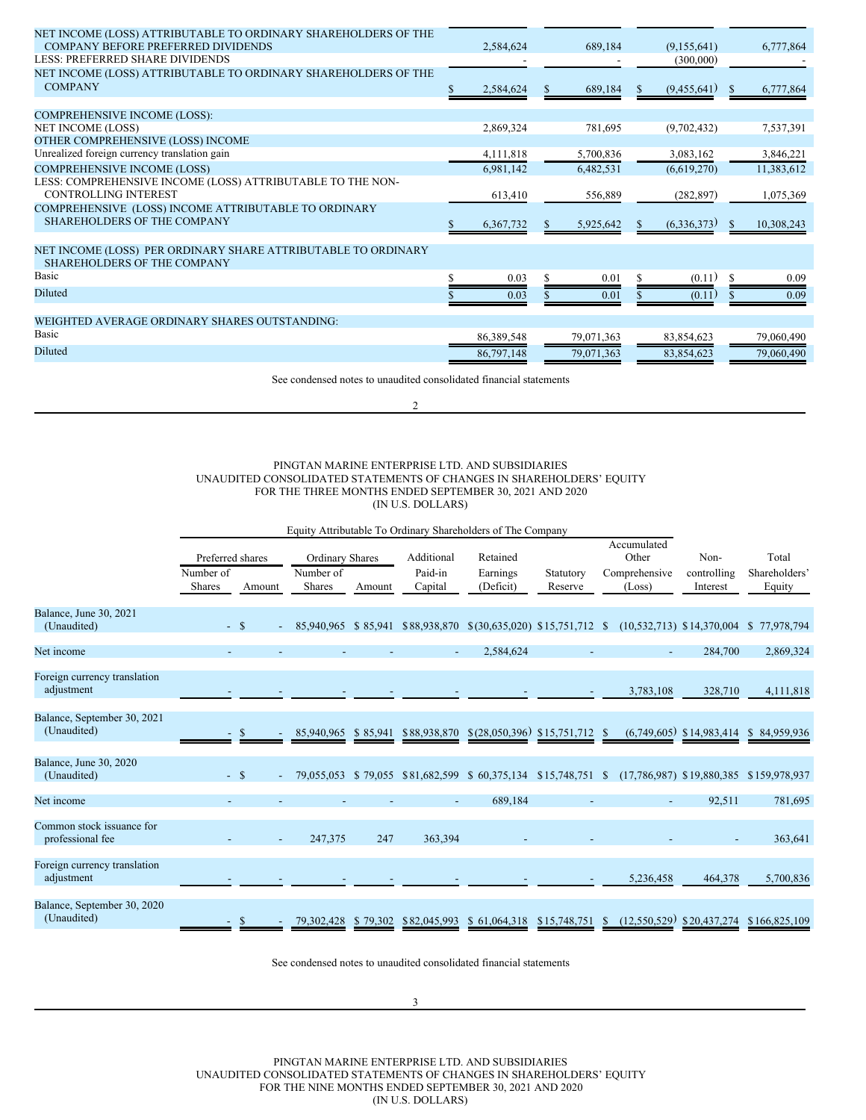| NET INCOME (LOSS) ATTRIBUTABLE TO ORDINARY SHAREHOLDERS OF THE<br><b>COMPANY BEFORE PREFERRED DIVIDENDS</b> | 2,584,624  |          | 689,184    |    | (9,155,641) |              | 6,777,864  |
|-------------------------------------------------------------------------------------------------------------|------------|----------|------------|----|-------------|--------------|------------|
| LESS: PREFERRED SHARE DIVIDENDS                                                                             |            |          |            |    | (300,000)   |              |            |
| NET INCOME (LOSS) ATTRIBUTABLE TO ORDINARY SHAREHOLDERS OF THE                                              |            |          |            |    |             |              |            |
| <b>COMPANY</b>                                                                                              | 2,584,624  | <b>S</b> | 689,184    | S. | (9,455,641) | <sup>S</sup> | 6,777,864  |
| <b>COMPREHENSIVE INCOME (LOSS):</b>                                                                         |            |          |            |    |             |              |            |
| <b>NET INCOME (LOSS)</b>                                                                                    | 2,869,324  |          | 781,695    |    | (9,702,432) |              | 7,537,391  |
| OTHER COMPREHENSIVE (LOSS) INCOME                                                                           |            |          |            |    |             |              |            |
| Unrealized foreign currency translation gain                                                                | 4,111,818  |          | 5,700,836  |    | 3,083,162   |              | 3,846,221  |
| <b>COMPREHENSIVE INCOME (LOSS)</b>                                                                          | 6,981,142  |          | 6,482,531  |    | (6,619,270) |              | 11,383,612 |
| LESS: COMPREHENSIVE INCOME (LOSS) ATTRIBUTABLE TO THE NON-<br>CONTROLLING INTEREST                          | 613,410    |          | 556,889    |    | (282, 897)  |              | 1,075,369  |
| COMPREHENSIVE (LOSS) INCOME ATTRIBUTABLE TO ORDINARY<br>SHAREHOLDERS OF THE COMPANY                         | 6,367,732  |          | 5,925,642  |    | (6,336,373) | <sup>S</sup> | 10,308,243 |
| NET INCOME (LOSS) PER ORDINARY SHARE ATTRIBUTABLE TO ORDINARY<br>SHAREHOLDERS OF THE COMPANY                |            |          |            |    |             |              |            |
| Basic                                                                                                       | 0.03       |          | 0.01       |    | (0.11)      | S            | 0.09       |
| Diluted                                                                                                     | 0.03       |          | 0.01       |    | (0.11)      |              | 0.09       |
| WEIGHTED AVERAGE ORDINARY SHARES OUTSTANDING:                                                               |            |          |            |    |             |              |            |
| Basic                                                                                                       | 86,389,548 |          | 79,071,363 |    | 83,854,623  |              | 79,060,490 |
| Diluted                                                                                                     | 86,797,148 |          | 79,071,363 |    | 83,854,623  |              | 79,060,490 |

See condensed notes to unaudited consolidated financial statements

# 2

## PINGTAN MARINE ENTERPRISE LTD. AND SUBSIDIARIES UNAUDITED CONSOLIDATED STATEMENTS OF CHANGES IN SHAREHOLDERS' EQUITY FOR THE THREE MONTHS ENDED SEPTEMBER 30, 2021 AND 2020 (IN U.S. DOLLARS)

| Equity Attributable To Ordinary Shareholders of The Company |  |
|-------------------------------------------------------------|--|
|-------------------------------------------------------------|--|

|                                               | Preferred shares<br>Number of<br><b>Shares</b> | Amount | <b>Ordinary Shares</b><br>Number of<br><b>Shares</b> | Amount   | Additional<br>Paid-in<br>Capital | Retained<br>Earnings<br>(Deficit)                               | Statutory<br>Reserve | Accumulated<br>Other<br>Comprehensive<br>(Loss) | Non-<br>controlling<br>Interest | Total<br>Shareholders'<br>Equity         |
|-----------------------------------------------|------------------------------------------------|--------|------------------------------------------------------|----------|----------------------------------|-----------------------------------------------------------------|----------------------|-------------------------------------------------|---------------------------------|------------------------------------------|
| Balance, June 30, 2021<br>(Unaudited)         | $-$ \$                                         | $\sim$ |                                                      |          |                                  | 85,940,965 \$85,941 \$88,938,870 \$(30,635,020) \$15,751,712 \$ |                      |                                                 |                                 | $(10,532,713)$ \$14,370,004 \$77,978,794 |
| Net income                                    |                                                |        |                                                      |          | $\overline{\phantom{a}}$         | 2,584,624                                                       |                      |                                                 | 284,700                         | 2,869,324                                |
| Foreign currency translation<br>adjustment    |                                                |        |                                                      |          |                                  |                                                                 |                      | 3,783,108                                       | 328,710                         | 4,111,818                                |
| Balance, September 30, 2021<br>(Unaudited)    |                                                |        | 85,940,965                                           | \$85,941 | \$88,938,870                     | \$(28,050,396)                                                  | \$15,751,712         | (6,749,605)                                     | \$14,983,414                    | \$84,959,936                             |
| Balance, June 30, 2020<br>(Unaudited)         | $-$ \$                                         |        | 79.055.053                                           |          |                                  | \$79,055 \$81,682,599 \$60,375,134 \$15,748,751 \$              |                      |                                                 |                                 | (17,786,987) \$19,880,385 \$159,978,937  |
| Net income                                    |                                                |        |                                                      |          |                                  | 689,184                                                         |                      |                                                 | 92,511                          | 781,695                                  |
| Common stock issuance for<br>professional fee |                                                |        | 247,375                                              | 247      | 363,394                          |                                                                 |                      |                                                 |                                 | 363,641                                  |
| Foreign currency translation<br>adjustment    |                                                |        |                                                      |          |                                  |                                                                 |                      | 5,236,458                                       | 464,378                         | 5,700,836                                |
| Balance, September 30, 2020<br>(Unaudited)    |                                                | -S     | 79,302,428                                           | \$79,302 | \$82,045,993                     | \$61,064,318                                                    | \$15,748,751         | (12, 550, 529)<br>-S                            | \$20,437,274                    | \$166,825,109                            |

See condensed notes to unaudited consolidated financial statements

3

PINGTAN MARINE ENTERPRISE LTD. AND SUBSIDIARIES UNAUDITED CONSOLIDATED STATEMENTS OF CHANGES IN SHAREHOLDERS' EQUITY FOR THE NINE MONTHS ENDED SEPTEMBER 30, 2021 AND 2020 (IN U.S. DOLLARS)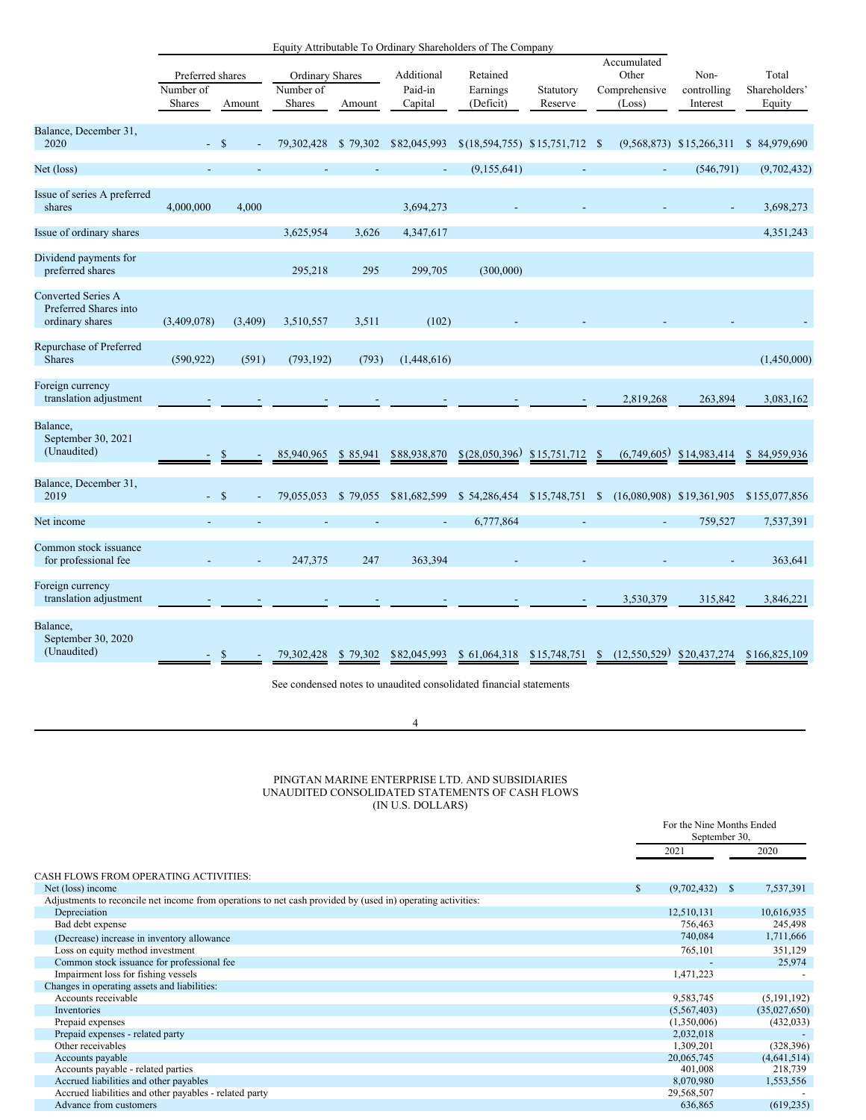|                                                                       |                                         |         |                                                      |          |                                  | Equity Attributable To Ordinary Shareholders of The Company |                      |                                                 |                                 |                                  |
|-----------------------------------------------------------------------|-----------------------------------------|---------|------------------------------------------------------|----------|----------------------------------|-------------------------------------------------------------|----------------------|-------------------------------------------------|---------------------------------|----------------------------------|
|                                                                       | Preferred shares<br>Number of<br>Shares | Amount  | <b>Ordinary Shares</b><br>Number of<br><b>Shares</b> | Amount   | Additional<br>Paid-in<br>Capital | Retained<br>Earnings<br>(Deficit)                           | Statutory<br>Reserve | Accumulated<br>Other<br>Comprehensive<br>(Loss) | Non-<br>controlling<br>Interest | Total<br>Shareholders'<br>Equity |
| Balance, December 31,<br>2020                                         |                                         | $-$ \$  | 79,302,428                                           | \$79,302 | \$82,045,993                     | $$(18,594,755)$ $$(15,751,712)$ \                           |                      |                                                 | $(9,568,873)$ \$15,266,311      | \$84,979,690                     |
| Net (loss)                                                            |                                         |         |                                                      |          |                                  | (9,155,641)                                                 |                      |                                                 | (546, 791)                      | (9,702,432)                      |
| Issue of series A preferred<br>shares                                 | 4,000,000                               | 4,000   |                                                      |          | 3,694,273                        |                                                             |                      |                                                 |                                 | 3,698,273                        |
| Issue of ordinary shares                                              |                                         |         | 3,625,954                                            | 3,626    | 4,347,617                        |                                                             |                      |                                                 |                                 | 4,351,243                        |
| Dividend payments for<br>preferred shares                             |                                         |         | 295,218                                              | 295      | 299,705                          | (300,000)                                                   |                      |                                                 |                                 |                                  |
| <b>Converted Series A</b><br>Preferred Shares into<br>ordinary shares | (3,409,078)                             | (3,409) | 3,510,557                                            | 3,511    | (102)                            |                                                             |                      |                                                 |                                 |                                  |
| Repurchase of Preferred<br><b>Shares</b>                              | (590, 922)                              | (591)   | (793, 192)                                           | (793)    | (1,448,616)                      |                                                             |                      |                                                 |                                 | (1,450,000)                      |
| Foreign currency<br>translation adjustment                            |                                         |         |                                                      |          |                                  |                                                             |                      | 2,819,268                                       | 263,894                         | 3,083,162                        |
| Balance,<br>September 30, 2021<br>(Unaudited)                         |                                         | \$      | 85,940,965                                           | \$85,941 | \$88,938,870                     | \$(28,050,396)                                              | \$15,751,712         | <sup>\$</sup>                                   | $(6,749,605)$ \$14,983,414      | \$84,959,936                     |
| Balance, December 31,<br>2019                                         |                                         | $-$ \$  | 79,055,053                                           | \$79,055 | \$81,682,599                     | \$54,286,454                                                | $$15,748,751$ \\$    |                                                 | $(16,080,908)$ \$19,361,905     | \$155,077,856                    |
| Net income                                                            |                                         |         |                                                      |          |                                  | 6,777,864                                                   |                      |                                                 | 759,527                         | 7,537,391                        |
| Common stock issuance<br>for professional fee                         |                                         |         | 247,375                                              | 247      | 363,394                          |                                                             |                      |                                                 |                                 | 363,641                          |
| Foreign currency<br>translation adjustment                            |                                         |         |                                                      |          |                                  |                                                             |                      | 3,530,379                                       | 315,842                         | 3,846,221                        |
| Balance,<br>September 30, 2020<br>(Unaudited)                         |                                         |         | 79,302,428                                           | \$79,302 | \$82,045,993                     | \$61,064,318                                                | \$15,748,751         | (12, 550, 529)<br>\$                            | \$20,437,274                    | \$166,825,109                    |

See condensed notes to unaudited consolidated financial statements

4

#### PINGTAN MARINE ENTERPRISE LTD. AND SUBSIDIARIES UNAUDITED CONSOLIDATED STATEMENTS OF CASH FLOWS (IN U.S. DOLLARS)

|                                                                                                             | For the Nine Months Ended<br>September 30, |              |               |
|-------------------------------------------------------------------------------------------------------------|--------------------------------------------|--------------|---------------|
|                                                                                                             | 2021                                       |              | 2020          |
|                                                                                                             |                                            |              |               |
| <b>CASH FLOWS FROM OPERATING ACTIVITIES:</b>                                                                |                                            |              |               |
| Net (loss) income                                                                                           | \$<br>(9,702,432)                          | <sup>S</sup> | 7,537,391     |
| Adjustments to reconcile net income from operations to net cash provided by (used in) operating activities: |                                            |              |               |
| Depreciation                                                                                                | 12,510,131                                 |              | 10,616,935    |
| Bad debt expense                                                                                            | 756,463                                    |              | 245,498       |
| (Decrease) increase in inventory allowance                                                                  | 740,084                                    |              | 1,711,666     |
| Loss on equity method investment                                                                            | 765,101                                    |              | 351,129       |
| Common stock issuance for professional fee                                                                  |                                            |              | 25,974        |
| Impairment loss for fishing vessels                                                                         | 1,471,223                                  |              |               |
| Changes in operating assets and liabilities:                                                                |                                            |              |               |
| Accounts receivable                                                                                         | 9,583,745                                  |              | (5, 191, 192) |
| Inventories                                                                                                 | (5,567,403)                                |              | (35,027,650)  |
| Prepaid expenses                                                                                            | (1,350,006)                                |              | (432, 033)    |
| Prepaid expenses - related party                                                                            | 2,032,018                                  |              |               |
| Other receivables                                                                                           | 1,309,201                                  |              | (328, 396)    |
| Accounts payable                                                                                            | 20,065,745                                 |              | (4, 641, 514) |
| Accounts payable - related parties                                                                          | 401,008                                    |              | 218,739       |
| Accrued liabilities and other payables                                                                      | 8,070,980                                  |              | 1,553,556     |
| Accrued liabilities and other payables - related party                                                      | 29,568,507                                 |              |               |
| Advance from customers                                                                                      | 636,865                                    |              | (619, 235)    |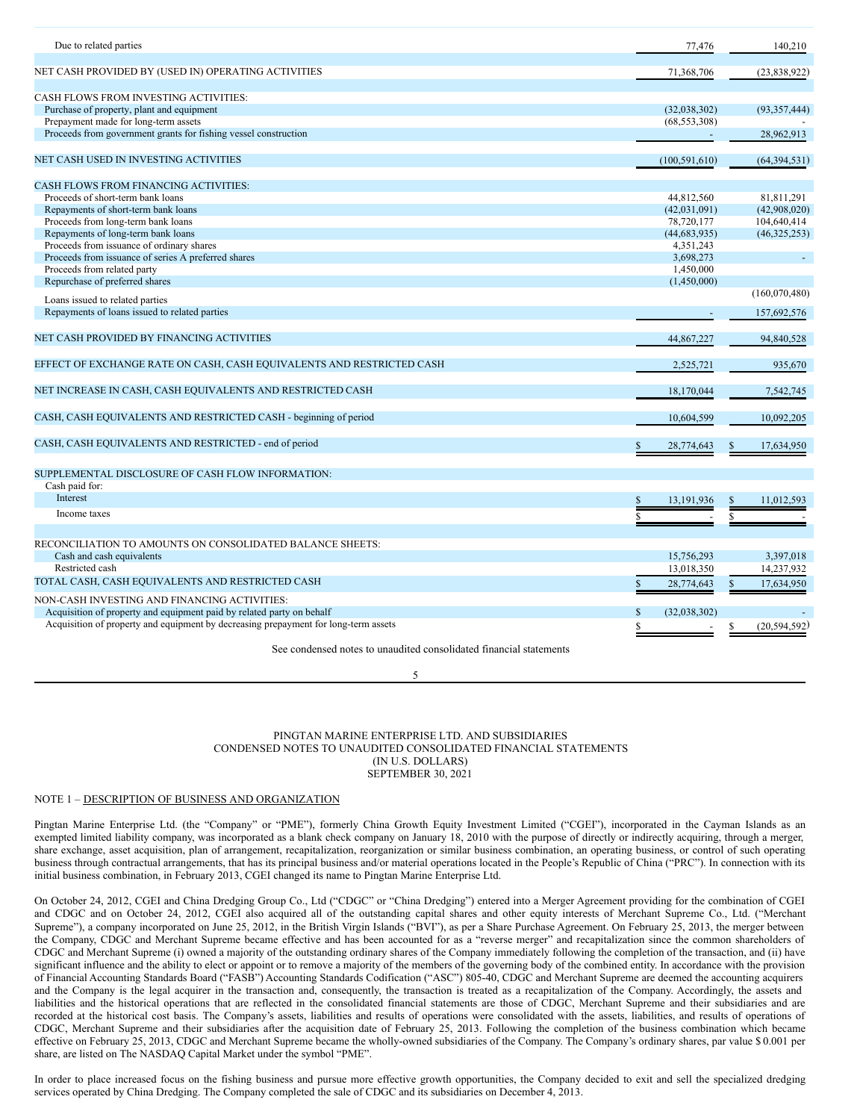| Due to related parties                                                              |              | 77,476          |     | 140,210        |
|-------------------------------------------------------------------------------------|--------------|-----------------|-----|----------------|
| NET CASH PROVIDED BY (USED IN) OPERATING ACTIVITIES                                 |              | 71,368,706      |     | (23, 838, 922) |
| CASH FLOWS FROM INVESTING ACTIVITIES:                                               |              |                 |     |                |
| Purchase of property, plant and equipment                                           |              | (32,038,302)    |     | (93, 357, 444) |
| Prepayment made for long-term assets                                                |              | (68, 553, 308)  |     |                |
| Proceeds from government grants for fishing vessel construction                     |              |                 |     | 28,962,913     |
| NET CASH USED IN INVESTING ACTIVITIES                                               |              | (100, 591, 610) |     | (64, 394, 531) |
| <b>CASH FLOWS FROM FINANCING ACTIVITIES:</b>                                        |              |                 |     |                |
| Proceeds of short-term bank loans                                                   |              | 44,812,560      |     | 81.811.291     |
| Repayments of short-term bank loans                                                 |              | (42, 031, 091)  |     | (42,908,020)   |
| Proceeds from long-term bank loans                                                  |              | 78,720,177      |     | 104,640,414    |
| Repayments of long-term bank loans                                                  |              | (44, 683, 935)  |     | (46,325,253)   |
| Proceeds from issuance of ordinary shares                                           |              | 4,351,243       |     |                |
| Proceeds from issuance of series A preferred shares                                 |              | 3,698,273       |     |                |
| Proceeds from related party                                                         |              | 1,450,000       |     |                |
| Repurchase of preferred shares                                                      |              | (1,450,000)     |     |                |
| Loans issued to related parties                                                     |              |                 |     | (160,070,480)  |
| Repayments of loans issued to related parties                                       |              |                 |     |                |
|                                                                                     |              |                 |     | 157,692,576    |
| NET CASH PROVIDED BY FINANCING ACTIVITIES                                           |              | 44,867,227      |     | 94,840,528     |
| EFFECT OF EXCHANGE RATE ON CASH, CASH EQUIVALENTS AND RESTRICTED CASH               |              | 2,525,721       |     | 935,670        |
| NET INCREASE IN CASH, CASH EQUIVALENTS AND RESTRICTED CASH                          |              | 18,170,044      |     | 7,542,745      |
| CASH, CASH EQUIVALENTS AND RESTRICTED CASH - beginning of period                    |              |                 |     |                |
|                                                                                     |              | 10,604,599      |     | 10,092,205     |
| CASH, CASH EQUIVALENTS AND RESTRICTED - end of period                               | \$           | 28,774,643      | \$. | 17,634,950     |
|                                                                                     |              |                 |     |                |
| SUPPLEMENTAL DISCLOSURE OF CASH FLOW INFORMATION:<br>Cash paid for:                 |              |                 |     |                |
| Interest                                                                            |              | 13,191,936      |     | 11,012,593     |
|                                                                                     |              |                 |     |                |
| Income taxes                                                                        |              |                 |     |                |
| RECONCILIATION TO AMOUNTS ON CONSOLIDATED BALANCE SHEETS:                           |              |                 |     |                |
| Cash and cash equivalents                                                           |              | 15,756,293      |     | 3,397,018      |
| Restricted cash                                                                     |              | 13,018,350      |     | 14,237,932     |
| TOTAL CASH, CASH EQUIVALENTS AND RESTRICTED CASH                                    | \$           | 28,774,643      | \$  | 17,634,950     |
| NON-CASH INVESTING AND FINANCING ACTIVITIES:                                        |              |                 |     |                |
| Acquisition of property and equipment paid by related party on behalf               | $\mathbb{S}$ | (32,038,302)    |     |                |
| Acquisition of property and equipment by decreasing prepayment for long-term assets |              |                 | \$  | (20, 594, 592) |
| See condensed notes to unaudited consolidated financial statements                  |              |                 |     |                |
|                                                                                     |              |                 |     |                |

5

#### PINGTAN MARINE ENTERPRISE LTD. AND SUBSIDIARIES CONDENSED NOTES TO UNAUDITED CONSOLIDATED FINANCIAL STATEMENTS (IN U.S. DOLLARS) SEPTEMBER 30, 2021

## NOTE 1 – DESCRIPTION OF BUSINESS AND ORGANIZATION

Pingtan Marine Enterprise Ltd. (the "Company" or "PME"), formerly China Growth Equity Investment Limited ("CGEI"), incorporated in the Cayman Islands as an exempted limited liability company, was incorporated as a blank check company on January 18, 2010 with the purpose of directly or indirectly acquiring, through a merger, share exchange, asset acquisition, plan of arrangement, recapitalization, reorganization or similar business combination, an operating business, or control of such operating business through contractual arrangements, that has its principal business and/or material operations located in the People's Republic of China ("PRC"). In connection with its initial business combination, in February 2013, CGEI changed its name to Pingtan Marine Enterprise Ltd.

On October 24, 2012, CGEI and China Dredging Group Co., Ltd ("CDGC" or "China Dredging") entered into a Merger Agreement providing for the combination of CGEI and CDGC and on October 24, 2012, CGEI also acquired all of the outstanding capital shares and other equity interests of Merchant Supreme Co., Ltd. ("Merchant Supreme"), a company incorporated on June 25, 2012, in the British Virgin Islands ("BVI"), as per a Share Purchase Agreement. On February 25, 2013, the merger between the Company, CDGC and Merchant Supreme became effective and has been accounted for as a "reverse merger" and recapitalization since the common shareholders of CDGC and Merchant Supreme (i) owned a majority of the outstanding ordinary shares of the Company immediately following the completion of the transaction, and (ii) have significant influence and the ability to elect or appoint or to remove a majority of the members of the governing body of the combined entity. In accordance with the provision of Financial Accounting Standards Board ("FASB") Accounting Standards Codification ("ASC") 805-40, CDGC and Merchant Supreme are deemed the accounting acquirers and the Company is the legal acquirer in the transaction and, consequently, the transaction is treated as a recapitalization of the Company. Accordingly, the assets and liabilities and the historical operations that are reflected in the consolidated financial statements are those of CDGC, Merchant Supreme and their subsidiaries and are recorded at the historical cost basis. The Company's assets, liabilities and results of operations were consolidated with the assets, liabilities, and results of operations of CDGC, Merchant Supreme and their subsidiaries after the acquisition date of February 25, 2013. Following the completion of the business combination which became effective on February 25, 2013, CDGC and Merchant Supreme became the wholly-owned subsidiaries of the Company. The Company's ordinary shares, par value \$ 0.001 per share, are listed on The NASDAQ Capital Market under the symbol "PME".

In order to place increased focus on the fishing business and pursue more effective growth opportunities, the Company decided to exit and sell the specialized dredging services operated by China Dredging. The Company completed the sale of CDGC and its subsidiaries on December 4, 2013.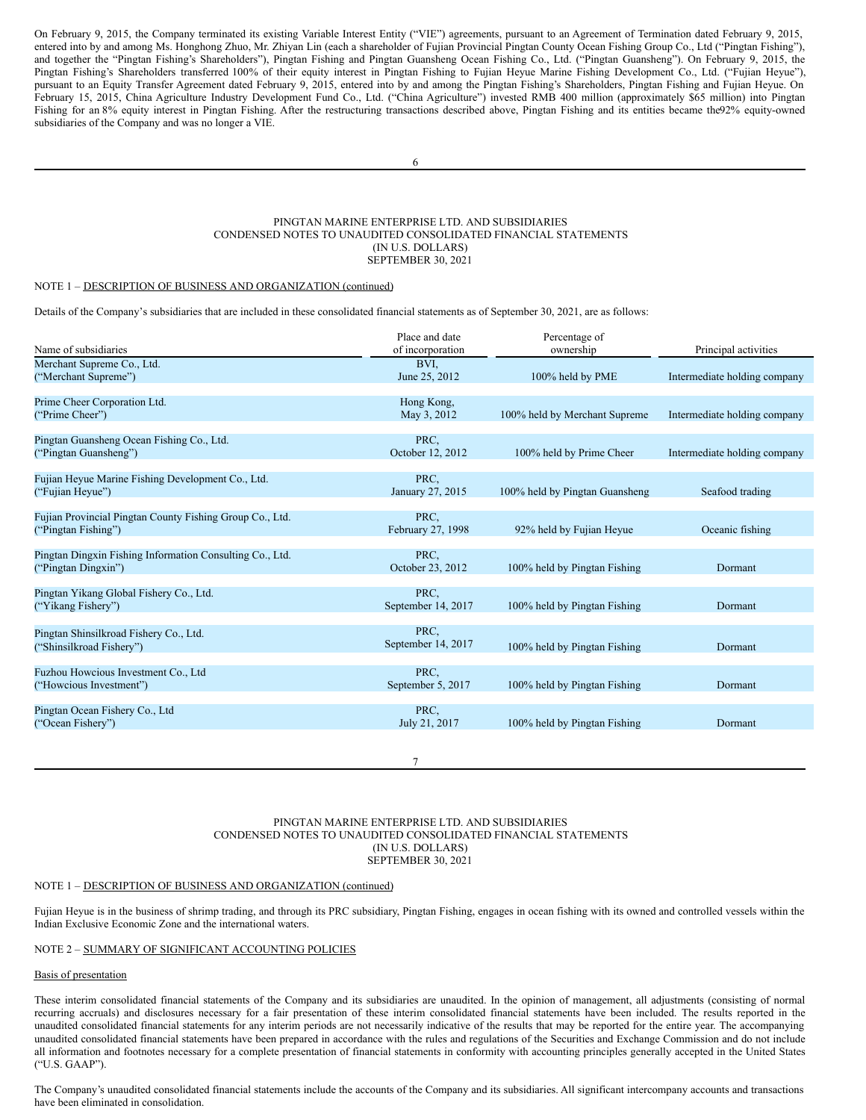On February 9, 2015, the Company terminated its existing Variable Interest Entity ("VIE") agreements, pursuant to an Agreement of Termination dated February 9, 2015, entered into by and among Ms. Honghong Zhuo, Mr. Zhiyan Lin (each a shareholder of Fujian Provincial Pingtan County Ocean Fishing Group Co., Ltd ("Pingtan Fishing"), and together the "Pingtan Fishing's Shareholders"), Pingtan Fishing and Pingtan Guansheng Ocean Fishing Co., Ltd. ("Pingtan Guansheng"). On February 9, 2015, the Pingtan Fishing's Shareholders transferred 100% of their equity interest in Pingtan Fishing to Fujian Heyue Marine Fishing Development Co., Ltd. ("Fujian Heyue"), pursuant to an Equity Transfer Agreement dated February 9, 2015, entered into by and among the Pingtan Fishing's Shareholders, Pingtan Fishing and Fujian Heyue. On February 15, 2015, China Agriculture Industry Development Fund Co., Ltd. ("China Agriculture") invested RMB 400 million (approximately \$65 million) into Pingtan Fishing for an 8% equity interest in Pingtan Fishing. After the restructuring transactions described above, Pingtan Fishing and its entities became the92% equity-owned subsidiaries of the Company and was no longer a VIE.

## PINGTAN MARINE ENTERPRISE LTD. AND SUBSIDIARIES CONDENSED NOTES TO UNAUDITED CONSOLIDATED FINANCIAL STATEMENTS (IN U.S. DOLLARS) SEPTEMBER 30, 2021

#### NOTE 1 – DESCRIPTION OF BUSINESS AND ORGANIZATION (continued)

Details of the Company's subsidiaries that are included in these consolidated financial statements as of September 30, 2021, are as follows:

|                                                          | Place and date     | Percentage of                  |                              |
|----------------------------------------------------------|--------------------|--------------------------------|------------------------------|
| Name of subsidiaries                                     | of incorporation   | ownership                      | Principal activities         |
| Merchant Supreme Co., Ltd.                               | BVI.               |                                |                              |
| ("Merchant Supreme")                                     | June 25, 2012      | 100% held by PME               | Intermediate holding company |
| Prime Cheer Corporation Ltd.                             | Hong Kong,         |                                |                              |
| ("Prime Cheer")                                          | May 3, 2012        | 100% held by Merchant Supreme  | Intermediate holding company |
|                                                          |                    |                                |                              |
| Pingtan Guansheng Ocean Fishing Co., Ltd.                | PRC.               |                                |                              |
| ("Pingtan Guansheng")                                    | October 12, 2012   | 100% held by Prime Cheer       | Intermediate holding company |
|                                                          |                    |                                |                              |
| Fujian Heyue Marine Fishing Development Co., Ltd.        | PRC.               |                                |                              |
| ("Fujian Heyue")                                         | January 27, 2015   | 100% held by Pingtan Guansheng | Seafood trading              |
|                                                          |                    |                                |                              |
| Fujian Provincial Pingtan County Fishing Group Co., Ltd. | PRC.               |                                |                              |
| ("Pingtan Fishing")                                      | February 27, 1998  | 92% held by Fujian Heyue       | Oceanic fishing              |
| Pingtan Dingxin Fishing Information Consulting Co., Ltd. | PRC.               |                                |                              |
| ("Pingtan Dingxin")                                      | October 23, 2012   | 100% held by Pingtan Fishing   | Dormant                      |
|                                                          |                    |                                |                              |
| Pingtan Yikang Global Fishery Co., Ltd.                  | PRC.               |                                |                              |
| ("Yikang Fishery")                                       | September 14, 2017 | 100% held by Pingtan Fishing   | Dormant                      |
|                                                          |                    |                                |                              |
| Pingtan Shinsilkroad Fishery Co., Ltd.                   | PRC.               |                                |                              |
| ("Shinsilkroad Fishery")                                 | September 14, 2017 | 100% held by Pingtan Fishing   | Dormant                      |
|                                                          |                    |                                |                              |
| Fuzhou Howcious Investment Co., Ltd                      | PRC.               |                                |                              |
| ("Howcious Investment")                                  | September 5, 2017  | 100% held by Pingtan Fishing   | Dormant                      |
|                                                          |                    |                                |                              |
| Pingtan Ocean Fishery Co., Ltd                           | PRC.               | 100% held by Pingtan Fishing   |                              |
| ("Ocean Fishery")                                        | July 21, 2017      |                                | Dormant                      |
|                                                          |                    |                                |                              |
|                                                          | 7                  |                                |                              |

#### PINGTAN MARINE ENTERPRISE LTD. AND SUBSIDIARIES CONDENSED NOTES TO UNAUDITED CONSOLIDATED FINANCIAL STATEMENTS (IN U.S. DOLLARS) SEPTEMBER 30, 2021

## NOTE 1 – DESCRIPTION OF BUSINESS AND ORGANIZATION (continued)

Fujian Heyue is in the business of shrimp trading, and through its PRC subsidiary, Pingtan Fishing, engages in ocean fishing with its owned and controlled vessels within the Indian Exclusive Economic Zone and the international waters.

## NOTE 2 – SUMMARY OF SIGNIFICANT ACCOUNTING POLICIES

### Basis of presentation

These interim consolidated financial statements of the Company and its subsidiaries are unaudited. In the opinion of management, all adjustments (consisting of normal recurring accruals) and disclosures necessary for a fair presentation of these interim consolidated financial statements have been included. The results reported in the unaudited consolidated financial statements for any interim periods are not necessarily indicative of the results that may be reported for the entire year. The accompanying unaudited consolidated financial statements have been prepared in accordance with the rules and regulations of the Securities and Exchange Commission and do not include all information and footnotes necessary for a complete presentation of financial statements in conformity with accounting principles generally accepted in the United States ("U.S. GAAP").

The Company's unaudited consolidated financial statements include the accounts of the Company and its subsidiaries. All significant intercompany accounts and transactions have been eliminated in consolidation.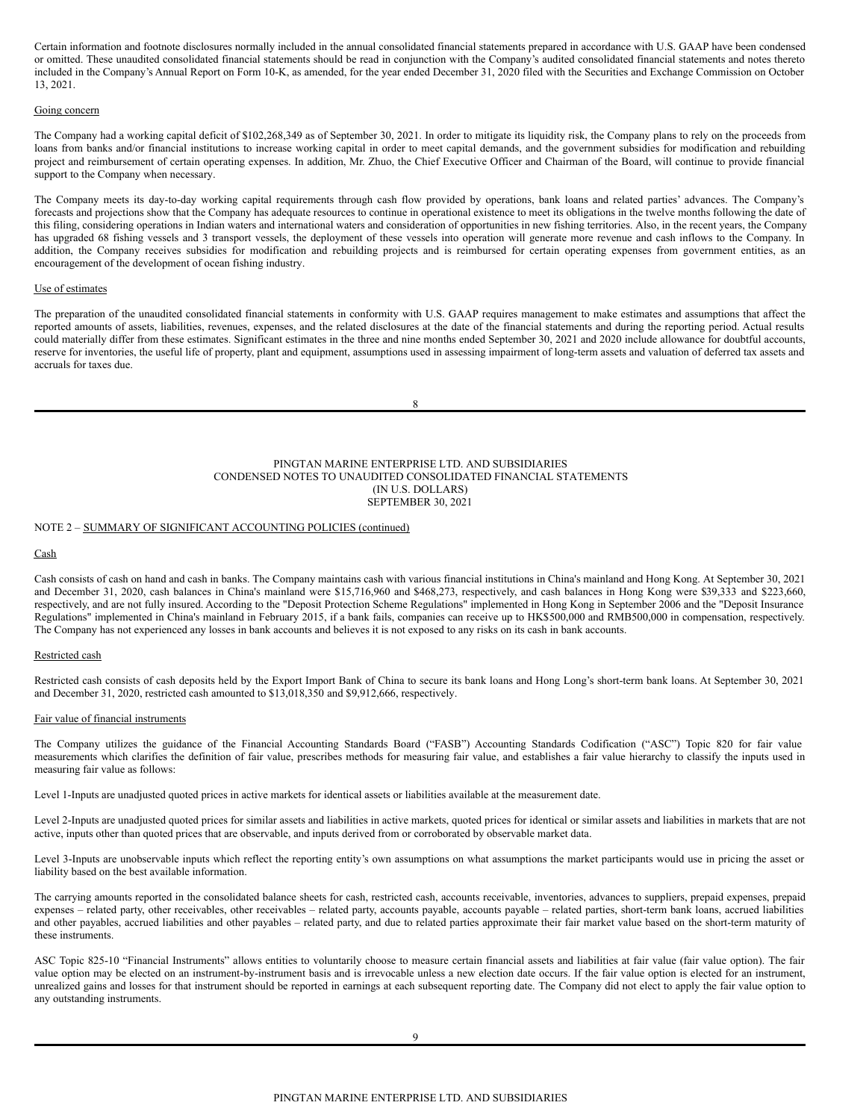Certain information and footnote disclosures normally included in the annual consolidated financial statements prepared in accordance with U.S. GAAP have been condensed or omitted. These unaudited consolidated financial statements should be read in conjunction with the Company's audited consolidated financial statements and notes thereto included in the Company's Annual Report on Form 10-K, as amended, for the year ended December 31, 2020 filed with the Securities and Exchange Commission on October 13, 2021.

## Going concern

The Company had a working capital deficit of \$102,268,349 as of September 30, 2021. In order to mitigate its liquidity risk, the Company plans to rely on the proceeds from loans from banks and/or financial institutions to increase working capital in order to meet capital demands, and the government subsidies for modification and rebuilding project and reimbursement of certain operating expenses. In addition, Mr. Zhuo, the Chief Executive Officer and Chairman of the Board, will continue to provide financial support to the Company when necessary.

The Company meets its day-to-day working capital requirements through cash flow provided by operations, bank loans and related parties' advances. The Company's forecasts and projections show that the Company has adequate resources to continue in operational existence to meet its obligations in the twelve months following the date of this filing, considering operations in Indian waters and international waters and consideration of opportunities in new fishing territories. Also, in the recent years, the Company has upgraded 68 fishing vessels and 3 transport vessels, the deployment of these vessels into operation will generate more revenue and cash inflows to the Company. In addition, the Company receives subsidies for modification and rebuilding projects and is reimbursed for certain operating expenses from government entities, as an encouragement of the development of ocean fishing industry.

#### Use of estimates

The preparation of the unaudited consolidated financial statements in conformity with U.S. GAAP requires management to make estimates and assumptions that affect the reported amounts of assets, liabilities, revenues, expenses, and the related disclosures at the date of the financial statements and during the reporting period. Actual results could materially differ from these estimates. Significant estimates in the three and nine months ended September 30, 2021 and 2020 include allowance for doubtful accounts, reserve for inventories, the useful life of property, plant and equipment, assumptions used in assessing impairment of long-term assets and valuation of deferred tax assets and accruals for taxes due.

8

### PINGTAN MARINE ENTERPRISE LTD. AND SUBSIDIARIES CONDENSED NOTES TO UNAUDITED CONSOLIDATED FINANCIAL STATEMENTS (IN U.S. DOLLARS) SEPTEMBER 30, 2021

### NOTE 2 – SUMMARY OF SIGNIFICANT ACCOUNTING POLICIES (continued)

#### Cash

Cash consists of cash on hand and cash in banks. The Company maintains cash with various financial institutions in China's mainland and Hong Kong. At September 30, 2021 and December 31, 2020, cash balances in China's mainland were \$15,716,960 and \$468,273, respectively, and cash balances in Hong Kong were \$39,333 and \$223,660, respectively, and are not fully insured. According to the "Deposit Protection Scheme Regulations" implemented in Hong Kong in September 2006 and the "Deposit Insurance Regulations" implemented in China's mainland in February 2015, if a bank fails, companies can receive up to HK\$500,000 and RMB500,000 in compensation, respectively. The Company has not experienced any losses in bank accounts and believes it is not exposed to any risks on its cash in bank accounts.

#### Restricted cash

Restricted cash consists of cash deposits held by the Export Import Bank of China to secure its bank loans and Hong Long's short-term bank loans. At September 30, 2021 and December 31, 2020, restricted cash amounted to \$13,018,350 and \$9,912,666, respectively.

#### Fair value of financial instruments

The Company utilizes the guidance of the Financial Accounting Standards Board ("FASB") Accounting Standards Codification ("ASC") Topic 820 for fair value measurements which clarifies the definition of fair value, prescribes methods for measuring fair value, and establishes a fair value hierarchy to classify the inputs used in measuring fair value as follows:

Level 1-Inputs are unadjusted quoted prices in active markets for identical assets or liabilities available at the measurement date.

Level 2-Inputs are unadjusted quoted prices for similar assets and liabilities in active markets, quoted prices for identical or similar assets and liabilities in markets that are not active, inputs other than quoted prices that are observable, and inputs derived from or corroborated by observable market data.

Level 3-Inputs are unobservable inputs which reflect the reporting entity's own assumptions on what assumptions the market participants would use in pricing the asset or liability based on the best available information.

The carrying amounts reported in the consolidated balance sheets for cash, restricted cash, accounts receivable, inventories, advances to suppliers, prepaid expenses, prepaid expenses – related party, other receivables, other receivables – related party, accounts payable, accounts payable – related parties, short-term bank loans, accrued liabilities and other payables, accrued liabilities and other payables – related party, and due to related parties approximate their fair market value based on the short-term maturity of these instruments.

ASC Topic 825-10 "Financial Instruments" allows entities to voluntarily choose to measure certain financial assets and liabilities at fair value (fair value option). The fair value option may be elected on an instrument-by-instrument basis and is irrevocable unless a new election date occurs. If the fair value option is elected for an instrument, unrealized gains and losses for that instrument should be reported in earnings at each subsequent reporting date. The Company did not elect to apply the fair value option to any outstanding instruments.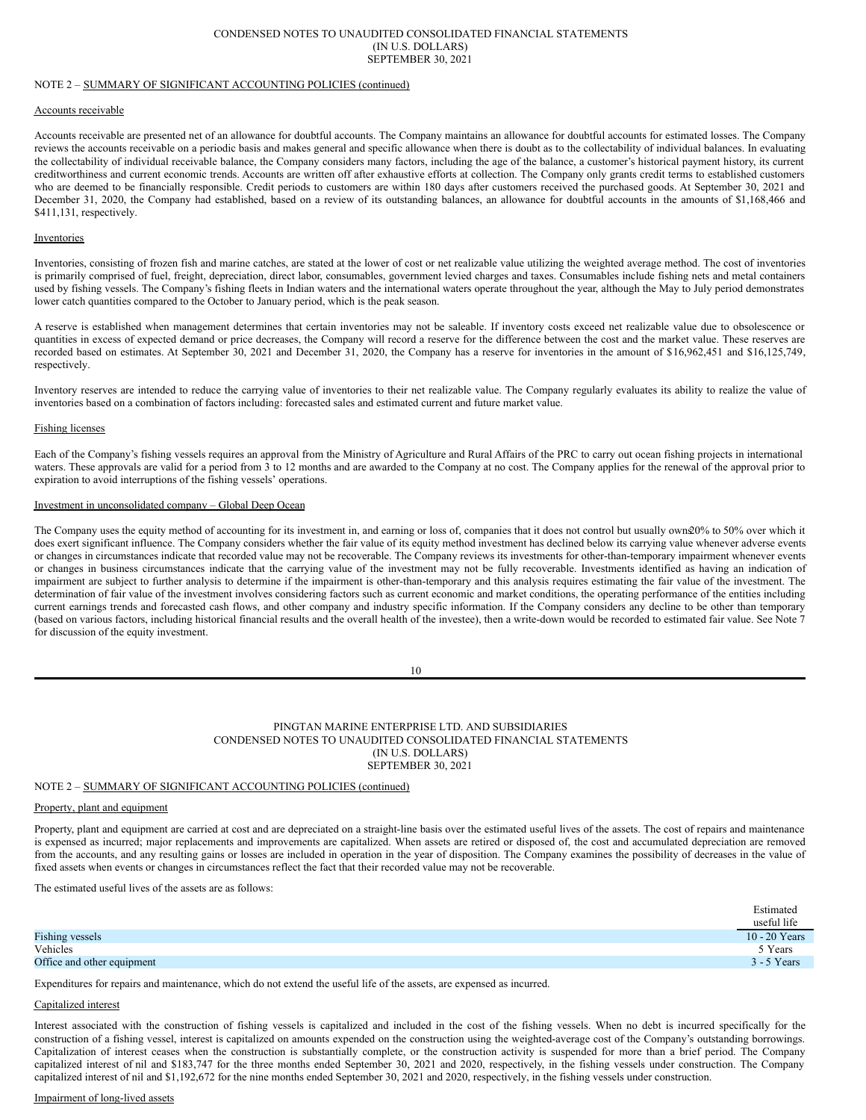#### CONDENSED NOTES TO UNAUDITED CONSOLIDATED FINANCIAL STATEMENTS (IN U.S. DOLLARS) SEPTEMBER 30, 2021

## NOTE 2 – SUMMARY OF SIGNIFICANT ACCOUNTING POLICIES (continued)

#### Accounts receivable

Accounts receivable are presented net of an allowance for doubtful accounts. The Company maintains an allowance for doubtful accounts for estimated losses. The Company reviews the accounts receivable on a periodic basis and makes general and specific allowance when there is doubt as to the collectability of individual balances. In evaluating the collectability of individual receivable balance, the Company considers many factors, including the age of the balance, a customer's historical payment history, its current creditworthiness and current economic trends. Accounts are written off after exhaustive efforts at collection. The Company only grants credit terms to established customers who are deemed to be financially responsible. Credit periods to customers are within 180 days after customers received the purchased goods. At September 30, 2021 and December 31, 2020, the Company had established, based on a review of its outstanding balances, an allowance for doubtful accounts in the amounts of \$1,168,466 and \$411,131, respectively.

#### Inventories

Inventories, consisting of frozen fish and marine catches, are stated at the lower of cost or net realizable value utilizing the weighted average method. The cost of inventories is primarily comprised of fuel, freight, depreciation, direct labor, consumables, government levied charges and taxes. Consumables include fishing nets and metal containers used by fishing vessels. The Company's fishing fleets in Indian waters and the international waters operate throughout the year, although the May to July period demonstrates lower catch quantities compared to the October to January period, which is the peak season.

A reserve is established when management determines that certain inventories may not be saleable. If inventory costs exceed net realizable value due to obsolescence or quantities in excess of expected demand or price decreases, the Company will record a reserve for the difference between the cost and the market value. These reserves are recorded based on estimates. At September 30, 2021 and December 31, 2020, the Company has a reserve for inventories in the amount of \$16,962,451 and \$16,125,749, respectively.

Inventory reserves are intended to reduce the carrying value of inventories to their net realizable value. The Company regularly evaluates its ability to realize the value of inventories based on a combination of factors including: forecasted sales and estimated current and future market value.

#### Fishing licenses

Each of the Company's fishing vessels requires an approval from the Ministry of Agriculture and Rural Affairs of the PRC to carry out ocean fishing projects in international waters. These approvals are valid for a period from 3 to 12 months and are awarded to the Company at no cost. The Company applies for the renewal of the approval prior to expiration to avoid interruptions of the fishing vessels' operations.

## Investment in unconsolidated company – Global Deep Ocean

The Company uses the equity method of accounting for its investment in, and earning or loss of, companies that it does not control but usually owns20% to 50% over which it does exert significant influence. The Company considers whether the fair value of its equity method investment has declined below its carrying value whenever adverse events or changes in circumstances indicate that recorded value may not be recoverable. The Company reviews its investments for other-than-temporary impairment whenever events or changes in business circumstances indicate that the carrying value of the investment may not be fully recoverable. Investments identified as having an indication of impairment are subject to further analysis to determine if the impairment is other-than-temporary and this analysis requires estimating the fair value of the investment. The determination of fair value of the investment involves considering factors such as current economic and market conditions, the operating performance of the entities including current earnings trends and forecasted cash flows, and other company and industry specific information. If the Company considers any decline to be other than temporary (based on various factors, including historical financial results and the overall health of the investee), then a write-down would be recorded to estimated fair value. See Note 7 for discussion of the equity investment.

10

#### PINGTAN MARINE ENTERPRISE LTD. AND SUBSIDIARIES CONDENSED NOTES TO UNAUDITED CONSOLIDATED FINANCIAL STATEMENTS (IN U.S. DOLLARS) SEPTEMBER 30, 2021

## NOTE 2 – SUMMARY OF SIGNIFICANT ACCOUNTING POLICIES (continued)

## Property, plant and equipment

Property, plant and equipment are carried at cost and are depreciated on a straight-line basis over the estimated useful lives of the assets. The cost of repairs and maintenance is expensed as incurred; major replacements and improvements are capitalized. When assets are retired or disposed of, the cost and accumulated depreciation are removed from the accounts, and any resulting gains or losses are included in operation in the year of disposition. The Company examines the possibility of decreases in the value of fixed assets when events or changes in circumstances reflect the fact that their recorded value may not be recoverable.

The estimated useful lives of the assets are as follows:

|                            | Estimated<br>useful life |
|----------------------------|--------------------------|
| Fishing vessels            | $10 - 20$ Years          |
| Vehicles                   | 5 Years                  |
| Office and other equipment | $3 - 5$ Years            |
|                            |                          |

Expenditures for repairs and maintenance, which do not extend the useful life of the assets, are expensed as incurred.

## Capitalized interest

Interest associated with the construction of fishing vessels is capitalized and included in the cost of the fishing vessels. When no debt is incurred specifically for the construction of a fishing vessel, interest is capitalized on amounts expended on the construction using the weighted-average cost of the Company's outstanding borrowings. Capitalization of interest ceases when the construction is substantially complete, or the construction activity is suspended for more than a brief period. The Company capitalized interest of nil and \$183,747 for the three months ended September 30, 2021 and 2020, respectively, in the fishing vessels under construction. The Company capitalized interest of nil and \$1,192,672 for the nine months ended September 30, 2021 and 2020, respectively, in the fishing vessels under construction.

#### Impairment of long-lived assets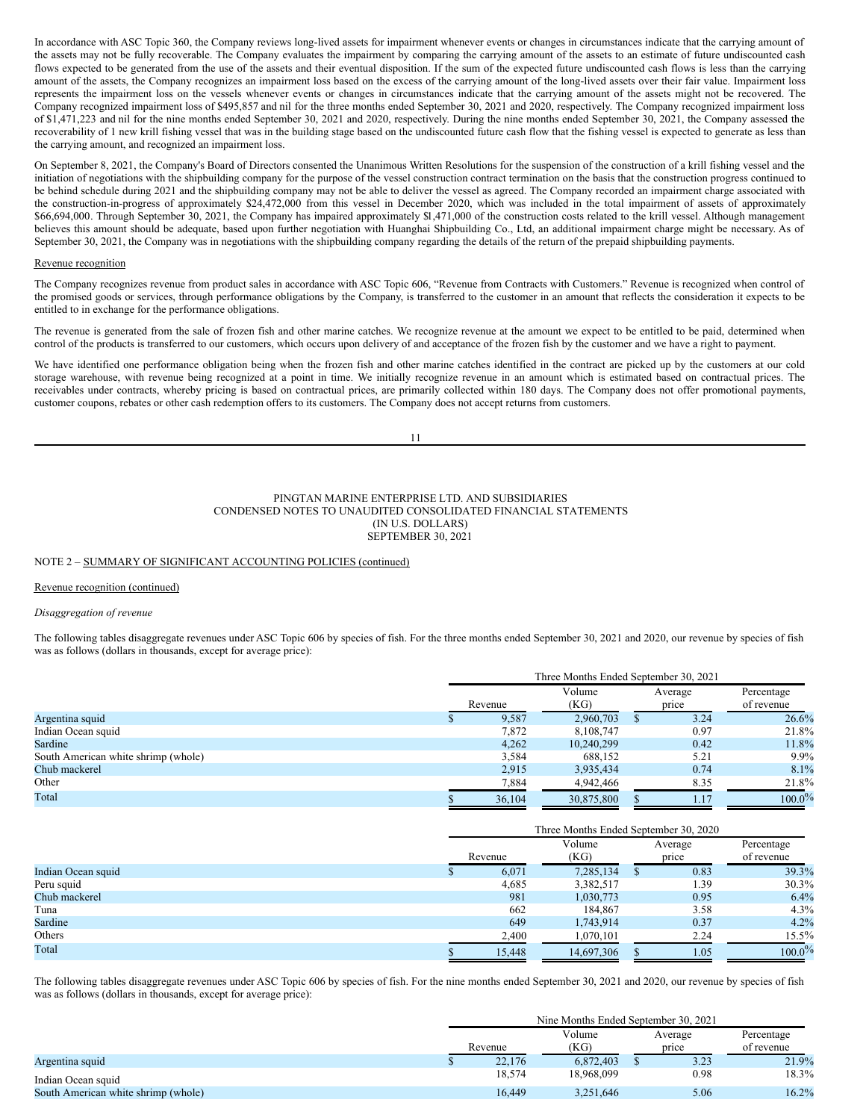In accordance with ASC Topic 360, the Company reviews long-lived assets for impairment whenever events or changes in circumstances indicate that the carrying amount of the assets may not be fully recoverable. The Company evaluates the impairment by comparing the carrying amount of the assets to an estimate of future undiscounted cash flows expected to be generated from the use of the assets and their eventual disposition. If the sum of the expected future undiscounted cash flows is less than the carrying amount of the assets, the Company recognizes an impairment loss based on the excess of the carrying amount of the long-lived assets over their fair value. Impairment loss represents the impairment loss on the vessels whenever events or changes in circumstances indicate that the carrying amount of the assets might not be recovered. The Company recognized impairment loss of \$495,857 and nil for the three months ended September 30, 2021 and 2020, respectively. The Company recognized impairment loss of \$1,471,223 and nil for the nine months ended September 30, 2021 and 2020, respectively. During the nine months ended September 30, 2021, the Company assessed the recoverability of 1 new krill fishing vessel that was in the building stage based on the undiscounted future cash flow that the fishing vessel is expected to generate as less than the carrying amount, and recognized an impairment loss.

On September 8, 2021, the Company's Board of Directors consented the Unanimous Written Resolutions for the suspension of the construction of a krill fishing vessel and the initiation of negotiations with the shipbuilding company for the purpose of the vessel construction contract termination on the basis that the construction progress continued to be behind schedule during 2021 and the shipbuilding company may not be able to deliver the vessel as agreed. The Company recorded an impairment charge associated with the construction-in-progress of approximately \$24,472,000 from this vessel in December 2020, which was included in the total impairment of assets of approximately \$66,694,000. Through September 30, 2021, the Company has impaired approximately \$1,471,000 of the construction costs related to the krill vessel. Although management believes this amount should be adequate, based upon further negotiation with Huanghai Shipbuilding Co., Ltd, an additional impairment charge might be necessary. As of September 30, 2021, the Company was in negotiations with the shipbuilding company regarding the details of the return of the prepaid shipbuilding payments.

#### Revenue recognition

The Company recognizes revenue from product sales in accordance with ASC Topic 606, "Revenue from Contracts with Customers." Revenue is recognized when control of the promised goods or services, through performance obligations by the Company, is transferred to the customer in an amount that reflects the consideration it expects to be entitled to in exchange for the performance obligations.

The revenue is generated from the sale of frozen fish and other marine catches. We recognize revenue at the amount we expect to be entitled to be paid, determined when control of the products is transferred to our customers, which occurs upon delivery of and acceptance of the frozen fish by the customer and we have a right to payment.

We have identified one performance obligation being when the frozen fish and other marine catches identified in the contract are picked up by the customers at our cold storage warehouse, with revenue being recognized at a point in time. We initially recognize revenue in an amount which is estimated based on contractual prices. The receivables under contracts, whereby pricing is based on contractual prices, are primarily collected within 180 days. The Company does not offer promotional payments, customer coupons, rebates or other cash redemption offers to its customers. The Company does not accept returns from customers.

11

#### PINGTAN MARINE ENTERPRISE LTD. AND SUBSIDIARIES CONDENSED NOTES TO UNAUDITED CONSOLIDATED FINANCIAL STATEMENTS (IN U.S. DOLLARS) SEPTEMBER 30, 2021

## NOTE 2 – SUMMARY OF SIGNIFICANT ACCOUNTING POLICIES (continued)

## Revenue recognition (continued)

## *Disaggregation of revenue*

The following tables disaggregate revenues under ASC Topic 606 by species of fish. For the three months ended September 30, 2021 and 2020, our revenue by species of fish was as follows (dollars in thousands, except for average price):

|                                     | Three Months Ended September 30, 2021 |         |                |  |                  |                          |  |  |  |  |
|-------------------------------------|---------------------------------------|---------|----------------|--|------------------|--------------------------|--|--|--|--|
|                                     |                                       | Revenue | Volume<br>(KG) |  | Average<br>price | Percentage<br>of revenue |  |  |  |  |
| Argentina squid                     |                                       | 9,587   | 2,960,703      |  | 3.24             | 26.6%                    |  |  |  |  |
| Indian Ocean squid                  |                                       | 7,872   | 8,108,747      |  | 0.97             | 21.8%                    |  |  |  |  |
| Sardine                             |                                       | 4,262   | 10,240,299     |  | 0.42             | 11.8%                    |  |  |  |  |
| South American white shrimp (whole) |                                       | 3,584   | 688.152        |  | 5.21             | $9.9\%$                  |  |  |  |  |
| Chub mackerel                       |                                       | 2,915   | 3,935,434      |  | 0.74             | 8.1%                     |  |  |  |  |
| Other                               |                                       | 7,884   | 4,942,466      |  | 8.35             | 21.8%                    |  |  |  |  |
| Total                               |                                       | 36,104  | 30,875,800     |  | 1.17             | $100.0\%$                |  |  |  |  |

|                    |  | Three Months Ended September 30, 2020 |                |  |                  |                          |  |  |  |  |  |
|--------------------|--|---------------------------------------|----------------|--|------------------|--------------------------|--|--|--|--|--|
|                    |  | Revenue                               | Volume<br>(KG) |  | Average<br>price | Percentage<br>of revenue |  |  |  |  |  |
| Indian Ocean squid |  | 6,071                                 | 7,285,134      |  | 0.83             | 39.3%                    |  |  |  |  |  |
| Peru squid         |  | 4,685                                 | 3,382,517      |  | 1.39             | 30.3%                    |  |  |  |  |  |
| Chub mackerel      |  | 981                                   | 1,030,773      |  | 0.95             | 6.4%                     |  |  |  |  |  |
| Tuna               |  | 662                                   | 184,867        |  | 3.58             | $4.3\%$                  |  |  |  |  |  |
| Sardine            |  | 649                                   | 1,743,914      |  | 0.37             | 4.2%                     |  |  |  |  |  |
| Others             |  | 2,400                                 | 1,070,101      |  | 2.24             | 15.5%                    |  |  |  |  |  |
| Total              |  | 15,448                                | 14,697,306     |  | 1.05             | $100.0\%$                |  |  |  |  |  |

The following tables disaggregate revenues under ASC Topic 606 by species of fish. For the nine months ended September 30, 2021 and 2020, our revenue by species of fish was as follows (dollars in thousands, except for average price):

|                                     |  | Nine Months Ended September 30, 2021 |                |  |                  |                          |  |  |  |  |  |
|-------------------------------------|--|--------------------------------------|----------------|--|------------------|--------------------------|--|--|--|--|--|
|                                     |  | Revenue                              | Volume<br>(KG) |  | Average<br>price | Percentage<br>of revenue |  |  |  |  |  |
| Argentina squid                     |  | 22,176                               | 6,872,403      |  | 3.23             | 21.9%                    |  |  |  |  |  |
| Indian Ocean squid                  |  | 18.574                               | 18.968.099     |  | 0.98             | 18.3%                    |  |  |  |  |  |
| South American white shrimp (whole) |  | 16.449                               | 3,251,646      |  | 5.06             | 16.2%                    |  |  |  |  |  |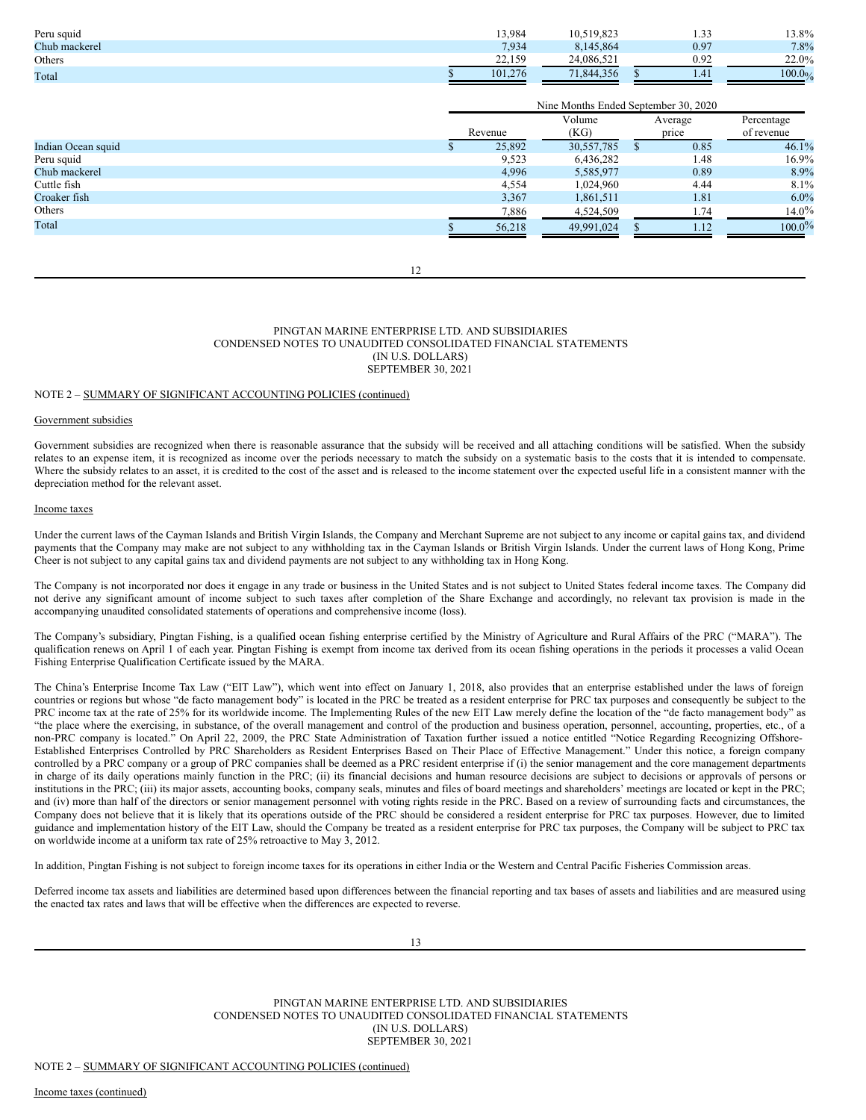| Peru squid    | 13,984                | 10,519,823      | $\sim$<br>1.33 | 13.8%  |
|---------------|-----------------------|-----------------|----------------|--------|
| Chub mackerel | 7.934                 | 8.145.864       | 0.97           | 7.8%   |
| Others        | າາ<br>150<br>د ت که ک | 24,086.52       | 0.92           | 22.0%  |
| Total         | 101.276               | 1.844.356<br>71 | 1.41           | 100.0% |

|                    | Nine Months Ended September 30, 2020 |                |                  |      |                          |  |  |  |  |  |
|--------------------|--------------------------------------|----------------|------------------|------|--------------------------|--|--|--|--|--|
|                    | Revenue                              | Volume<br>(KG) | Average<br>price |      | Percentage<br>of revenue |  |  |  |  |  |
| Indian Ocean squid | 25,892                               | 30,557,785     |                  | 0.85 | 46.1%                    |  |  |  |  |  |
| Peru squid         | 9,523                                | 6,436,282      |                  | 1.48 | 16.9%                    |  |  |  |  |  |
| Chub mackerel      | 4,996                                | 5,585,977      |                  | 0.89 | 8.9%                     |  |  |  |  |  |
| Cuttle fish        | 4,554                                | 1,024,960      |                  | 4.44 | 8.1%                     |  |  |  |  |  |
| Croaker fish       | 3,367                                | 1,861,511      |                  | 1.81 | 6.0%                     |  |  |  |  |  |
| Others             | 7,886                                | 4,524,509      |                  | 1.74 | $14.0\%$                 |  |  |  |  |  |
| Total              | 56,218                               | 49,991,024     |                  | 1.12 | $100.0\%$                |  |  |  |  |  |

12

#### PINGTAN MARINE ENTERPRISE LTD. AND SUBSIDIARIES CONDENSED NOTES TO UNAUDITED CONSOLIDATED FINANCIAL STATEMENTS (IN U.S. DOLLARS) SEPTEMBER 30, 2021

## NOTE 2 – SUMMARY OF SIGNIFICANT ACCOUNTING POLICIES (continued)

## Government subsidies

Government subsidies are recognized when there is reasonable assurance that the subsidy will be received and all attaching conditions will be satisfied. When the subsidy relates to an expense item, it is recognized as income over the periods necessary to match the subsidy on a systematic basis to the costs that it is intended to compensate. Where the subsidy relates to an asset, it is credited to the cost of the asset and is released to the income statement over the expected useful life in a consistent manner with the depreciation method for the relevant asset.

## Income taxes

Under the current laws of the Cayman Islands and British Virgin Islands, the Company and Merchant Supreme are not subject to any income or capital gains tax, and dividend payments that the Company may make are not subject to any withholding tax in the Cayman Islands or British Virgin Islands. Under the current laws of Hong Kong, Prime Cheer is not subject to any capital gains tax and dividend payments are not subject to any withholding tax in Hong Kong.

The Company is not incorporated nor does it engage in any trade or business in the United States and is not subject to United States federal income taxes. The Company did not derive any significant amount of income subject to such taxes after completion of the Share Exchange and accordingly, no relevant tax provision is made in the accompanying unaudited consolidated statements of operations and comprehensive income (loss).

The Company's subsidiary, Pingtan Fishing, is a qualified ocean fishing enterprise certified by the Ministry of Agriculture and Rural Affairs of the PRC ("MARA"). The qualification renews on April 1 of each year. Pingtan Fishing is exempt from income tax derived from its ocean fishing operations in the periods it processes a valid Ocean Fishing Enterprise Qualification Certificate issued by the MARA.

The China's Enterprise Income Tax Law ("EIT Law"), which went into effect on January 1, 2018, also provides that an enterprise established under the laws of foreign countries or regions but whose "de facto management body" is located in the PRC be treated as a resident enterprise for PRC tax purposes and consequently be subject to the PRC income tax at the rate of 25% for its worldwide income. The Implementing Rules of the new EIT Law merely define the location of the "de facto management body" as "the place where the exercising, in substance, of the overall management and control of the production and business operation, personnel, accounting, properties, etc., of a non-PRC company is located." On April 22, 2009, the PRC State Administration of Taxation further issued a notice entitled "Notice Regarding Recognizing Offshore-Established Enterprises Controlled by PRC Shareholders as Resident Enterprises Based on Their Place of Effective Management." Under this notice, a foreign company controlled by a PRC company or a group of PRC companies shall be deemed as a PRC resident enterprise if (i) the senior management and the core management departments in charge of its daily operations mainly function in the PRC; (ii) its financial decisions and human resource decisions are subject to decisions or approvals of persons or institutions in the PRC; (iii) its major assets, accounting books, company seals, minutes and files of board meetings and shareholders' meetings are located or kept in the PRC; and (iv) more than half of the directors or senior management personnel with voting rights reside in the PRC. Based on a review of surrounding facts and circumstances, the Company does not believe that it is likely that its operations outside of the PRC should be considered a resident enterprise for PRC tax purposes. However, due to limited guidance and implementation history of the EIT Law, should the Company be treated as a resident enterprise for PRC tax purposes, the Company will be subject to PRC tax on worldwide income at a uniform tax rate of 25% retroactive to May 3, 2012.

In addition, Pingtan Fishing is not subject to foreign income taxes for its operations in either India or the Western and Central Pacific Fisheries Commission areas.

Deferred income tax assets and liabilities are determined based upon differences between the financial reporting and tax bases of assets and liabilities and are measured using the enacted tax rates and laws that will be effective when the differences are expected to reverse.

PINGTAN MARINE ENTERPRISE LTD. AND SUBSIDIARIES CONDENSED NOTES TO UNAUDITED CONSOLIDATED FINANCIAL STATEMENTS (IN U.S. DOLLARS) SEPTEMBER 30, 2021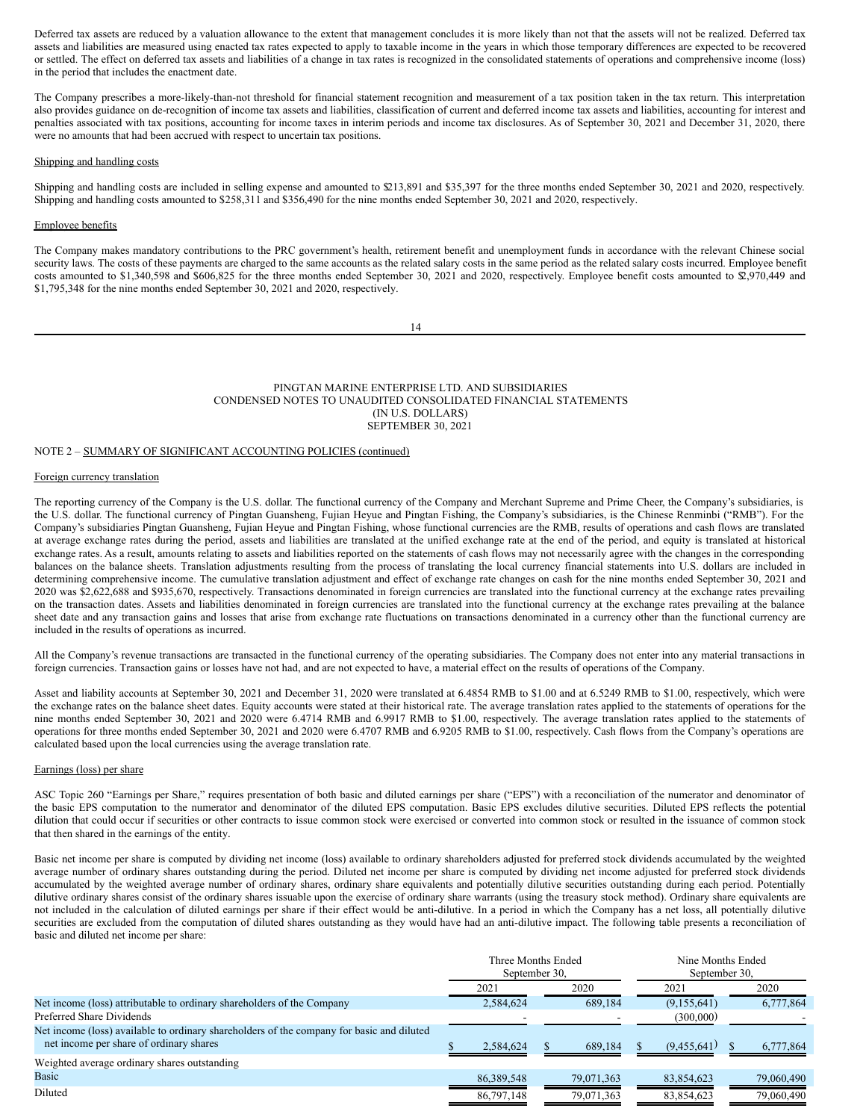Deferred tax assets are reduced by a valuation allowance to the extent that management concludes it is more likely than not that the assets will not be realized. Deferred tax assets and liabilities are measured using enacted tax rates expected to apply to taxable income in the years in which those temporary differences are expected to be recovered or settled. The effect on deferred tax assets and liabilities of a change in tax rates is recognized in the consolidated statements of operations and comprehensive income (loss) in the period that includes the enactment date.

The Company prescribes a more-likely-than-not threshold for financial statement recognition and measurement of a tax position taken in the tax return. This interpretation also provides guidance on de-recognition of income tax assets and liabilities, classification of current and deferred income tax assets and liabilities, accounting for interest and penalties associated with tax positions, accounting for income taxes in interim periods and income tax disclosures. As of September 30, 2021 and December 31, 2020, there were no amounts that had been accrued with respect to uncertain tax positions.

#### Shipping and handling costs

Shipping and handling costs are included in selling expense and amounted to \$213,891 and \$35,397 for the three months ended September 30, 2021 and 2020, respectively. Shipping and handling costs amounted to \$258,311 and \$356,490 for the nine months ended September 30, 2021 and 2020, respectively.

### Employee benefits

The Company makes mandatory contributions to the PRC government's health, retirement benefit and unemployment funds in accordance with the relevant Chinese social security laws. The costs of these payments are charged to the same accounts as the related salary costs in the same period as the related salary costs incurred. Employee benefit costs amounted to \$1,340,598 and \$606,825 for the three months ended September 30, 2021 and 2020, respectively. Employee benefit costs amounted to \$2,970,449 and \$1,795,348 for the nine months ended September 30, 2021 and 2020, respectively.

14

### PINGTAN MARINE ENTERPRISE LTD. AND SUBSIDIARIES CONDENSED NOTES TO UNAUDITED CONSOLIDATED FINANCIAL STATEMENTS (IN U.S. DOLLARS) SEPTEMBER 30, 2021

### NOTE 2 – SUMMARY OF SIGNIFICANT ACCOUNTING POLICIES (continued)

#### Foreign currency translation

The reporting currency of the Company is the U.S. dollar. The functional currency of the Company and Merchant Supreme and Prime Cheer, the Company's subsidiaries, is the U.S. dollar. The functional currency of Pingtan Guansheng, Fujian Heyue and Pingtan Fishing, the Company's subsidiaries, is the Chinese Renminbi ("RMB"). For the Company's subsidiaries Pingtan Guansheng, Fujian Heyue and Pingtan Fishing, whose functional currencies are the RMB, results of operations and cash flows are translated at average exchange rates during the period, assets and liabilities are translated at the unified exchange rate at the end of the period, and equity is translated at historical exchange rates. As a result, amounts relating to assets and liabilities reported on the statements of cash flows may not necessarily agree with the changes in the corresponding balances on the balance sheets. Translation adjustments resulting from the process of translating the local currency financial statements into U.S. dollars are included in determining comprehensive income. The cumulative translation adjustment and effect of exchange rate changes on cash for the nine months ended September 30, 2021 and 2020 was \$2,622,688 and \$935,670, respectively. Transactions denominated in foreign currencies are translated into the functional currency at the exchange rates prevailing on the transaction dates. Assets and liabilities denominated in foreign currencies are translated into the functional currency at the exchange rates prevailing at the balance sheet date and any transaction gains and losses that arise from exchange rate fluctuations on transactions denominated in a currency other than the functional currency are included in the results of operations as incurred.

All the Company's revenue transactions are transacted in the functional currency of the operating subsidiaries. The Company does not enter into any material transactions in foreign currencies. Transaction gains or losses have not had, and are not expected to have, a material effect on the results of operations of the Company.

Asset and liability accounts at September 30, 2021 and December 31, 2020 were translated at 6.4854 RMB to \$1.00 and at 6.5249 RMB to \$1.00, respectively, which were the exchange rates on the balance sheet dates. Equity accounts were stated at their historical rate. The average translation rates applied to the statements of operations for the nine months ended September 30, 2021 and 2020 were 6.4714 RMB and 6.9917 RMB to \$1.00, respectively. The average translation rates applied to the statements of operations for three months ended September 30, 2021 and 2020 were 6.4707 RMB and 6.9205 RMB to \$1.00, respectively. Cash flows from the Company's operations are calculated based upon the local currencies using the average translation rate.

#### Earnings (loss) per share

ASC Topic 260 "Earnings per Share," requires presentation of both basic and diluted earnings per share ("EPS") with a reconciliation of the numerator and denominator of the basic EPS computation to the numerator and denominator of the diluted EPS computation. Basic EPS excludes dilutive securities. Diluted EPS reflects the potential dilution that could occur if securities or other contracts to issue common stock were exercised or converted into common stock or resulted in the issuance of common stock that then shared in the earnings of the entity.

Basic net income per share is computed by dividing net income (loss) available to ordinary shareholders adjusted for preferred stock dividends accumulated by the weighted average number of ordinary shares outstanding during the period. Diluted net income per share is computed by dividing net income adjusted for preferred stock dividends accumulated by the weighted average number of ordinary shares, ordinary share equivalents and potentially dilutive securities outstanding during each period. Potentially dilutive ordinary shares consist of the ordinary shares issuable upon the exercise of ordinary share warrants (using the treasury stock method). Ordinary share equivalents are not included in the calculation of diluted earnings per share if their effect would be anti-dilutive. In a period in which the Company has a net loss, all potentially dilutive securities are excluded from the computation of diluted shares outstanding as they would have had an anti-dilutive impact. The following table presents a reconciliation of basic and diluted net income per share:

|                                                                                                                                      | Three Months Ended<br>September 30, |            |  | Nine Months Ended<br>September 30, |  |             |  |            |
|--------------------------------------------------------------------------------------------------------------------------------------|-------------------------------------|------------|--|------------------------------------|--|-------------|--|------------|
|                                                                                                                                      |                                     | 2021       |  | 2020                               |  | 2021        |  | 2020       |
| Net income (loss) attributable to ordinary shareholders of the Company                                                               |                                     | 2.584.624  |  | 689.184                            |  | (9,155,641) |  | 6,777,864  |
| Preferred Share Dividends                                                                                                            |                                     |            |  |                                    |  | (300,000)   |  |            |
| Net income (loss) available to ordinary shareholders of the company for basic and diluted<br>net income per share of ordinary shares |                                     | 2,584,624  |  | 689,184                            |  | (9,455,641) |  | 6,777,864  |
| Weighted average ordinary shares outstanding                                                                                         |                                     |            |  |                                    |  |             |  |            |
| <b>Basic</b>                                                                                                                         |                                     | 86,389,548 |  | 79,071,363                         |  | 83,854,623  |  | 79,060,490 |
| Diluted                                                                                                                              |                                     | 86,797,148 |  | 79,071,363                         |  | 83,854,623  |  | 79,060,490 |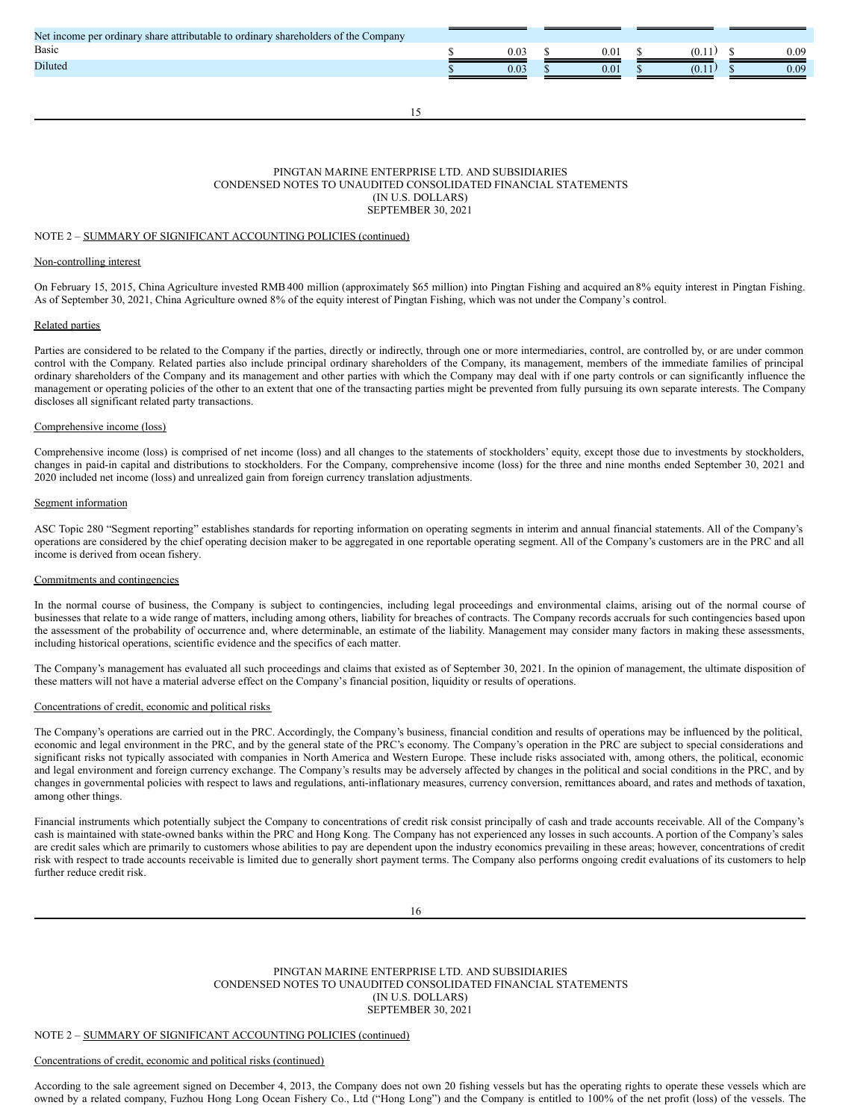| Net income per ordinary share attributable to ordinary shareholders of the Company |      |      |        |      |
|------------------------------------------------------------------------------------|------|------|--------|------|
| Basic                                                                              | 0.03 | 0.01 | (0.11) | 0.09 |
| Diluted                                                                            | 0.03 | 0.01 | (0.11) | 0.09 |
|                                                                                    |      |      |        |      |
|                                                                                    |      |      |        |      |

#### 15

### PINGTAN MARINE ENTERPRISE LTD. AND SUBSIDIARIES CONDENSED NOTES TO UNAUDITED CONSOLIDATED FINANCIAL STATEMENTS (IN U.S. DOLLARS) SEPTEMBER 30, 2021

#### NOTE 2 – SUMMARY OF SIGNIFICANT ACCOUNTING POLICIES (continued)

#### Non-controlling interest

On February 15, 2015, China Agriculture invested RMB400 million (approximately \$65 million) into Pingtan Fishing and acquired an 8% equity interest in Pingtan Fishing. As of September 30, 2021, China Agriculture owned 8% of the equity interest of Pingtan Fishing, which was not under the Company's control.

#### Related parties

Parties are considered to be related to the Company if the parties, directly or indirectly, through one or more intermediaries, control, are controlled by, or are under common control with the Company. Related parties also include principal ordinary shareholders of the Company, its management, members of the immediate families of principal ordinary shareholders of the Company and its management and other parties with which the Company may deal with if one party controls or can significantly influence the management or operating policies of the other to an extent that one of the transacting parties might be prevented from fully pursuing its own separate interests. The Company discloses all significant related party transactions.

## Comprehensive income (loss)

Comprehensive income (loss) is comprised of net income (loss) and all changes to the statements of stockholders' equity, except those due to investments by stockholders, changes in paid-in capital and distributions to stockholders. For the Company, comprehensive income (loss) for the three and nine months ended September 30, 2021 and 2020 included net income (loss) and unrealized gain from foreign currency translation adjustments.

## Segment information

ASC Topic 280 "Segment reporting" establishes standards for reporting information on operating segments in interim and annual financial statements. All of the Company's operations are considered by the chief operating decision maker to be aggregated in one reportable operating segment. All of the Company's customers are in the PRC and all income is derived from ocean fishery.

## Commitments and contingencies

In the normal course of business, the Company is subject to contingencies, including legal proceedings and environmental claims, arising out of the normal course of businesses that relate to a wide range of matters, including among others, liability for breaches of contracts. The Company records accruals for such contingencies based upon the assessment of the probability of occurrence and, where determinable, an estimate of the liability. Management may consider many factors in making these assessments, including historical operations, scientific evidence and the specifics of each matter.

The Company's management has evaluated all such proceedings and claims that existed as of September 30, 2021. In the opinion of management, the ultimate disposition of these matters will not have a material adverse effect on the Company's financial position, liquidity or results of operations.

#### Concentrations of credit, economic and political risks

The Company's operations are carried out in the PRC. Accordingly, the Company's business, financial condition and results of operations may be influenced by the political, economic and legal environment in the PRC, and by the general state of the PRC's economy. The Company's operation in the PRC are subject to special considerations and significant risks not typically associated with companies in North America and Western Europe. These include risks associated with, among others, the political, economic and legal environment and foreign currency exchange. The Company's results may be adversely affected by changes in the political and social conditions in the PRC, and by changes in governmental policies with respect to laws and regulations, anti-inflationary measures, currency conversion, remittances aboard, and rates and methods of taxation, among other things.

Financial instruments which potentially subject the Company to concentrations of credit risk consist principally of cash and trade accounts receivable. All of the Company's cash is maintained with state-owned banks within the PRC and Hong Kong. The Company has not experienced any losses in such accounts. A portion of the Company's sales are credit sales which are primarily to customers whose abilities to pay are dependent upon the industry economics prevailing in these areas; however, concentrations of credit risk with respect to trade accounts receivable is limited due to generally short payment terms. The Company also performs ongoing credit evaluations of its customers to help further reduce credit risk.

## PINGTAN MARINE ENTERPRISE LTD. AND SUBSIDIARIES CONDENSED NOTES TO UNAUDITED CONSOLIDATED FINANCIAL STATEMENTS (IN U.S. DOLLARS) SEPTEMBER 30, 2021

## NOTE 2 – SUMMARY OF SIGNIFICANT ACCOUNTING POLICIES (continued)

## Concentrations of credit, economic and political risks (continued)

According to the sale agreement signed on December 4, 2013, the Company does not own 20 fishing vessels but has the operating rights to operate these vessels which are owned by a related company, Fuzhou Hong Long Ocean Fishery Co., Ltd ("Hong Long") and the Company is entitled to 100% of the net profit (loss) of the vessels. The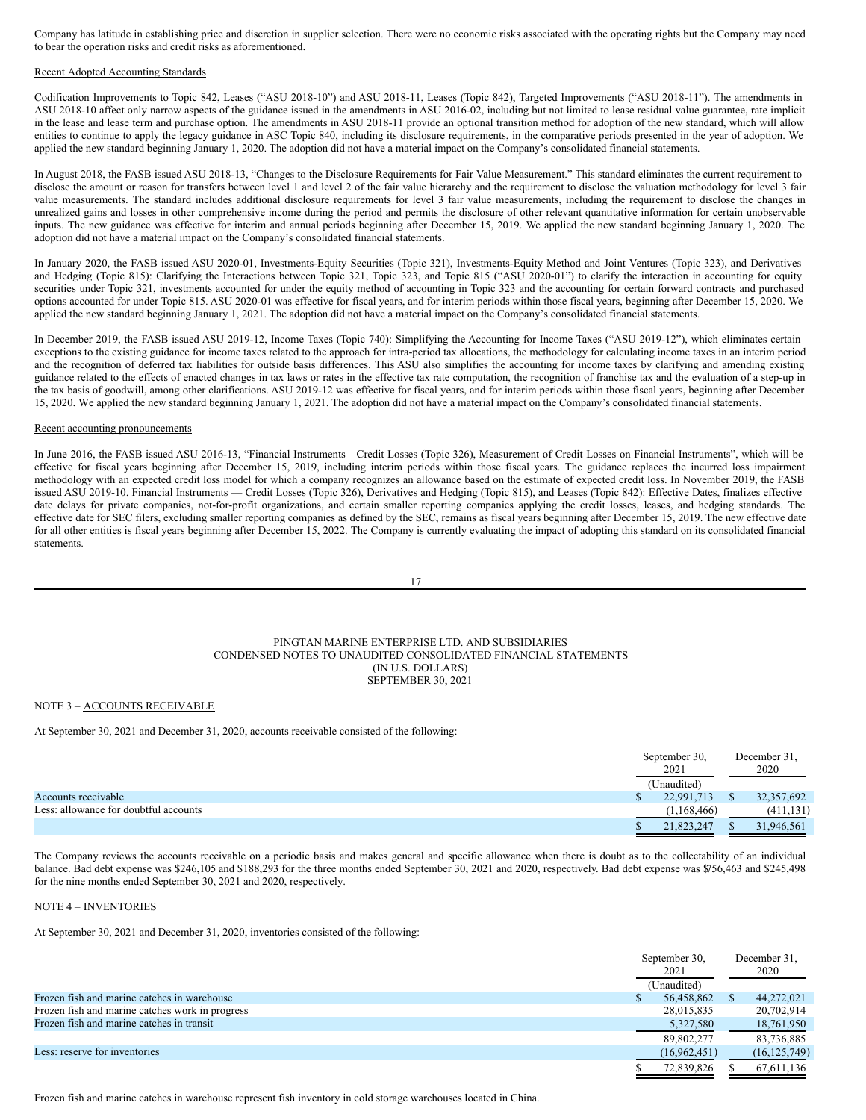Company has latitude in establishing price and discretion in supplier selection. There were no economic risks associated with the operating rights but the Company may need to bear the operation risks and credit risks as aforementioned.

#### Recent Adopted Accounting Standards

Codification Improvements to Topic 842, Leases ("ASU 2018-10") and ASU 2018-11, Leases (Topic 842), Targeted Improvements ("ASU 2018-11"). The amendments in ASU 2018-10 affect only narrow aspects of the guidance issued in the amendments in ASU 2016-02, including but not limited to lease residual value guarantee, rate implicit in the lease and lease term and purchase option. The amendments in ASU 2018-11 provide an optional transition method for adoption of the new standard, which will allow entities to continue to apply the legacy guidance in ASC Topic 840, including its disclosure requirements, in the comparative periods presented in the year of adoption. We applied the new standard beginning January 1, 2020. The adoption did not have a material impact on the Company's consolidated financial statements.

In August 2018, the FASB issued ASU 2018-13, "Changes to the Disclosure Requirements for Fair Value Measurement." This standard eliminates the current requirement to disclose the amount or reason for transfers between level 1 and level 2 of the fair value hierarchy and the requirement to disclose the valuation methodology for level 3 fair value measurements. The standard includes additional disclosure requirements for level 3 fair value measurements, including the requirement to disclose the changes in unrealized gains and losses in other comprehensive income during the period and permits the disclosure of other relevant quantitative information for certain unobservable inputs. The new guidance was effective for interim and annual periods beginning after December 15, 2019. We applied the new standard beginning January 1, 2020. The adoption did not have a material impact on the Company's consolidated financial statements.

In January 2020, the FASB issued ASU 2020-01, Investments-Equity Securities (Topic 321), Investments-Equity Method and Joint Ventures (Topic 323), and Derivatives and Hedging (Topic 815): Clarifying the Interactions between Topic 321, Topic 323, and Topic 815 ("ASU 2020-01") to clarify the interaction in accounting for equity securities under Topic 321, investments accounted for under the equity method of accounting in Topic 323 and the accounting for certain forward contracts and purchased options accounted for under Topic 815. ASU 2020-01 was effective for fiscal years, and for interim periods within those fiscal years, beginning after December 15, 2020. We applied the new standard beginning January 1, 2021. The adoption did not have a material impact on the Company's consolidated financial statements.

In December 2019, the FASB issued ASU 2019-12, Income Taxes (Topic 740): Simplifying the Accounting for Income Taxes ("ASU 2019-12"), which eliminates certain exceptions to the existing guidance for income taxes related to the approach for intra-period tax allocations, the methodology for calculating income taxes in an interim period and the recognition of deferred tax liabilities for outside basis differences. This ASU also simplifies the accounting for income taxes by clarifying and amending existing guidance related to the effects of enacted changes in tax laws or rates in the effective tax rate computation, the recognition of franchise tax and the evaluation of a step-up in the tax basis of goodwill, among other clarifications. ASU 2019-12 was effective for fiscal years, and for interim periods within those fiscal years, beginning after December 15, 2020. We applied the new standard beginning January 1, 2021. The adoption did not have a material impact on the Company's consolidated financial statements.

### Recent accounting pronouncements

In June 2016, the FASB issued ASU 2016-13, "Financial Instruments—Credit Losses (Topic 326), Measurement of Credit Losses on Financial Instruments", which will be effective for fiscal years beginning after December 15, 2019, including interim periods within those fiscal years. The guidance replaces the incurred loss impairment methodology with an expected credit loss model for which a company recognizes an allowance based on the estimate of expected credit loss. In November 2019, the FASB issued ASU 2019-10. Financial Instruments — Credit Losses (Topic 326), Derivatives and Hedging (Topic 815), and Leases (Topic 842): Effective Dates, finalizes effective date delays for private companies, not-for-profit organizations, and certain smaller reporting companies applying the credit losses, leases, and hedging standards. The effective date for SEC filers, excluding smaller reporting companies as defined by the SEC, remains as fiscal years beginning after December 15, 2019. The new effective date for all other entities is fiscal years beginning after December 15, 2022. The Company is currently evaluating the impact of adopting this standard on its consolidated financial statements.

17

### PINGTAN MARINE ENTERPRISE LTD. AND SUBSIDIARIES CONDENSED NOTES TO UNAUDITED CONSOLIDATED FINANCIAL STATEMENTS (IN U.S. DOLLARS) SEPTEMBER 30, 2021

NOTE 3 – ACCOUNTS RECEIVABLE

At September 30, 2021 and December 31, 2020, accounts receivable consisted of the following:

|                                       | September 30,<br>2021 | December 31.<br>2020 |
|---------------------------------------|-----------------------|----------------------|
|                                       | (Unaudited)           |                      |
| Accounts receivable                   | 22,991,713            | 32,357,692           |
| Less: allowance for doubtful accounts | (1.168, 466)          | (411, 131)           |
|                                       | 21,823,247            | 31,946,561           |

The Company reviews the accounts receivable on a periodic basis and makes general and specific allowance when there is doubt as to the collectability of an individual balance. Bad debt expense was \$246,105 and \$188,293 for the three months ended September 30, 2021 and 2020, respectively. Bad debt expense was \$756,463 and \$245,498 for the nine months ended September 30, 2021 and 2020, respectively.

# NOTE 4 – INVENTORIES

At September 30, 2021 and December 31, 2020, inventories consisted of the following:

|                                                 | September 30, |  | December 31.   |  |
|-------------------------------------------------|---------------|--|----------------|--|
|                                                 | 2021          |  | 2020           |  |
|                                                 | (Unaudited)   |  |                |  |
| Frozen fish and marine catches in warehouse     | 56,458,862    |  | 44,272,021     |  |
| Frozen fish and marine catches work in progress | 28,015,835    |  | 20,702,914     |  |
| Frozen fish and marine catches in transit       | 5,327,580     |  | 18,761,950     |  |
|                                                 | 89,802,277    |  | 83,736,885     |  |
| Less: reserve for inventories                   | (16,962,451)  |  | (16, 125, 749) |  |
|                                                 | 72,839,826    |  | 67,611,136     |  |

Frozen fish and marine catches in warehouse represent fish inventory in cold storage warehouses located in China.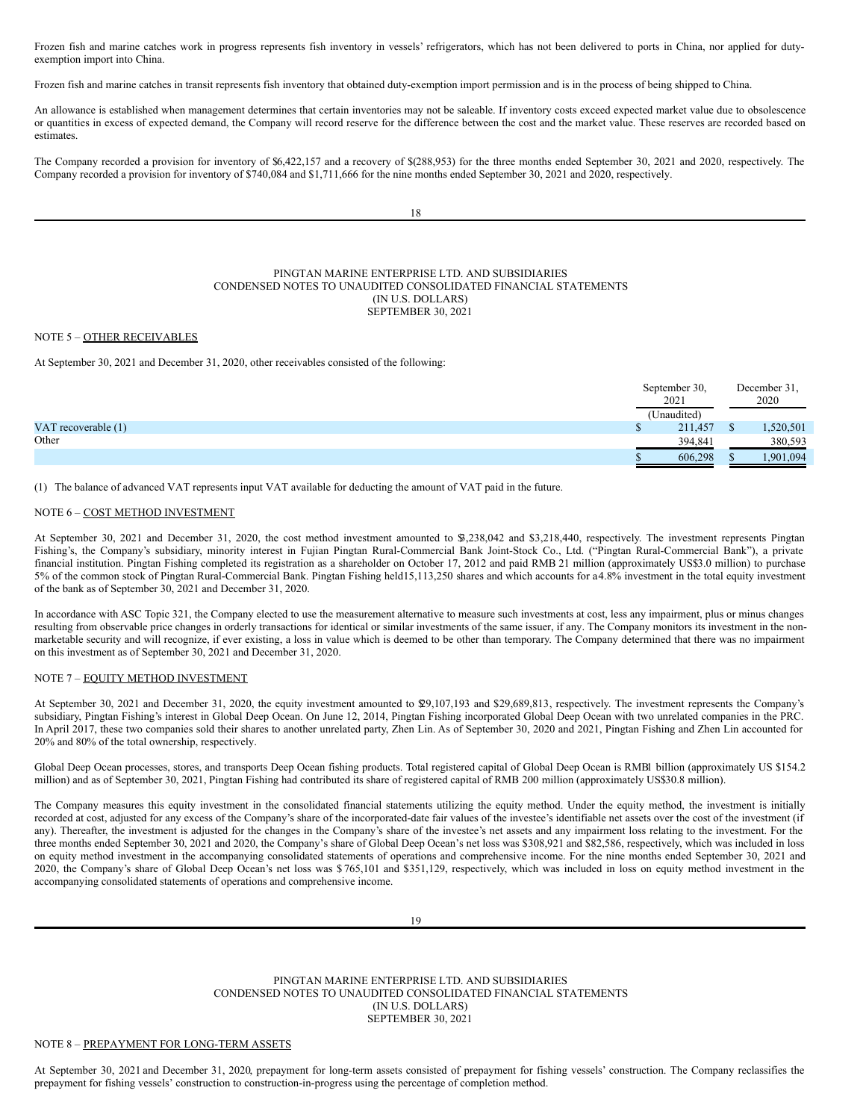Frozen fish and marine catches work in progress represents fish inventory in vessels' refrigerators, which has not been delivered to ports in China, nor applied for dutyexemption import into China.

Frozen fish and marine catches in transit represents fish inventory that obtained duty-exemption import permission and is in the process of being shipped to China.

An allowance is established when management determines that certain inventories may not be saleable. If inventory costs exceed expected market value due to obsolescence or quantities in excess of expected demand, the Company will record reserve for the difference between the cost and the market value. These reserves are recorded based on estimates.

The Company recorded a provision for inventory of \$6,422,157 and a recovery of \$(288,953) for the three months ended September 30, 2021 and 2020, respectively. The Company recorded a provision for inventory of \$740,084 and \$1,711,666 for the nine months ended September 30, 2021 and 2020, respectively.

18

#### PINGTAN MARINE ENTERPRISE LTD. AND SUBSIDIARIES CONDENSED NOTES TO UNAUDITED CONSOLIDATED FINANCIAL STATEMENTS (IN U.S. DOLLARS) SEPTEMBER 30, 2021

## NOTE 5 – OTHER RECEIVABLES

At September 30, 2021 and December 31, 2020, other receivables consisted of the following:

|                     |    | September 30,<br>2021 | December 31,<br>2020 |
|---------------------|----|-----------------------|----------------------|
|                     |    | (Unaudited)           |                      |
| VAT recoverable (1) | ۵D | 211,457               | ,520,501             |
| Other               |    | 394,841               | 380,593              |
|                     |    | 606.298               | .901,094             |

(1) The balance of advanced VAT represents input VAT available for deducting the amount of VAT paid in the future.

## NOTE 6 – COST METHOD INVESTMENT

At September 30, 2021 and December 31, 2020, the cost method investment amounted to \$3,238,042 and \$3,218,440, respectively. The investment represents Pingtan Fishing's, the Company's subsidiary, minority interest in Fujian Pingtan Rural-Commercial Bank Joint-Stock Co., Ltd. ("Pingtan Rural-Commercial Bank"), a private financial institution. Pingtan Fishing completed its registration as a shareholder on October 17, 2012 and paid RMB 21 million (approximately US\$3.0 million) to purchase 5% of the common stock of Pingtan Rural-Commercial Bank. Pingtan Fishing held15,113,250 shares and which accounts for a4.8% investment in the total equity investment of the bank as of September 30, 2021 and December 31, 2020.

In accordance with ASC Topic 321, the Company elected to use the measurement alternative to measure such investments at cost, less any impairment, plus or minus changes resulting from observable price changes in orderly transactions for identical or similar investments of the same issuer, if any. The Company monitors its investment in the nonmarketable security and will recognize, if ever existing, a loss in value which is deemed to be other than temporary. The Company determined that there was no impairment on this investment as of September 30, 2021 and December 31, 2020.

## NOTE 7 – EQUITY METHOD INVESTMENT

At September 30, 2021 and December 31, 2020, the equity investment amounted to \$29,107,193 and \$29,689,813, respectively. The investment represents the Company's subsidiary, Pingtan Fishing's interest in Global Deep Ocean. On June 12, 2014, Pingtan Fishing incorporated Global Deep Ocean with two unrelated companies in the PRC. In April 2017, these two companies sold their shares to another unrelated party, Zhen Lin. As of September 30, 2020 and 2021, Pingtan Fishing and Zhen Lin accounted for 20% and 80% of the total ownership, respectively.

Global Deep Ocean processes, stores, and transports Deep Ocean fishing products. Total registered capital of Global Deep Ocean is RMB1 billion (approximately US \$154.2 million) and as of September 30, 2021, Pingtan Fishing had contributed its share of registered capital of RMB 200 million (approximately US\$30.8 million).

The Company measures this equity investment in the consolidated financial statements utilizing the equity method. Under the equity method, the investment is initially recorded at cost, adjusted for any excess of the Company's share of the incorporated-date fair values of the investee's identifiable net assets over the cost of the investment (if any). Thereafter, the investment is adjusted for the changes in the Company's share of the investee's net assets and any impairment loss relating to the investment. For the three months ended September 30, 2021 and 2020, the Company's share of Global Deep Ocean's net loss was \$308,921 and \$82,586, respectively, which was included in loss on equity method investment in the accompanying consolidated statements of operations and comprehensive income. For the nine months ended September 30, 2021 and 2020, the Company's share of Global Deep Ocean's net loss was \$ 765,101 and \$351,129, respectively, which was included in loss on equity method investment in the accompanying consolidated statements of operations and comprehensive income.

PINGTAN MARINE ENTERPRISE LTD. AND SUBSIDIARIES CONDENSED NOTES TO UNAUDITED CONSOLIDATED FINANCIAL STATEMENTS (IN U.S. DOLLARS) SEPTEMBER 30, 2021

#### NOTE 8 – PREPAYMENT FOR LONG-TERM ASSETS

At September 30, 2021 and December 31, 2020, prepayment for long-term assets consisted of prepayment for fishing vessels' construction. The Company reclassifies the prepayment for fishing vessels' construction to construction-in-progress using the percentage of completion method.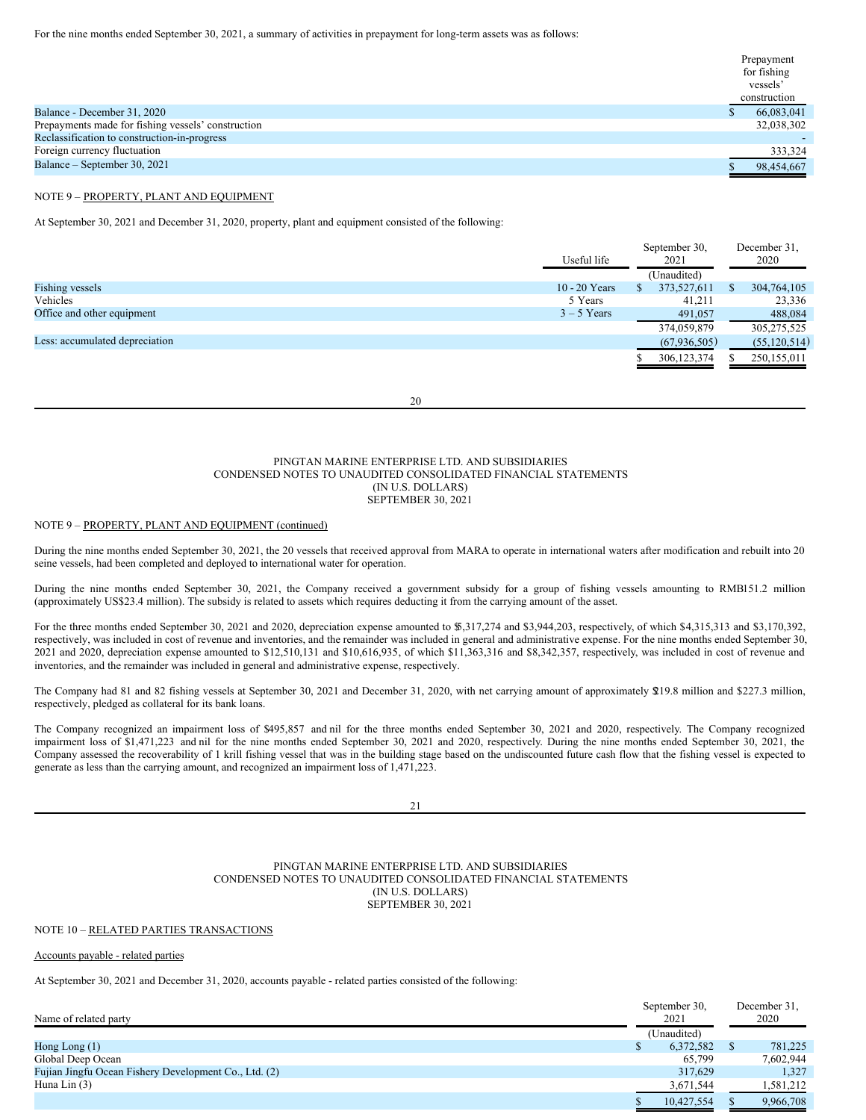|                                                    | Prepayment<br>for fishing<br>vessels' |
|----------------------------------------------------|---------------------------------------|
|                                                    | construction                          |
| Balance - December 31, 2020                        | 66,083,041                            |
| Prepayments made for fishing vessels' construction | 32,038,302                            |
| Reclassification to construction-in-progress       |                                       |
| Foreign currency fluctuation                       | 333,324                               |
| Balance – September 30, 2021                       | 98,454,667                            |

## NOTE 9 – PROPERTY, PLANT AND EQUIPMENT

At September 30, 2021 and December 31, 2020, property, plant and equipment consisted of the following:

|                                | Useful life<br>2021 |    | September 30,  |  |                |  |  |  |  |  | December 31,<br>2020 |
|--------------------------------|---------------------|----|----------------|--|----------------|--|--|--|--|--|----------------------|
|                                |                     |    | (Unaudited)    |  |                |  |  |  |  |  |                      |
| <b>Fishing vessels</b>         | $10 - 20$ Years     | S. | 373,527,611    |  | 304,764,105    |  |  |  |  |  |                      |
| Vehicles                       | 5 Years             |    | 41,211         |  | 23,336         |  |  |  |  |  |                      |
| Office and other equipment     | $3 - 5$ Years       |    | 491,057        |  | 488,084        |  |  |  |  |  |                      |
|                                |                     |    | 374,059,879    |  | 305,275,525    |  |  |  |  |  |                      |
| Less: accumulated depreciation |                     |    | (67, 936, 505) |  | (55, 120, 514) |  |  |  |  |  |                      |
|                                |                     |    | 306, 123, 374  |  | 250,155,011    |  |  |  |  |  |                      |

20

#### PINGTAN MARINE ENTERPRISE LTD. AND SUBSIDIARIES CONDENSED NOTES TO UNAUDITED CONSOLIDATED FINANCIAL STATEMENTS (IN U.S. DOLLARS) SEPTEMBER 30, 2021

#### NOTE 9 – PROPERTY, PLANT AND EQUIPMENT (continued)

During the nine months ended September 30, 2021, the 20 vessels that received approval from MARA to operate in international waters after modification and rebuilt into 20 seine vessels, had been completed and deployed to international water for operation.

During the nine months ended September 30, 2021, the Company received a government subsidy for a group of fishing vessels amounting to RMB151.2 million (approximately US\$23.4 million). The subsidy is related to assets which requires deducting it from the carrying amount of the asset.

For the three months ended September 30, 2021 and 2020, depreciation expense amounted to \$5,317,274 and \$3,944,203, respectively, of which \$4,315,313 and \$3,170,392, respectively, was included in cost of revenue and inventories, and the remainder was included in general and administrative expense. For the nine months ended September 30, 2021 and 2020, depreciation expense amounted to \$12,510,131 and \$10,616,935, of which \$11,363,316 and \$8,342,357, respectively, was included in cost of revenue and inventories, and the remainder was included in general and administrative expense, respectively.

The Company had 81 and 82 fishing vessels at September 30, 2021 and December 31, 2020, with net carrying amount of approximately \$219.8 million and \$227.3 million, respectively, pledged as collateral for its bank loans.

The Company recognized an impairment loss of \$495,857 and nil for the three months ended September 30, 2021 and 2020, respectively. The Company recognized impairment loss of \$1,471,223 and nil for the nine months ended September 30, 2021 and 2020, respectively. During the nine months ended September 30, 2021, the Company assessed the recoverability of 1 krill fishing vessel that was in the building stage based on the undiscounted future cash flow that the fishing vessel is expected to generate as less than the carrying amount, and recognized an impairment loss of 1,471,223.

21

#### PINGTAN MARINE ENTERPRISE LTD. AND SUBSIDIARIES CONDENSED NOTES TO UNAUDITED CONSOLIDATED FINANCIAL STATEMENTS (IN U.S. DOLLARS) SEPTEMBER 30, 2021

## NOTE 10 – RELATED PARTIES TRANSACTIONS

Accounts payable - related parties

At September 30, 2021 and December 31, 2020, accounts payable - related parties consisted of the following:

| Name of related party                                 | September 30,<br>2021 | December 31,<br>2020 |  |
|-------------------------------------------------------|-----------------------|----------------------|--|
|                                                       | (Unaudited)           |                      |  |
| Hong Long $(1)$                                       | 6,372,582             | 781,225              |  |
| Global Deep Ocean                                     | 65,799                | 7,602,944            |  |
| Fujian Jingfu Ocean Fishery Development Co., Ltd. (2) | 317,629               | 1,327                |  |
| Huna Lin $(3)$                                        | 3,671,544             | 1,581,212            |  |
|                                                       | 10,427,554            | 9,966,708            |  |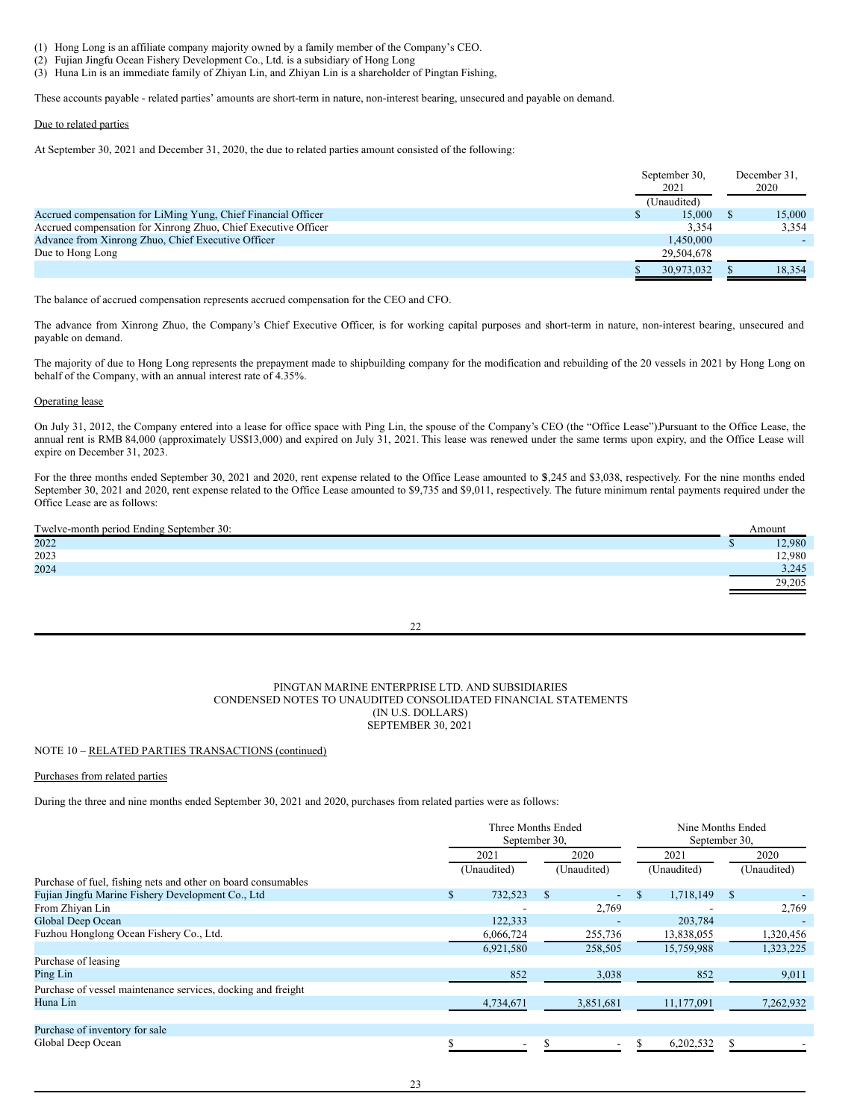- (1) Hong Long is an affiliate company majority owned by a family member of the Company's CEO.
- (2) Fujian Jingfu Ocean Fishery Development Co., Ltd. is a subsidiary of Hong Long
- (3) Huna Lin is an immediate family of Zhiyan Lin, and Zhiyan Lin is a shareholder of Pingtan Fishing,

These accounts payable - related parties' amounts are short-term in nature, non-interest bearing, unsecured and payable on demand.

#### Due to related parties

At September 30, 2021 and December 31, 2020, the due to related parties amount consisted of the following:

|                                                                | September 30,<br>2021 | December 31,<br>2020 |
|----------------------------------------------------------------|-----------------------|----------------------|
|                                                                | (Unaudited)           |                      |
| Accrued compensation for LiMing Yung, Chief Financial Officer  | 15,000                | 15,000               |
| Accrued compensation for Xinrong Zhuo, Chief Executive Officer | 3.354                 | 3.354                |
| Advance from Xinrong Zhuo, Chief Executive Officer             | 1,450,000             |                      |
| Due to Hong Long                                               | 29,504,678            |                      |
|                                                                | 30,973,032            | 18.354               |

The balance of accrued compensation represents accrued compensation for the CEO and CFO.

The advance from Xinrong Zhuo, the Company's Chief Executive Officer, is for working capital purposes and short-term in nature, non-interest bearing, unsecured and payable on demand.

The majority of due to Hong Long represents the prepayment made to shipbuilding company for the modification and rebuilding of the 20 vessels in 2021 by Hong Long on behalf of the Company, with an annual interest rate of 4.35%.

#### Operating lease

On July 31, 2012, the Company entered into a lease for office space with Ping Lin, the spouse of the Company's CEO (the "Office Lease").Pursuant to the Office Lease, the annual rent is RMB 84,000 (approximately US\$13,000) and expired on July 31, 2021. This lease was renewed under the same terms upon expiry, and the Office Lease will expire on December 31, 2023.

For the three months ended September 30, 2021 and 2020, rent expense related to the Office Lease amounted to \$,245 and \$3,038, respectively. For the nine months ended September 30, 2021 and 2020, rent expense related to the Office Lease amounted to \$9,735 and \$9,011, respectively. The future minimum rental payments required under the Office Lease are as follows:

| Twelve-month period Ending September 30: |        |
|------------------------------------------|--------|
| 2022                                     | 12,980 |
| 2023                                     | 12,980 |
| 2024                                     | 3,245  |
|                                          | 29,205 |

#### PINGTAN MARINE ENTERPRISE LTD. AND SUBSIDIARIES CONDENSED NOTES TO UNAUDITED CONSOLIDATED FINANCIAL STATEMENTS (IN U.S. DOLLARS) SEPTEMBER 30, 2021

# NOTE 10 – RELATED PARTIES TRANSACTIONS (continued)

## Purchases from related parties

During the three and nine months ended September 30, 2021 and 2020, purchases from related parties were as follows:

|                                                               |    | Three Months Ended<br>September 30, |             |             | Nine Months Ended<br>September 30, |
|---------------------------------------------------------------|----|-------------------------------------|-------------|-------------|------------------------------------|
|                                                               |    | 2021<br>2020                        |             | 2021        | 2020                               |
|                                                               |    | (Unaudited)                         | (Unaudited) | (Unaudited) | (Unaudited)                        |
| Purchase of fuel, fishing nets and other on board consumables |    |                                     |             |             |                                    |
| Fujian Jingfu Marine Fishery Development Co., Ltd             | S. | 732,523                             | \$          | 1,718,149   | S                                  |
| From Zhiyan Lin                                               |    |                                     | 2,769       |             | 2,769                              |
| Global Deep Ocean                                             |    | 122,333                             |             | 203,784     |                                    |
| Fuzhou Honglong Ocean Fishery Co., Ltd.                       |    | 6,066,724                           | 255,736     | 13,838,055  | 1,320,456                          |
|                                                               |    | 6,921,580                           | 258,505     | 15,759,988  | 1,323,225                          |
| Purchase of leasing                                           |    |                                     |             |             |                                    |
| Ping Lin                                                      |    | 852                                 | 3,038       | 852         | 9,011                              |
| Purchase of vessel maintenance services, docking and freight  |    |                                     |             |             |                                    |
| Huna Lin                                                      |    | 4,734,671                           | 3,851,681   | 11,177,091  | 7,262,932                          |
|                                                               |    |                                     |             |             |                                    |
| Purchase of inventory for sale                                |    |                                     |             |             |                                    |
| Global Deep Ocean                                             |    | ٠                                   | -           | 6,202,532   |                                    |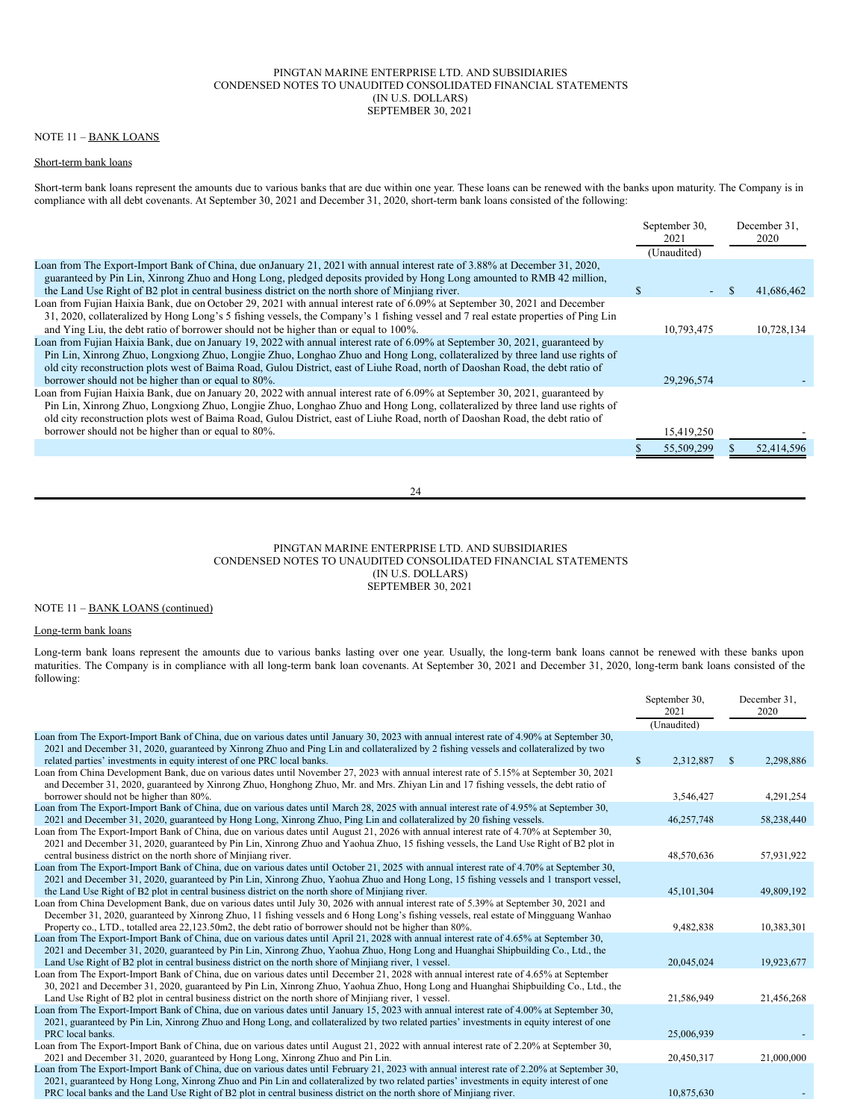### PINGTAN MARINE ENTERPRISE LTD. AND SUBSIDIARIES CONDENSED NOTES TO UNAUDITED CONSOLIDATED FINANCIAL STATEMENTS (IN U.S. DOLLARS) SEPTEMBER 30, 2021

# NOTE 11 – BANK LOANS

## Short-term bank loans

Short-term bank loans represent the amounts due to various banks that are due within one year. These loans can be renewed with the banks upon maturity. The Company is in compliance with all debt covenants. At September 30, 2021 and December 31, 2020, short-term bank loans consisted of the following:

|                                                                                                                                                                                                                                                                                                                                                                                                                                                       | September 30,<br>2021<br>(Unaudited) |   | December 31,<br>2020 |
|-------------------------------------------------------------------------------------------------------------------------------------------------------------------------------------------------------------------------------------------------------------------------------------------------------------------------------------------------------------------------------------------------------------------------------------------------------|--------------------------------------|---|----------------------|
| Loan from The Export-Import Bank of China, due on January 21, 2021 with annual interest rate of 3.88% at December 31, 2020,<br>guaranteed by Pin Lin, Xinrong Zhuo and Hong Long, pledged deposits provided by Hong Long amounted to RMB 42 million,<br>the Land Use Right of B2 plot in central business district on the north shore of Minitiang river.                                                                                             |                                      | Ъ | 41,686,462           |
| Loan from Fujian Haixia Bank, due on October 29, 2021 with annual interest rate of 6.09% at September 30, 2021 and December<br>31, 2020, collateralized by Hong Long's 5 fishing vessels, the Company's 1 fishing vessel and 7 real estate properties of Ping Lin<br>and Ying Liu, the debt ratio of borrower should not be higher than or equal to 100%.                                                                                             | 10,793,475                           |   | 10,728,134           |
| Loan from Fujian Haixia Bank, due on January 19, 2022 with annual interest rate of 6.09% at September 30, 2021, guaranteed by<br>Pin Lin, Xinrong Zhuo, Longxiong Zhuo, Longjie Zhuo, Longhao Zhuo and Hong Long, collateralized by three land use rights of<br>old city reconstruction plots west of Baima Road, Gulou District, east of Liuhe Road, north of Daoshan Road, the debt ratio of<br>borrower should not be higher than or equal to 80%. | 29, 296, 574                         |   |                      |
| Loan from Fujian Haixia Bank, due on January 20, 2022 with annual interest rate of 6.09% at September 30, 2021, guaranteed by<br>Pin Lin, Xinrong Zhuo, Longxiong Zhuo, Longjie Zhuo, Longhao Zhuo and Hong Long, collateralized by three land use rights of<br>old city reconstruction plots west of Baima Road, Gulou District, east of Liuhe Road, north of Daoshan Road, the debt ratio of<br>borrower should not be higher than or equal to 80%. | 15.419.250                           |   |                      |
|                                                                                                                                                                                                                                                                                                                                                                                                                                                       | 55,509,299                           |   | 52,414,596           |

24

#### PINGTAN MARINE ENTERPRISE LTD. AND SUBSIDIARIES CONDENSED NOTES TO UNAUDITED CONSOLIDATED FINANCIAL STATEMENTS (IN U.S. DOLLARS) SEPTEMBER 30, 2021

#### NOTE 11 – BANK LOANS (continued)

## Long-term bank loans

Long-term bank loans represent the amounts due to various banks lasting over one year. Usually, the long-term bank loans cannot be renewed with these banks upon maturities. The Company is in compliance with all long-term bank loan covenants. At September 30, 2021 and December 31, 2020, long-term bank loans consisted of the following:

|                                                                                                                                                                                                                                                                                                                                                                                                                 | September 30,<br>2021<br>(Unaudited) | December 31,<br>2020 |
|-----------------------------------------------------------------------------------------------------------------------------------------------------------------------------------------------------------------------------------------------------------------------------------------------------------------------------------------------------------------------------------------------------------------|--------------------------------------|----------------------|
| Loan from The Export-Import Bank of China, due on various dates until January 30, 2023 with annual interest rate of 4.90% at September 30,<br>2021 and December 31, 2020, guaranteed by Xinrong Zhuo and Ping Lin and collateralized by 2 fishing vessels and collateralized by two<br>related parties' investments in equity interest of one PRC local banks.                                                  | \$<br>2,312,887                      | - \$<br>2,298,886    |
| Loan from China Development Bank, due on various dates until November 27, 2023 with annual interest rate of 5.15% at September 30, 2021<br>and December 31, 2020, guaranteed by Xinrong Zhuo, Honghong Zhuo, Mr. and Mrs. Zhiyan Lin and 17 fishing vessels, the debt ratio of<br>borrower should not be higher than 80%.                                                                                       | 3,546,427                            | 4,291,254            |
| Loan from The Export-Import Bank of China, due on various dates until March 28, 2025 with annual interest rate of 4.95% at September 30,<br>2021 and December 31, 2020, guaranteed by Hong Long, Xinrong Zhuo, Ping Lin and collateralized by 20 fishing vessels.                                                                                                                                               | 46,257,748                           | 58,238,440           |
| Loan from The Export-Import Bank of China, due on various dates until August 21, 2026 with annual interest rate of 4.70% at September 30,<br>2021 and December 31, 2020, guaranteed by Pin Lin, Xinrong Zhuo and Yaohua Zhuo, 15 fishing vessels, the Land Use Right of B2 plot in<br>central business district on the north shore of Minjiang river.                                                           | 48,570,636                           | 57,931,922           |
| Loan from The Export-Import Bank of China, due on various dates until October 21, 2025 with annual interest rate of 4.70% at September 30,<br>2021 and December 31, 2020, guaranteed by Pin Lin, Xinrong Zhuo, Yaohua Zhuo and Hong Long, 15 fishing vessels and 1 transport vessel,<br>the Land Use Right of B2 plot in central business district on the north shore of Minjiang river.                        | 45,101,304                           | 49,809,192           |
| Loan from China Development Bank, due on various dates until July 30, 2026 with annual interest rate of 5.39% at September 30, 2021 and<br>December 31, 2020, guaranteed by Xinrong Zhuo, 11 fishing vessels and 6 Hong Long's fishing vessels, real estate of Mingguang Wanhao<br>Property co., LTD., totalled area 22,123.50m2, the debt ratio of borrower should not be higher than 80%.                     | 9,482,838                            | 10,383,301           |
| Loan from The Export-Import Bank of China, due on various dates until April 21, 2028 with annual interest rate of 4.65% at September 30,<br>2021 and December 31, 2020, guaranteed by Pin Lin, Xinrong Zhuo, Yaohua Zhuo, Hong Long and Huanghai Shipbuilding Co., Ltd., the<br>Land Use Right of B2 plot in central business district on the north shore of Minjiang river, 1 vessel.                          | 20,045,024                           | 19,923,677           |
| Loan from The Export-Import Bank of China, due on various dates until December 21, 2028 with annual interest rate of 4.65% at September<br>30, 2021 and December 31, 2020, guaranteed by Pin Lin, Xinrong Zhuo, Yaohua Zhuo, Hong Long and Huanghai Shipbuilding Co., Ltd., the<br>Land Use Right of B2 plot in central business district on the north shore of Minjiang river, 1 vessel.                       | 21,586,949                           | 21,456,268           |
| Loan from The Export-Import Bank of China, due on various dates until January 15, 2023 with annual interest rate of 4.00% at September 30,<br>2021, guaranteed by Pin Lin, Xinrong Zhuo and Hong Long, and collateralized by two related parties' investments in equity interest of one<br>PRC local banks.                                                                                                     | 25,006,939                           |                      |
| Loan from The Export-Import Bank of China, due on various dates until August 21, 2022 with annual interest rate of 2.20% at September 30,<br>2021 and December 31, 2020, guaranteed by Hong Long, Xinrong Zhuo and Pin Lin.                                                                                                                                                                                     | 20,450,317                           | 21,000,000           |
| Loan from The Export-Import Bank of China, due on various dates until February 21, 2023 with annual interest rate of 2.20% at September 30,<br>2021, guaranteed by Hong Long, Xinrong Zhuo and Pin Lin and collateralized by two related parties' investments in equity interest of one<br>PRC local banks and the Land Use Right of B2 plot in central business district on the north shore of Minjiang river. | 10.875.630                           |                      |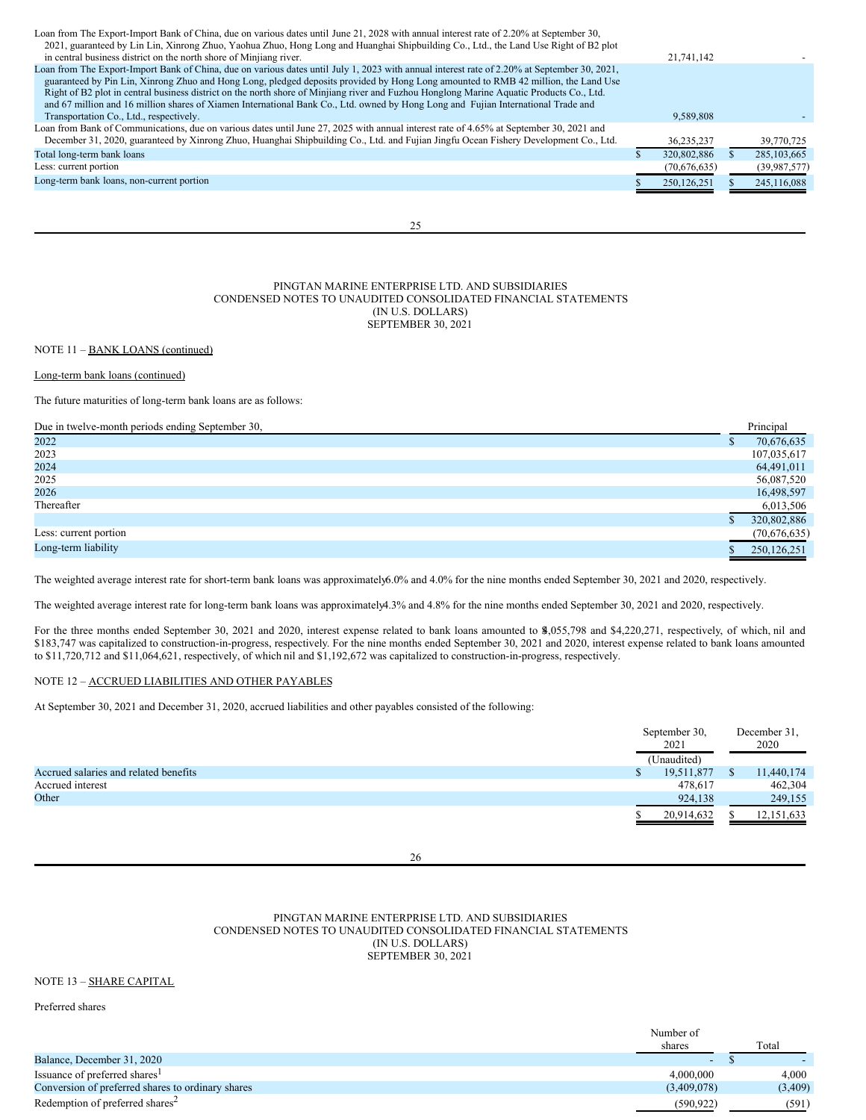| Loan from The Export-Import Bank of China, due on various dates until June 21, 2028 with annual interest rate of 2.20% at September 30,<br>2021, guaranteed by Lin Lin, Xinrong Zhuo, Yaohua Zhuo, Hong Long and Huanghai Shipbuilding Co., Ltd., the Land Use Right of B2 plot<br>in central business district on the north shore of Minjiang river.                                                                                                                                                                                                               | 21.741.142    |                |
|---------------------------------------------------------------------------------------------------------------------------------------------------------------------------------------------------------------------------------------------------------------------------------------------------------------------------------------------------------------------------------------------------------------------------------------------------------------------------------------------------------------------------------------------------------------------|---------------|----------------|
| Loan from The Export-Import Bank of China, due on various dates until July 1, 2023 with annual interest rate of 2.20% at September 30, 2021,<br>guaranteed by Pin Lin, Xinrong Zhuo and Hong Long, pledged deposits provided by Hong Long amounted to RMB 42 million, the Land Use<br>Right of B2 plot in central business district on the north shore of Minjiang river and Fuzhou Honglong Marine Aquatic Products Co., Ltd.<br>and 67 million and 16 million shares of Xiamen International Bank Co., Ltd. owned by Hong Long and Fujian International Trade and |               |                |
| Transportation Co., Ltd., respectively.                                                                                                                                                                                                                                                                                                                                                                                                                                                                                                                             | 9.589.808     |                |
| Loan from Bank of Communications, due on various dates until June 27, 2025 with annual interest rate of 4.65% at September 30, 2021 and<br>December 31, 2020, guaranteed by Xinrong Zhuo, Huanghai Shipbuilding Co., Ltd. and Fujian Jingfu Ocean Fishery Development Co., Ltd.                                                                                                                                                                                                                                                                                     | 36,235,237    | 39,770,725     |
| Total long-term bank loans                                                                                                                                                                                                                                                                                                                                                                                                                                                                                                                                          | 320,802,886   | 285, 103, 665  |
| Less: current portion                                                                                                                                                                                                                                                                                                                                                                                                                                                                                                                                               | (70,676,635)  | (39, 987, 577) |
| Long-term bank loans, non-current portion                                                                                                                                                                                                                                                                                                                                                                                                                                                                                                                           | 250, 126, 251 | 245,116,088    |
|                                                                                                                                                                                                                                                                                                                                                                                                                                                                                                                                                                     |               |                |

25

#### PINGTAN MARINE ENTERPRISE LTD. AND SUBSIDIARIES CONDENSED NOTES TO UNAUDITED CONSOLIDATED FINANCIAL STATEMENTS (IN U.S. DOLLARS) SEPTEMBER 30, 2021

NOTE 11 – BANK LOANS (continued)

## Long-term bank loans (continued)

The future maturities of long-term bank loans are as follows:

| Due in twelve-month periods ending September 30, | Principal    |
|--------------------------------------------------|--------------|
| 2022                                             | 70,676,635   |
| 2023                                             | 107,035,617  |
| 2024                                             | 64,491,011   |
| 2025                                             | 56,087,520   |
| 2026                                             | 16,498,597   |
| Thereafter                                       | 6,013,506    |
|                                                  | 320,802,886  |
| Less: current portion                            | (70,676,635) |
| Long-term liability                              | 250,126,251  |

The weighted average interest rate for short-term bank loans was approximately6.0% and 4.0% for the nine months ended September 30, 2021 and 2020, respectively.

The weighted average interest rate for long-term bank loans was approximately4.3% and 4.8% for the nine months ended September 30, 2021 and 2020, respectively.

For the three months ended September 30, 2021 and 2020, interest expense related to bank loans amounted to \$,055,798 and \$4,220,271, respectively, of which, nil and \$183,747 was capitalized to construction-in-progress, respectively. For the nine months ended September 30, 2021 and 2020, interest expense related to bank loans amounted to \$11,720,712 and \$11,064,621, respectively, of which nil and \$1,192,672 was capitalized to construction-in-progress, respectively.

## NOTE 12 – ACCRUED LIABILITIES AND OTHER PAYABLES

At September 30, 2021 and December 31, 2020, accrued liabilities and other payables consisted of the following:

|                                       | September 30,<br>2021 | December 31,<br>2020 |
|---------------------------------------|-----------------------|----------------------|
|                                       | (Unaudited)           |                      |
| Accrued salaries and related benefits | 19,511,877            | 11,440,174           |
| Accrued interest                      | 478,617               | 462,304              |
| Other                                 | 924,138               | 249,155              |
|                                       | 20,914,632            | 12, 151, 633         |

26

### PINGTAN MARINE ENTERPRISE LTD. AND SUBSIDIARIES CONDENSED NOTES TO UNAUDITED CONSOLIDATED FINANCIAL STATEMENTS (IN U.S. DOLLARS) SEPTEMBER 30, 2021

### NOTE 13 – SHARE CAPITAL

Preferred shares

|                                                   | Number of   |         |
|---------------------------------------------------|-------------|---------|
|                                                   | shares      | Total   |
| Balance, December 31, 2020                        | $\sim$      |         |
| Issuance of preferred shares <sup>1</sup>         | 4,000,000   | 4.000   |
| Conversion of preferred shares to ordinary shares | (3,409,078) | (3,409) |
| Redemption of preferred shares <sup>2</sup>       | (590.922)   | (591)   |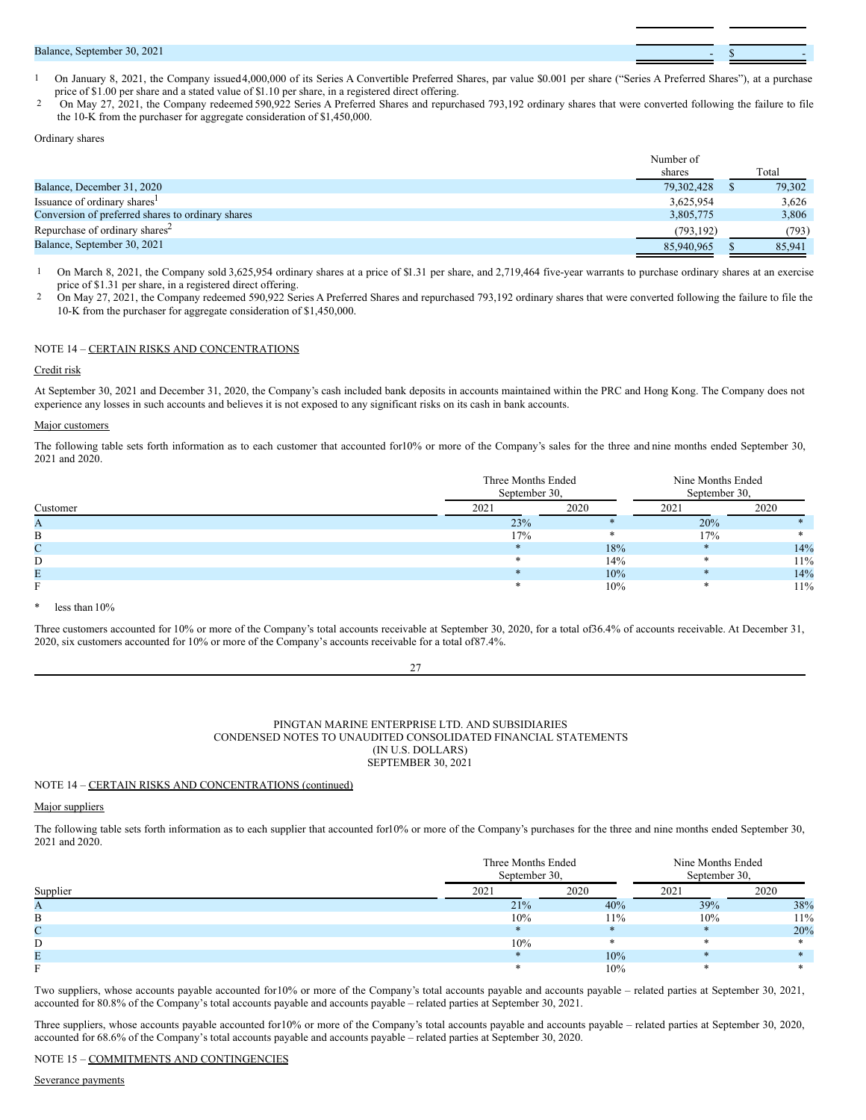#### Balance, September 30, 2021

- 1 On January 8, 2021, the Company issued4,000,000 of its Series A Convertible Preferred Shares, par value \$0.001 per share ("Series A Preferred Shares"), at a purchase price of \$1.00 per share and a stated value of \$1.10 per share, in a registered direct offering.
- <sup>2</sup> On May 27, 2021, the Company redeemed 590,922 Series A Preferred Shares and repurchased 793,192 ordinary shares that were converted following the failure to file the 10-K from the purchaser for aggregate consideration of \$1,450,000.

Ordinary shares

|                                                   | Number of  |        |
|---------------------------------------------------|------------|--------|
|                                                   | shares     | Total  |
| Balance, December 31, 2020                        | 79,302,428 | 79,302 |
| Issuance of ordinary shares <sup>1</sup>          | 3.625.954  | 3.626  |
| Conversion of preferred shares to ordinary shares | 3,805,775  | 3,806  |
| Repurchase of ordinary shares <sup>2</sup>        | (793.192)  | (793)  |
| Balance, September 30, 2021                       | 85,940,965 | 85,941 |

- 1 On March 8, 2021, the Company sold 3,625,954 ordinary shares at a price of \$1.31 per share, and 2,719,464 five-year warrants to purchase ordinary shares at an exercise price of \$1.31 per share, in a registered direct offering.
- 2 On May 27, 2021, the Company redeemed 590,922 Series A Preferred Shares and repurchased 793,192 ordinary shares that were converted following the failure to file the 10-K from the purchaser for aggregate consideration of \$1,450,000.

## NOTE 14 – CERTAIN RISKS AND CONCENTRATIONS

#### Credit risk

At September 30, 2021 and December 31, 2020, the Company's cash included bank deposits in accounts maintained within the PRC and Hong Kong. The Company does not experience any losses in such accounts and believes it is not exposed to any significant risks on its cash in bank accounts.

### Major customers

The following table sets forth information as to each customer that accounted for10% or more of the Company's sales for the three and nine months ended September 30, 2021 and 2020.

|                 | Three Months Ended<br>September 30, | Nine Months Ended<br>September 30, |        |        |
|-----------------|-------------------------------------|------------------------------------|--------|--------|
| Customer        | 2021                                | 2020                               | 2021   | 2020   |
| A               | 23%                                 |                                    | 20%    |        |
| B               | 17%                                 |                                    | 17%    |        |
| $\sqrt{ }$<br>◡ |                                     | 18%                                | $\ast$ | 14%    |
| D               |                                     | 14%                                |        | 11%    |
| Е               |                                     | 10%                                |        | 14%    |
|                 |                                     | 10%                                |        | $11\%$ |

#### less than  $10%$

Three customers accounted for 10% or more of the Company's total accounts receivable at September 30, 2020, for a total of36.4% of accounts receivable. At December 31, 2020, six customers accounted for 10% or more of the Company's accounts receivable for a total of87.4%.

27

#### PINGTAN MARINE ENTERPRISE LTD. AND SUBSIDIARIES CONDENSED NOTES TO UNAUDITED CONSOLIDATED FINANCIAL STATEMENTS (IN U.S. DOLLARS) SEPTEMBER 30, 2021

## NOTE 14 – CERTAIN RISKS AND CONCENTRATIONS (continued)

Major suppliers

The following table sets forth information as to each supplier that accounted for10% or more of the Company's purchases for the three and nine months ended September 30, 2021 and 2020.

|                 | Three Months Ended<br>September 30, | Nine Months Ended<br>September 30, |      |        |
|-----------------|-------------------------------------|------------------------------------|------|--------|
| Supplier        | 2021                                | 2020                               | 2021 | 2020   |
| A               | 21%                                 | 40%                                | 39%  | 38%    |
| В               | 10%                                 | 11%                                | 10%  | $11\%$ |
| $\sqrt{ }$<br>◡ |                                     |                                    |      | 20%    |
| D               | 10%                                 |                                    |      |        |
|                 |                                     | 10%                                |      |        |
|                 |                                     | 10%                                |      |        |

Two suppliers, whose accounts payable accounted for10% or more of the Company's total accounts payable and accounts payable – related parties at September 30, 2021, accounted for 80.8% of the Company's total accounts payable and accounts payable – related parties at September 30, 2021.

Three suppliers, whose accounts payable accounted for10% or more of the Company's total accounts payable and accounts payable – related parties at September 30, 2020, accounted for 68.6% of the Company's total accounts payable and accounts payable – related parties at September 30, 2020.

NOTE 15 – COMMITMENTS AND CONTINGENCIES

#### Severance payments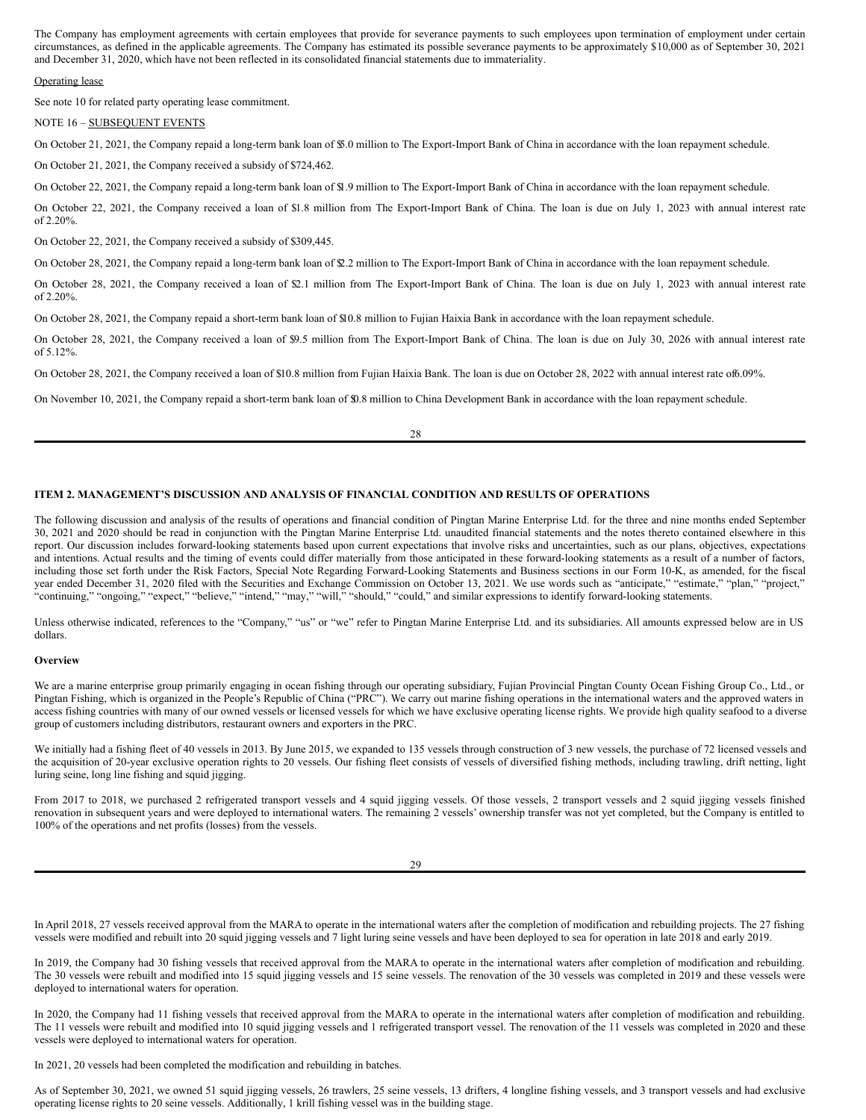The Company has employment agreements with certain employees that provide for severance payments to such employees upon termination of employment under certain circumstances, as defined in the applicable agreements. The Company has estimated its possible severance payments to be approximately \$10,000 as of September 30, 2021 and December 31, 2020, which have not been reflected in its consolidated financial statements due to immateriality.

#### Operating lease

See note 10 for related party operating lease commitment.

NOTE 16 – SUBSEQUENT EVENTS

On October 21, 2021, the Company repaid a long-term bank loan of \$5.0 million to The Export-Import Bank of China in accordance with the loan repayment schedule.

On October 21, 2021, the Company received a subsidy of \$724,462.

On October 22, 2021, the Company repaid a long-term bank loan of \$1.9 million to The Export-Import Bank of China in accordance with the loan repayment schedule.

On October 22, 2021, the Company received a loan of \$1.8 million from The Export-Import Bank of China. The loan is due on July 1, 2023 with annual interest rate of 2.20%.

On October 22, 2021, the Company received a subsidy of \$309,445.

On October 28, 2021, the Company repaid a long-term bank loan of \$2.2 million to The Export-Import Bank of China in accordance with the loan repayment schedule.

On October 28, 2021, the Company received a loan of \$2.1 million from The Export-Import Bank of China. The loan is due on July 1, 2023 with annual interest rate of 2.20%.

On October 28, 2021, the Company repaid a short-term bank loan of \$10.8 million to Fujian Haixia Bank in accordance with the loan repayment schedule.

On October 28, 2021, the Company received a loan of \$9.5 million from The Export-Import Bank of China. The loan is due on July 30, 2026 with annual interest rate of 5.12%.

On October 28, 2021, the Company received a loan of \$10.8 million from Fujian Haixia Bank. The loan is due on October 28, 2022 with annual interest rate of6.09%.

On November 10, 2021, the Company repaid a short-term bank loan of \$0.8 million to China Development Bank in accordance with the loan repayment schedule.

28

#### **ITEM 2. MANAGEMENT'S DISCUSSION AND ANALYSIS OF FINANCIAL CONDITION AND RESULTS OF OPERATIONS**

The following discussion and analysis of the results of operations and financial condition of Pingtan Marine Enterprise Ltd. for the three and nine months ended September 30, 2021 and 2020 should be read in conjunction with the Pingtan Marine Enterprise Ltd. unaudited financial statements and the notes thereto contained elsewhere in this report. Our discussion includes forward-looking statements based upon current expectations that involve risks and uncertainties, such as our plans, objectives, expectations and intentions. Actual results and the timing of events could differ materially from those anticipated in these forward-looking statements as a result of a number of factors, including those set forth under the Risk Factors, Special Note Regarding Forward-Looking Statements and Business sections in our Form 10-K, as amended, for the fiscal year ended December 31, 2020 filed with the Securities and Exchange Commission on October 13, 2021. We use words such as "anticipate," "estimate," "plan," "project," "continuing," "ongoing," "expect," "believe," "intend," "may," "will," "should," "could," and similar expressions to identify forward-looking statements.

Unless otherwise indicated, references to the "Company," "us" or "we" refer to Pingtan Marine Enterprise Ltd. and its subsidiaries. All amounts expressed below are in US dollars.

#### **Overview**

We are a marine enterprise group primarily engaging in ocean fishing through our operating subsidiary, Fujian Provincial Pingtan County Ocean Fishing Group Co., Ltd., or Pingtan Fishing, which is organized in the People's Republic of China ("PRC"). We carry out marine fishing operations in the international waters and the approved waters in access fishing countries with many of our owned vessels or licensed vessels for which we have exclusive operating license rights. We provide high quality seafood to a diverse group of customers including distributors, restaurant owners and exporters in the PRC.

We initially had a fishing fleet of 40 vessels in 2013. By June 2015, we expanded to 135 vessels through construction of 3 new vessels, the purchase of 72 licensed vessels and the acquisition of 20-year exclusive operation rights to 20 vessels. Our fishing fleet consists of vessels of diversified fishing methods, including trawling, drift netting, light luring seine, long line fishing and squid jigging.

From 2017 to 2018, we purchased 2 refrigerated transport vessels and 4 squid jigging vessels. Of those vessels, 2 transport vessels and 2 squid jigging vessels finished renovation in subsequent years and were deployed to international waters. The remaining 2 vessels' ownership transfer was not yet completed, but the Company is entitled to 100% of the operations and net profits (losses) from the vessels.

29

In April 2018, 27 vessels received approval from the MARA to operate in the international waters after the completion of modification and rebuilding projects. The 27 fishing vessels were modified and rebuilt into 20 squid jigging vessels and 7 light luring seine vessels and have been deployed to sea for operation in late 2018 and early 2019.

In 2019, the Company had 30 fishing vessels that received approval from the MARA to operate in the international waters after completion of modification and rebuilding. The 30 vessels were rebuilt and modified into 15 squid jigging vessels and 15 seine vessels. The renovation of the 30 vessels was completed in 2019 and these vessels were deployed to international waters for operation.

In 2020, the Company had 11 fishing vessels that received approval from the MARA to operate in the international waters after completion of modification and rebuilding. The 11 vessels were rebuilt and modified into 10 squid jigging vessels and 1 refrigerated transport vessel. The renovation of the 11 vessels was completed in 2020 and these vessels were deployed to international waters for operation.

In 2021, 20 vessels had been completed the modification and rebuilding in batches.

As of September 30, 2021, we owned 51 squid jigging vessels, 26 trawlers, 25 seine vessels, 13 drifters, 4 longline fishing vessels, and 3 transport vessels and had exclusive operating license rights to 20 seine vessels. Additionally, 1 krill fishing vessel was in the building stage.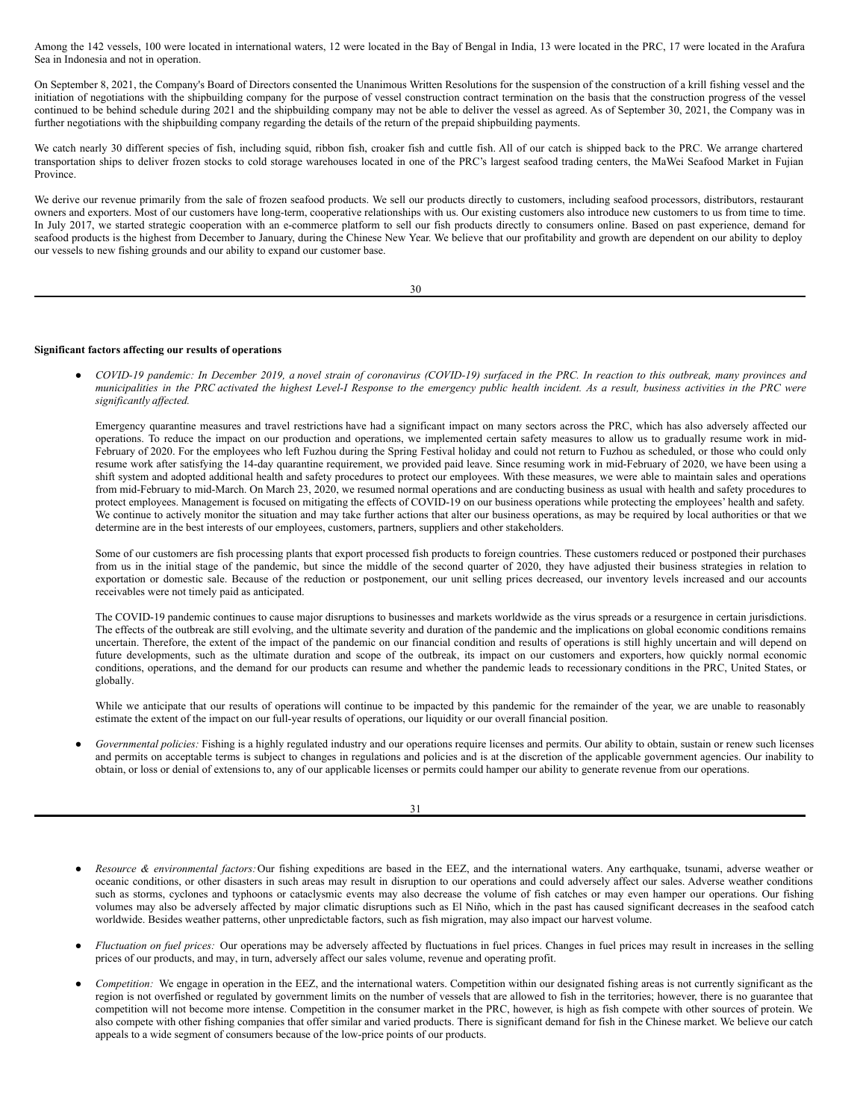Among the 142 vessels, 100 were located in international waters, 12 were located in the Bay of Bengal in India, 13 were located in the PRC, 17 were located in the Arafura Sea in Indonesia and not in operation.

On September 8, 2021, the Company's Board of Directors consented the Unanimous Written Resolutions for the suspension of the construction of a krill fishing vessel and the initiation of negotiations with the shipbuilding company for the purpose of vessel construction contract termination on the basis that the construction progress of the vessel continued to be behind schedule during 2021 and the shipbuilding company may not be able to deliver the vessel as agreed. As of September 30, 2021, the Company was in further negotiations with the shipbuilding company regarding the details of the return of the prepaid shipbuilding payments.

We catch nearly 30 different species of fish, including squid, ribbon fish, croaker fish and cuttle fish. All of our catch is shipped back to the PRC. We arrange chartered transportation ships to deliver frozen stocks to cold storage warehouses located in one of the PRC's largest seafood trading centers, the MaWei Seafood Market in Fujian Province.

We derive our revenue primarily from the sale of frozen seafood products. We sell our products directly to customers, including seafood processors, distributors, restaurant owners and exporters. Most of our customers have long-term, cooperative relationships with us. Our existing customers also introduce new customers to us from time to time. In July 2017, we started strategic cooperation with an e-commerce platform to sell our fish products directly to consumers online. Based on past experience, demand for seafood products is the highest from December to January, during the Chinese New Year. We believe that our profitability and growth are dependent on our ability to deploy our vessels to new fishing grounds and our ability to expand our customer base.

30

#### **Significant factors affecting our results of operations**

COVID-19 pandemic: In December 2019, a novel strain of coronavirus (COVID-19) surfaced in the PRC. In reaction to this outbreak, many provinces and municipalities in the PRC activated the highest Level-I Response to the emergency public health incident. As a result, business activities in the PRC were *significantly af ected.*

Emergency quarantine measures and travel restrictions have had a significant impact on many sectors across the PRC, which has also adversely affected our operations. To reduce the impact on our production and operations, we implemented certain safety measures to allow us to gradually resume work in mid-February of 2020. For the employees who left Fuzhou during the Spring Festival holiday and could not return to Fuzhou as scheduled, or those who could only resume work after satisfying the 14-day quarantine requirement, we provided paid leave. Since resuming work in mid-February of 2020, we have been using a shift system and adopted additional health and safety procedures to protect our employees. With these measures, we were able to maintain sales and operations from mid-February to mid-March. On March 23, 2020, we resumed normal operations and are conducting business as usual with health and safety procedures to protect employees. Management is focused on mitigating the effects of COVID-19 on our business operations while protecting the employees' health and safety. We continue to actively monitor the situation and may take further actions that alter our business operations, as may be required by local authorities or that we determine are in the best interests of our employees, customers, partners, suppliers and other stakeholders.

Some of our customers are fish processing plants that export processed fish products to foreign countries. These customers reduced or postponed their purchases from us in the initial stage of the pandemic, but since the middle of the second quarter of 2020, they have adjusted their business strategies in relation to exportation or domestic sale. Because of the reduction or postponement, our unit selling prices decreased, our inventory levels increased and our accounts receivables were not timely paid as anticipated.

The COVID-19 pandemic continues to cause major disruptions to businesses and markets worldwide as the virus spreads or a resurgence in certain jurisdictions. The effects of the outbreak are still evolving, and the ultimate severity and duration of the pandemic and the implications on global economic conditions remains uncertain. Therefore, the extent of the impact of the pandemic on our financial condition and results of operations is still highly uncertain and will depend on future developments, such as the ultimate duration and scope of the outbreak, its impact on our customers and exporters, how quickly normal economic conditions, operations, and the demand for our products can resume and whether the pandemic leads to recessionary conditions in the PRC, United States, or globally.

While we anticipate that our results of operations will continue to be impacted by this pandemic for the remainder of the year, we are unable to reasonably estimate the extent of the impact on our full-year results of operations, our liquidity or our overall financial position.

Governmental policies: Fishing is a highly regulated industry and our operations require licenses and permits. Our ability to obtain, sustain or renew such licenses and permits on acceptable terms is subject to changes in regulations and policies and is at the discretion of the applicable government agencies. Our inability to obtain, or loss or denial of extensions to, any of our applicable licenses or permits could hamper our ability to generate revenue from our operations.

| I |  |
|---|--|

- *Resource & environmental factors:*Our fishing expeditions are based in the EEZ, and the international waters. Any earthquake, tsunami, adverse weather or oceanic conditions, or other disasters in such areas may result in disruption to our operations and could adversely affect our sales. Adverse weather conditions such as storms, cyclones and typhoons or cataclysmic events may also decrease the volume of fish catches or may even hamper our operations. Our fishing volumes may also be adversely affected by major climatic disruptions such as El Niño, which in the past has caused significant decreases in the seafood catch worldwide. Besides weather patterns, other unpredictable factors, such as fish migration, may also impact our harvest volume.
- *Fluctuation on fuel prices:* Our operations may be adversely affected by fluctuations in fuel prices. Changes in fuel prices may result in increases in the selling prices of our products, and may, in turn, adversely affect our sales volume, revenue and operating profit.
- Competition: We engage in operation in the EEZ, and the international waters. Competition within our designated fishing areas is not currently significant as the region is not overfished or regulated by government limits on the number of vessels that are allowed to fish in the territories; however, there is no guarantee that competition will not become more intense. Competition in the consumer market in the PRC, however, is high as fish compete with other sources of protein. We also compete with other fishing companies that offer similar and varied products. There is significant demand for fish in the Chinese market. We believe our catch appeals to a wide segment of consumers because of the low-price points of our products.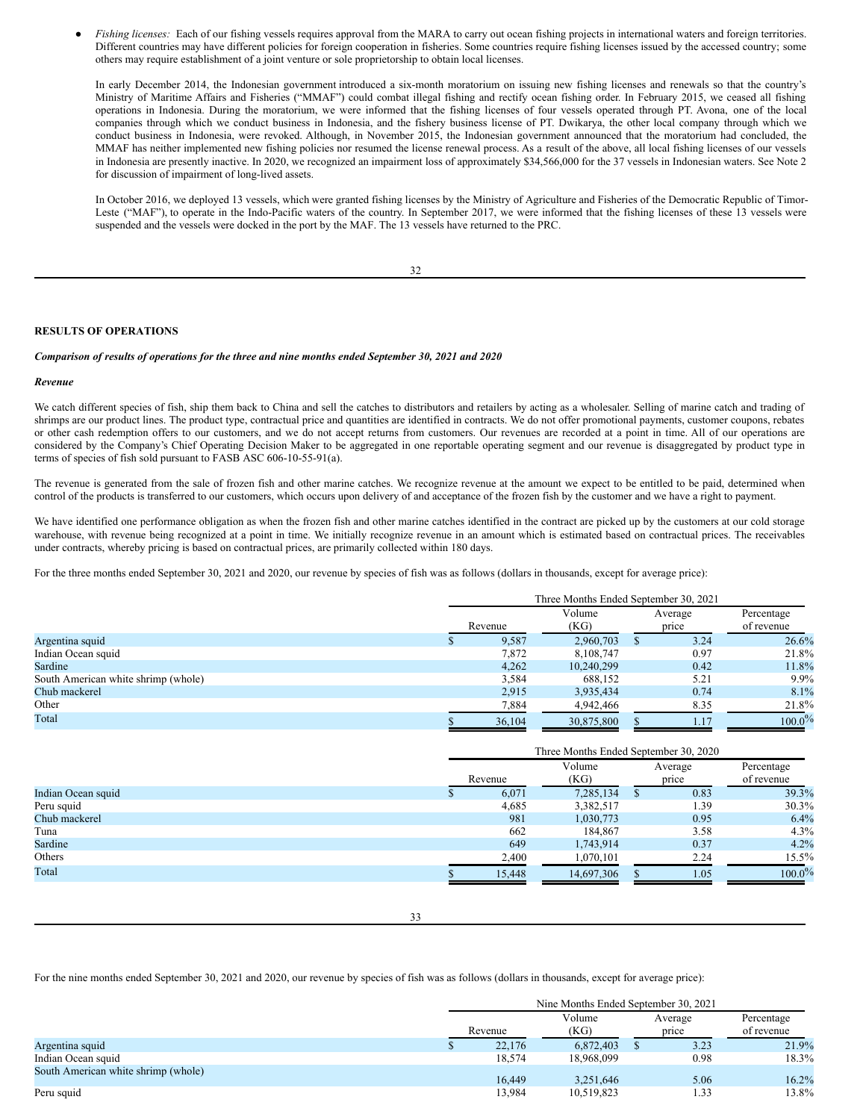*Fishing licenses:* Each of our fishing vessels requires approval from the MARA to carry out ocean fishing projects in international waters and foreign territories. Different countries may have different policies for foreign cooperation in fisheries. Some countries require fishing licenses issued by the accessed country; some others may require establishment of a joint venture or sole proprietorship to obtain local licenses.

In early December 2014, the Indonesian government introduced a six-month moratorium on issuing new fishing licenses and renewals so that the country's Ministry of Maritime Affairs and Fisheries ("MMAF") could combat illegal fishing and rectify ocean fishing order. In February 2015, we ceased all fishing operations in Indonesia. During the moratorium, we were informed that the fishing licenses of four vessels operated through PT. Avona, one of the local companies through which we conduct business in Indonesia, and the fishery business license of PT. Dwikarya, the other local company through which we conduct business in Indonesia, were revoked. Although, in November 2015, the Indonesian government announced that the moratorium had concluded, the MMAF has neither implemented new fishing policies nor resumed the license renewal process. As a result of the above, all local fishing licenses of our vessels in Indonesia are presently inactive. In 2020, we recognized an impairment loss of approximately \$34,566,000 for the 37 vessels in Indonesian waters. See Note 2 for discussion of impairment of long-lived assets.

In October 2016, we deployed 13 vessels, which were granted fishing licenses by the Ministry of Agriculture and Fisheries of the Democratic Republic of Timor-Leste ("MAF"), to operate in the Indo-Pacific waters of the country. In September 2017, we were informed that the fishing licenses of these 13 vessels were suspended and the vessels were docked in the port by the MAF. The 13 vessels have returned to the PRC.

32

## **RESULTS OF OPERATIONS**

#### *Comparison of results of operations for the three and nine months ended September 30, 2021 and 2020*

#### *Revenue*

We catch different species of fish, ship them back to China and sell the catches to distributors and retailers by acting as a wholesaler. Selling of marine catch and trading of shrimps are our product lines. The product type, contractual price and quantities are identified in contracts. We do not offer promotional payments, customer coupons, rebates or other cash redemption offers to our customers, and we do not accept returns from customers. Our revenues are recorded at a point in time. All of our operations are considered by the Company's Chief Operating Decision Maker to be aggregated in one reportable operating segment and our revenue is disaggregated by product type in terms of species of fish sold pursuant to FASB ASC 606-10-55-91(a).

The revenue is generated from the sale of frozen fish and other marine catches. We recognize revenue at the amount we expect to be entitled to be paid, determined when control of the products is transferred to our customers, which occurs upon delivery of and acceptance of the frozen fish by the customer and we have a right to payment.

We have identified one performance obligation as when the frozen fish and other marine catches identified in the contract are picked up by the customers at our cold storage warehouse, with revenue being recognized at a point in time. We initially recognize revenue in an amount which is estimated based on contractual prices. The receivables under contracts, whereby pricing is based on contractual prices, are primarily collected within 180 days.

For the three months ended September 30, 2021 and 2020, our revenue by species of fish was as follows (dollars in thousands, except for average price):

|                                     | Three Months Ended September 30, 2021 |                |  |                  |                          |  |  |
|-------------------------------------|---------------------------------------|----------------|--|------------------|--------------------------|--|--|
|                                     | Revenue                               | Volume<br>(KG) |  | Average<br>price | Percentage<br>of revenue |  |  |
| Argentina squid                     | 9,587                                 | 2,960,703      |  | 3.24             | 26.6%                    |  |  |
| Indian Ocean squid                  | 7,872                                 | 8,108,747      |  | 0.97             | 21.8%                    |  |  |
| Sardine                             | 4,262                                 | 10,240,299     |  | 0.42             | 11.8%                    |  |  |
| South American white shrimp (whole) | 3,584                                 | 688.152        |  | 5.21             | $9.9\%$                  |  |  |
| Chub mackerel                       | 2,915                                 | 3,935,434      |  | 0.74             | 8.1%                     |  |  |
| Other                               | 7,884                                 | 4,942,466      |  | 8.35             | 21.8%                    |  |  |
| Total                               | 36,104                                | 30,875,800     |  | 1.17             | $100.0\%$                |  |  |

|                    | Three Months Ended September 30, 2020 |            |  |                  |                          |  |  |  |
|--------------------|---------------------------------------|------------|--|------------------|--------------------------|--|--|--|
|                    | Volume<br>(KG)<br>Revenue             |            |  | Average<br>price | Percentage<br>of revenue |  |  |  |
| Indian Ocean squid | 6,071                                 | 7,285,134  |  | 0.83             | 39.3%                    |  |  |  |
| Peru squid         | 4,685                                 | 3,382,517  |  | 1.39             | 30.3%                    |  |  |  |
| Chub mackerel      | 981                                   | 1,030,773  |  | 0.95             | 6.4%                     |  |  |  |
| Tuna               | 662                                   | 184,867    |  | 3.58             | $4.3\%$                  |  |  |  |
| Sardine            | 649                                   | 1,743,914  |  | 0.37             | 4.2%                     |  |  |  |
| Others             | 2,400                                 | 1,070,101  |  | 2.24             | 15.5%                    |  |  |  |
| Total              | 15,448                                | 14,697,306 |  | 1.05             | $100.0\%$                |  |  |  |

33

For the nine months ended September 30, 2021 and 2020, our revenue by species of fish was as follows (dollars in thousands, except for average price):

|                                     | Nine Months Ended September 30, 2021 |            |         |       |            |  |  |
|-------------------------------------|--------------------------------------|------------|---------|-------|------------|--|--|
|                                     |                                      |            | Average |       | Percentage |  |  |
|                                     | Revenue                              | (KG)       |         | price | of revenue |  |  |
| Argentina squid                     | 22,176                               | 6,872,403  |         | 3.23  | 21.9%      |  |  |
| Indian Ocean squid                  | 18.574                               | 18,968,099 |         | 0.98  | 18.3%      |  |  |
| South American white shrimp (whole) | 16.449                               | 3,251,646  |         | 5.06  | 16.2%      |  |  |
| Peru squid                          | 13,984                               | 10,519,823 |         | 1.33  | 13.8%      |  |  |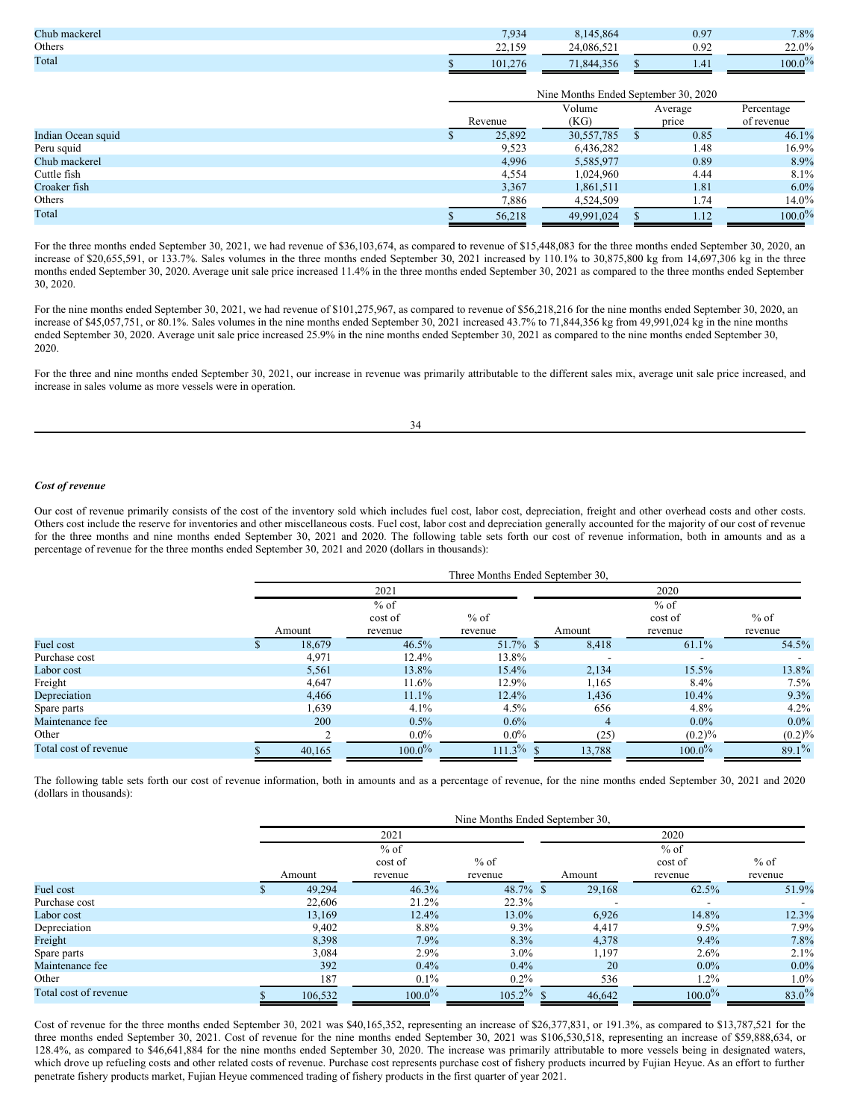| Chub mackerel | 7.934                 | 5.864              | 0.97                   | 7.8%      |
|---------------|-----------------------|--------------------|------------------------|-----------|
| Others        | 15C<br>$\sim$<br>---- | 24,086,52          | $\sim$<br>U.Y.         | 22.0%     |
| Total         | 101.276               | 4.356<br>71<br>844 | A <sub>1</sub><br>1.41 | $100.0\%$ |

|                    | Nine Months Ended September 30, 2020 |            |                  |      |                          |  |  |
|--------------------|--------------------------------------|------------|------------------|------|--------------------------|--|--|
|                    | Volume<br>(KG)<br>Revenue            |            | Average<br>price |      | Percentage<br>of revenue |  |  |
| Indian Ocean squid | 25,892                               | 30,557,785 |                  | 0.85 | 46.1%                    |  |  |
| Peru squid         | 9,523                                | 6,436,282  |                  | 1.48 | 16.9%                    |  |  |
| Chub mackerel      | 4,996                                | 5,585,977  |                  | 0.89 | 8.9%                     |  |  |
| Cuttle fish        | 4,554                                | 1,024,960  |                  | 4.44 | 8.1%                     |  |  |
| Croaker fish       | 3,367                                | 1,861,511  |                  | 1.81 | $6.0\%$                  |  |  |
| Others             | 7,886                                | 4,524,509  |                  | 1.74 | $14.0\%$                 |  |  |
| Total              | 56,218                               | 49.991.024 |                  | 1.12 | $100.0\%$                |  |  |

For the three months ended September 30, 2021, we had revenue of \$36,103,674, as compared to revenue of \$15,448,083 for the three months ended September 30, 2020, an increase of \$20,655,591, or 133.7%. Sales volumes in the three months ended September 30, 2021 increased by 110.1% to 30,875,800 kg from 14,697,306 kg in the three months ended September 30, 2020. Average unit sale price increased 11.4% in the three months ended September 30, 2021 as compared to the three months ended September 30, 2020.

For the nine months ended September 30, 2021, we had revenue of \$101,275,967, as compared to revenue of \$56,218,216 for the nine months ended September 30, 2020, an increase of \$45,057,751, or 80.1%. Sales volumes in the nine months ended September 30, 2021 increased 43.7% to 71,844,356 kg from 49,991,024 kg in the nine months ended September 30, 2020. Average unit sale price increased 25.9% in the nine months ended September 30, 2021 as compared to the nine months ended September 30, 2020.

For the three and nine months ended September 30, 2021, our increase in revenue was primarily attributable to the different sales mix, average unit sale price increased, and increase in sales volume as more vessels were in operation.

|              | I |
|--------------|---|
| ۰,           | ٠ |
| I<br>,<br>۰. |   |

## *Cost of revenue*

Our cost of revenue primarily consists of the cost of the inventory sold which includes fuel cost, labor cost, depreciation, freight and other overhead costs and other costs. Others cost include the reserve for inventories and other miscellaneous costs. Fuel cost, labor cost and depreciation generally accounted for the majority of our cost of revenue for the three months and nine months ended September 30, 2021 and 2020. The following table sets forth our cost of revenue information, both in amounts and as a percentage of revenue for the three months ended September 30, 2021 and 2020 (dollars in thousands):

|                       | Three Months Ended September 30, |           |              |        |           |          |  |  |  |  |  |
|-----------------------|----------------------------------|-----------|--------------|--------|-----------|----------|--|--|--|--|--|
|                       |                                  | 2021      |              | 2020   |           |          |  |  |  |  |  |
|                       |                                  | $%$ of    |              |        | $%$ of    |          |  |  |  |  |  |
|                       |                                  | cost of   | $%$ of       |        | cost of   | $%$ of   |  |  |  |  |  |
|                       | Amount                           | revenue   | revenue      | Amount | revenue   | revenue  |  |  |  |  |  |
| Fuel cost             | 18,679                           | 46.5%     | $51.7\%$ \$  | 8,418  | 61.1%     | 54.5%    |  |  |  |  |  |
| Purchase cost         | 4,971                            | 12.4%     | 13.8%        |        |           |          |  |  |  |  |  |
| Labor cost            | 5,561                            | 13.8%     | $15.4\%$     | 2,134  | 15.5%     | 13.8%    |  |  |  |  |  |
| Freight               | 4,647                            | 11.6%     | 12.9%        | 1,165  | 8.4%      | 7.5%     |  |  |  |  |  |
| Depreciation          | 4.466                            | 11.1%     | 12.4%        | 1,436  | $10.4\%$  | 9.3%     |  |  |  |  |  |
| Spare parts           | 1,639                            | 4.1%      | 4.5%         | 656    | 4.8%      | $4.2\%$  |  |  |  |  |  |
| Maintenance fee       | 200                              | $0.5\%$   | $0.6\%$      | 4      | $0.0\%$   | $0.0\%$  |  |  |  |  |  |
| Other                 |                                  | $0.0\%$   | $0.0\%$      | (25)   | $(0.2)\%$ | (0.2)%   |  |  |  |  |  |
| Total cost of revenue | 40.165                           | $100.0\%$ | $111.3\%$ \$ | 13.788 | $100.0\%$ | $89.1\%$ |  |  |  |  |  |

The following table sets forth our cost of revenue information, both in amounts and as a percentage of revenue, for the nine months ended September 30, 2021 and 2020 (dollars in thousands):

|                       | Nine Months Ended September 30, |           |             |  |                          |           |          |  |  |  |  |
|-----------------------|---------------------------------|-----------|-------------|--|--------------------------|-----------|----------|--|--|--|--|
|                       |                                 | 2021      |             |  |                          | 2020      |          |  |  |  |  |
|                       |                                 | $%$ of    |             |  |                          | $%$ of    |          |  |  |  |  |
|                       |                                 | cost of   | $%$ of      |  |                          | cost of   | $%$ of   |  |  |  |  |
|                       | Amount                          | revenue   | revenue     |  | Amount                   | revenue   | revenue  |  |  |  |  |
| Fuel cost             | 49.294                          | 46.3%     | $48.7\%$ \$ |  | 29.168                   | 62.5%     | 51.9%    |  |  |  |  |
| Purchase cost         | 22,606                          | 21.2%     | 22.3%       |  | $\overline{\phantom{0}}$ |           |          |  |  |  |  |
| Labor cost            | 13.169                          | 12.4%     | 13.0%       |  | 6,926                    | 14.8%     | 12.3%    |  |  |  |  |
| Depreciation          | 9,402                           | 8.8%      | $9.3\%$     |  | 4,417                    | 9.5%      | 7.9%     |  |  |  |  |
| Freight               | 8,398                           | 7.9%      | 8.3%        |  | 4,378                    | $9.4\%$   | 7.8%     |  |  |  |  |
| Spare parts           | 3,084                           | 2.9%      | $3.0\%$     |  | 1,197                    | 2.6%      | 2.1%     |  |  |  |  |
| Maintenance fee       | 392                             | $0.4\%$   | $0.4\%$     |  | 20                       | $0.0\%$   | $0.0\%$  |  |  |  |  |
| Other                 | 187                             | $0.1\%$   | $0.2\%$     |  | 536                      | $1.2\%$   | $1.0\%$  |  |  |  |  |
| Total cost of revenue | 106,532                         | $100.0\%$ | $105.2\%$   |  | 46,642                   | $100.0\%$ | $83.0\%$ |  |  |  |  |

Cost of revenue for the three months ended September 30, 2021 was \$40,165,352, representing an increase of \$26,377,831, or 191.3%, as compared to \$13,787,521 for the three months ended September 30, 2021. Cost of revenue for the nine months ended September 30, 2021 was \$106,530,518, representing an increase of \$59,888,634, or 128.4%, as compared to \$46,641,884 for the nine months ended September 30, 2020. The increase was primarily attributable to more vessels being in designated waters, which drove up refueling costs and other related costs of revenue. Purchase cost represents purchase cost of fishery products incurred by Fujian Heyue. As an effort to further penetrate fishery products market, Fujian Heyue commenced trading of fishery products in the first quarter of year 2021.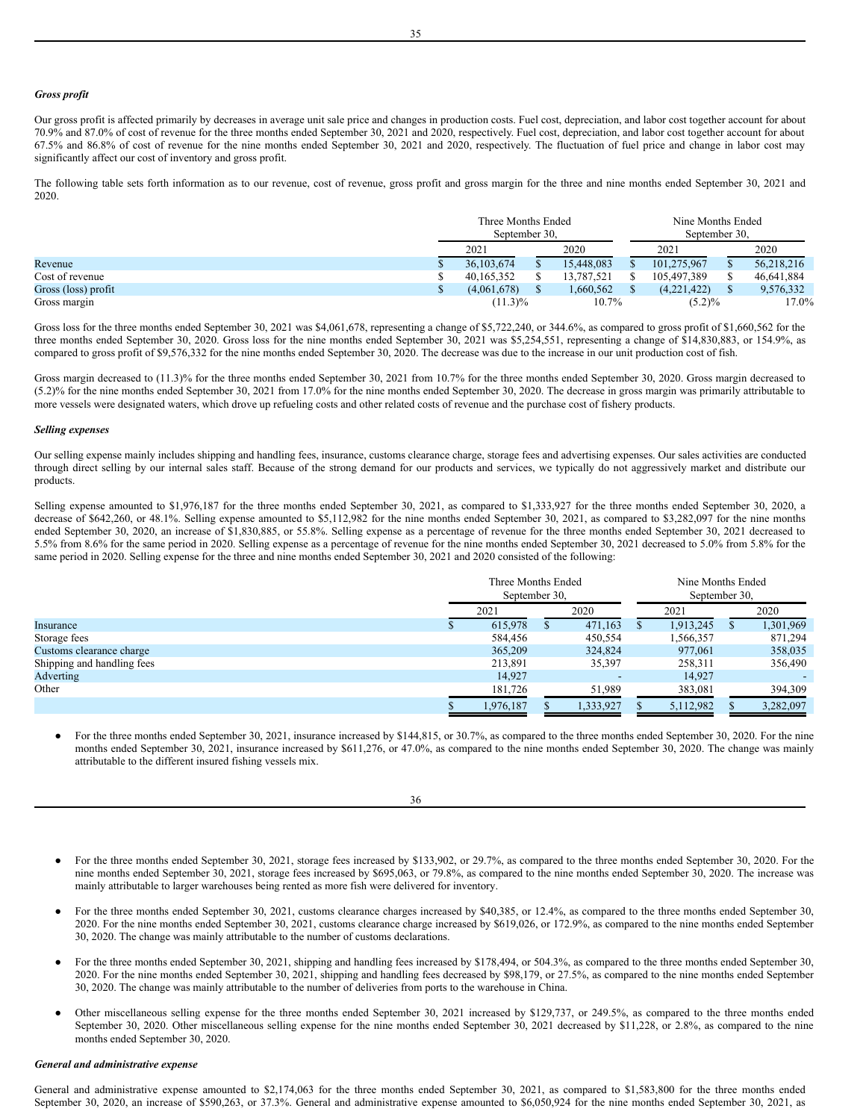#### *Gross profit*

Our gross profit is affected primarily by decreases in average unit sale price and changes in production costs. Fuel cost, depreciation, and labor cost together account for about 70.9% and 87.0% of cost of revenue for the three months ended September 30, 2021 and 2020, respectively. Fuel cost, depreciation, and labor cost together account for about 67.5% and 86.8% of cost of revenue for the nine months ended September 30, 2021 and 2020, respectively. The fluctuation of fuel price and change in labor cost may significantly affect our cost of inventory and gross profit.

The following table sets forth information as to our revenue, cost of revenue, gross profit and gross margin for the three and nine months ended September 30, 2021 and 2020.

|                     |  | Three Months Ended<br>September 30, |  |            |      | Nine Months Ended<br>September 30. |      |            |
|---------------------|--|-------------------------------------|--|------------|------|------------------------------------|------|------------|
| 2020<br>2021        |  |                                     |  |            | 2021 |                                    | 2020 |            |
| Revenue             |  | 36,103,674                          |  | 15,448,083 |      | 101.275.967                        |      | 56,218,216 |
| Cost of revenue     |  | 40.165.352                          |  | 13.787.521 |      | 105.497.389                        |      | 46,641,884 |
| Gross (loss) profit |  | (4,061,678)                         |  | .660,562   |      | (4,221,422)                        |      | 9,576,332  |
| Gross margin        |  | $(11.3)\%$                          |  | $10.7\%$   |      | $(5.2)\%$                          |      | $17.0\%$   |

Gross loss for the three months ended September 30, 2021 was \$4,061,678, representing a change of \$5,722,240, or 344.6%, as compared to gross profit of \$1,660,562 for the three months ended September 30, 2020. Gross loss for the nine months ended September 30, 2021 was \$5,254,551, representing a change of \$14,830,883, or 154.9%, as compared to gross profit of \$9,576,332 for the nine months ended September 30, 2020. The decrease was due to the increase in our unit production cost of fish.

Gross margin decreased to (11.3)% for the three months ended September 30, 2021 from 10.7% for the three months ended September 30, 2020. Gross margin decreased to (5.2)% for the nine months ended September 30, 2021 from 17.0% for the nine months ended September 30, 2020. The decrease in gross margin was primarily attributable to more vessels were designated waters, which drove up refueling costs and other related costs of revenue and the purchase cost of fishery products.

#### *Selling expenses*

Our selling expense mainly includes shipping and handling fees, insurance, customs clearance charge, storage fees and advertising expenses. Our sales activities are conducted through direct selling by our internal sales staff. Because of the strong demand for our products and services, we typically do not aggressively market and distribute our products.

Selling expense amounted to \$1,976,187 for the three months ended September 30, 2021, as compared to \$1,333,927 for the three months ended September 30, 2020, a decrease of \$642,260, or 48.1%. Selling expense amounted to \$5,112,982 for the nine months ended September 30, 2021, as compared to \$3,282,097 for the nine months ended September 30, 2020, an increase of \$1,830,885, or 55.8%. Selling expense as a percentage of revenue for the three months ended September 30, 2021 decreased to 5.5% from 8.6% for the same period in 2020. Selling expense as a percentage of revenue for the nine months ended September 30, 2021 decreased to 5.0% from 5.8% for the same period in 2020. Selling expense for the three and nine months ended September 30, 2021 and 2020 consisted of the following:

|                            | Three Months Ended<br>September 30, |  |                          |  | Nine Months Ended<br>September 30, |  |           |  |
|----------------------------|-------------------------------------|--|--------------------------|--|------------------------------------|--|-----------|--|
|                            | 2021                                |  | 2020                     |  | 2021                               |  | 2020      |  |
| Insurance                  | 615,978                             |  | 471,163                  |  | 1,913,245                          |  | 1,301,969 |  |
| Storage fees               | 584,456                             |  | 450,554                  |  | 1,566,357                          |  | 871,294   |  |
| Customs clearance charge   | 365,209                             |  | 324,824                  |  | 977,061                            |  | 358,035   |  |
| Shipping and handling fees | 213.891                             |  | 35,397                   |  | 258.311                            |  | 356,490   |  |
| Adverting                  | 14.927                              |  | $\overline{\phantom{a}}$ |  | 14.927                             |  |           |  |
| Other                      | 181,726                             |  | 51,989                   |  | 383,081                            |  | 394,309   |  |
|                            | 1,976,187                           |  | 1,333,927                |  | 5,112,982                          |  | 3,282,097 |  |

For the three months ended September 30, 2021, insurance increased by \$144,815, or 30.7%, as compared to the three months ended September 30, 2020. For the nine months ended September 30, 2021, insurance increased by \$611,276, or 47.0%, as compared to the nine months ended September 30, 2020. The change was mainly attributable to the different insured fishing vessels mix.

35

36

- For the three months ended September 30, 2021, storage fees increased by \$133,902, or 29.7%, as compared to the three months ended September 30, 2020. For the nine months ended September 30, 2021, storage fees increased by \$695,063, or 79.8%, as compared to the nine months ended September 30, 2020. The increase was mainly attributable to larger warehouses being rented as more fish were delivered for inventory.
- For the three months ended September 30, 2021, customs clearance charges increased by \$40,385, or 12.4%, as compared to the three months ended September 30, 2020. For the nine months ended September 30, 2021, customs clearance charge increased by \$619,026, or 172.9%, as compared to the nine months ended September 30, 2020. The change was mainly attributable to the number of customs declarations.
- For the three months ended September 30, 2021, shipping and handling fees increased by \$178,494, or 504.3%, as compared to the three months ended September 30, 2020. For the nine months ended September 30, 2021, shipping and handling fees decreased by \$98,179, or 27.5%, as compared to the nine months ended September 30, 2020. The change was mainly attributable to the number of deliveries from ports to the warehouse in China.
- Other miscellaneous selling expense for the three months ended September 30, 2021 increased by \$129,737, or 249.5%, as compared to the three months ended September 30, 2020. Other miscellaneous selling expense for the nine months ended September 30, 2021 decreased by \$11,228, or 2.8%, as compared to the nine months ended September 30, 2020.

### *General and administrative expense*

General and administrative expense amounted to \$2,174,063 for the three months ended September 30, 2021, as compared to \$1,583,800 for the three months ended September 30, 2020, an increase of \$590,263, or 37.3%. General and administrative expense amounted to \$6,050,924 for the nine months ended September 30, 2021, as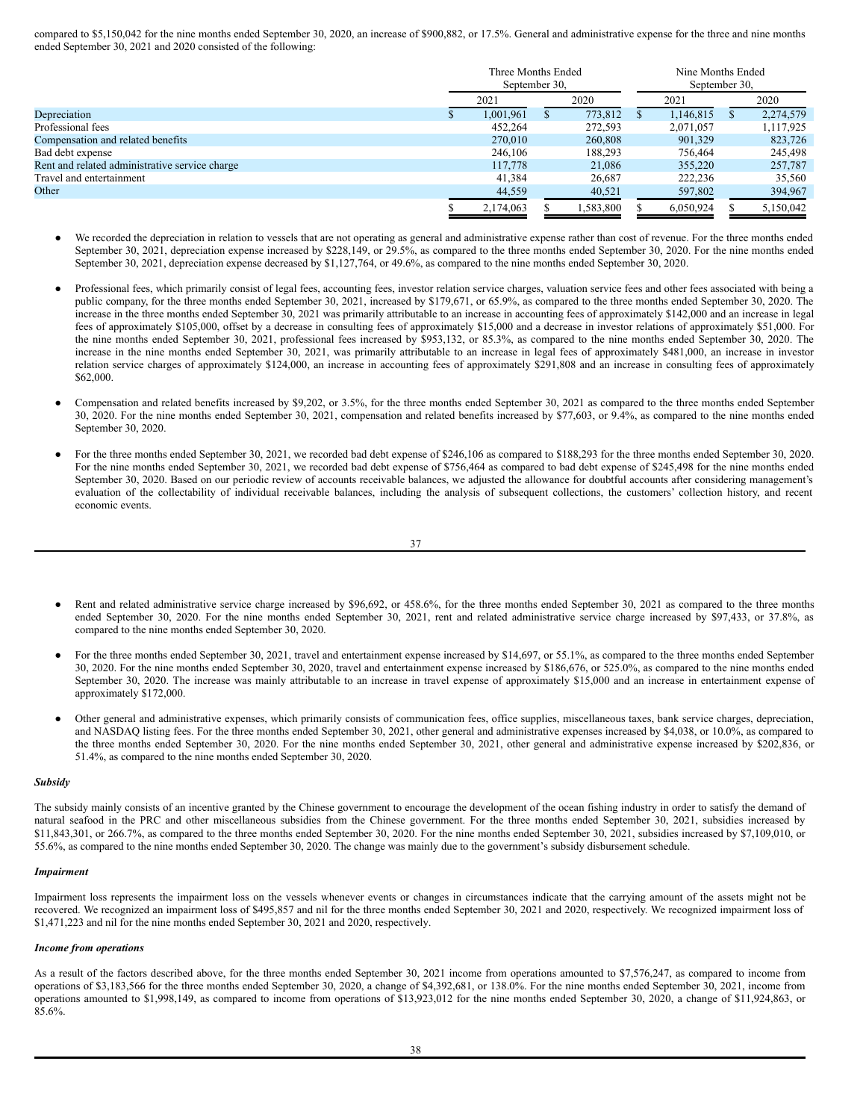compared to \$5,150,042 for the nine months ended September 30, 2020, an increase of \$900,882, or 17.5%. General and administrative expense for the three and nine months ended September 30, 2021 and 2020 consisted of the following:

|                                                | Three Months Ended<br>September 30, |    |           |  | Nine Months Ended<br>September 30, |  |           |
|------------------------------------------------|-------------------------------------|----|-----------|--|------------------------------------|--|-----------|
|                                                | 2021                                |    | 2020      |  | 2021                               |  | 2020      |
| Depreciation                                   | 1,001,961                           | S. | 773,812   |  | 1,146,815                          |  | 2,274,579 |
| Professional fees                              | 452.264                             |    | 272,593   |  | 2,071,057                          |  | 1,117,925 |
| Compensation and related benefits              | 270,010                             |    | 260,808   |  | 901.329                            |  | 823,726   |
| Bad debt expense                               | 246,106                             |    | 188,293   |  | 756,464                            |  | 245,498   |
| Rent and related administrative service charge | 117,778                             |    | 21,086    |  | 355,220                            |  | 257,787   |
| Travel and entertainment                       | 41,384                              |    | 26,687    |  | 222,236                            |  | 35,560    |
| Other                                          | 44,559                              |    | 40,521    |  | 597,802                            |  | 394,967   |
|                                                | 2,174,063                           |    | 1,583,800 |  | 6,050,924                          |  | 5,150,042 |

- We recorded the depreciation in relation to vessels that are not operating as general and administrative expense rather than cost of revenue. For the three months ended September 30, 2021, depreciation expense increased by \$228,149, or 29.5%, as compared to the three months ended September 30, 2020. For the nine months ended September 30, 2021, depreciation expense decreased by \$1,127,764, or 49.6%, as compared to the nine months ended September 30, 2020.
- Professional fees, which primarily consist of legal fees, accounting fees, investor relation service charges, valuation service fees and other fees associated with being a public company, for the three months ended September 30, 2021, increased by \$179,671, or 65.9%, as compared to the three months ended September 30, 2020. The increase in the three months ended September 30, 2021 was primarily attributable to an increase in accounting fees of approximately \$142,000 and an increase in legal fees of approximately \$105,000, offset by a decrease in consulting fees of approximately \$15,000 and a decrease in investor relations of approximately \$51,000. For the nine months ended September 30, 2021, professional fees increased by \$953,132, or 85.3%, as compared to the nine months ended September 30, 2020. The increase in the nine months ended September 30, 2021, was primarily attributable to an increase in legal fees of approximately \$481,000, an increase in investor relation service charges of approximately \$124,000, an increase in accounting fees of approximately \$291,808 and an increase in consulting fees of approximately \$62,000.
- Compensation and related benefits increased by \$9,202, or 3.5%, for the three months ended September 30, 2021 as compared to the three months ended September 30, 2020. For the nine months ended September 30, 2021, compensation and related benefits increased by \$77,603, or 9.4%, as compared to the nine months ended September 30, 2020.
- For the three months ended September 30, 2021, we recorded bad debt expense of \$246,106 as compared to \$188,293 for the three months ended September 30, 2020. For the nine months ended September 30, 2021, we recorded bad debt expense of \$756,464 as compared to bad debt expense of \$245,498 for the nine months ended September 30, 2020. Based on our periodic review of accounts receivable balances, we adjusted the allowance for doubtful accounts after considering management's evaluation of the collectability of individual receivable balances, including the analysis of subsequent collections, the customers' collection history, and recent economic events.

37

- Rent and related administrative service charge increased by \$96,692, or 458.6%, for the three months ended September 30, 2021 as compared to the three months ended September 30, 2020. For the nine months ended September 30, 2021, rent and related administrative service charge increased by \$97,433, or 37.8%, as compared to the nine months ended September 30, 2020.
- For the three months ended September 30, 2021, travel and entertainment expense increased by \$14,697, or 55.1%, as compared to the three months ended September 30, 2020. For the nine months ended September 30, 2020, travel and entertainment expense increased by \$186,676, or 525.0%, as compared to the nine months ended September 30, 2020. The increase was mainly attributable to an increase in travel expense of approximately \$15,000 and an increase in entertainment expense of approximately \$172,000.
- Other general and administrative expenses, which primarily consists of communication fees, office supplies, miscellaneous taxes, bank service charges, depreciation, and NASDAQ listing fees. For the three months ended September 30, 2021, other general and administrative expenses increased by \$4,038, or 10.0%, as compared to the three months ended September 30, 2020. For the nine months ended September 30, 2021, other general and administrative expense increased by \$202,836, or 51.4%, as compared to the nine months ended September 30, 2020.

## *Subsidy*

The subsidy mainly consists of an incentive granted by the Chinese government to encourage the development of the ocean fishing industry in order to satisfy the demand of natural seafood in the PRC and other miscellaneous subsidies from the Chinese government. For the three months ended September 30, 2021, subsidies increased by \$11,843,301, or 266.7%, as compared to the three months ended September 30, 2020. For the nine months ended September 30, 2021, subsidies increased by \$7,109,010, or 55.6%, as compared to the nine months ended September 30, 2020. The change was mainly due to the government's subsidy disbursement schedule.

## *Impairment*

Impairment loss represents the impairment loss on the vessels whenever events or changes in circumstances indicate that the carrying amount of the assets might not be recovered. We recognized an impairment loss of \$495,857 and nil for the three months ended September 30, 2021 and 2020, respectively. We recognized impairment loss of \$1,471,223 and nil for the nine months ended September 30, 2021 and 2020, respectively.

## *Income from operations*

As a result of the factors described above, for the three months ended September 30, 2021 income from operations amounted to \$7,576,247, as compared to income from operations of \$3,183,566 for the three months ended September 30, 2020, a change of \$4,392,681, or 138.0%. For the nine months ended September 30, 2021, income from operations amounted to \$1,998,149, as compared to income from operations of \$13,923,012 for the nine months ended September 30, 2020, a change of \$11,924,863, or 85.6%.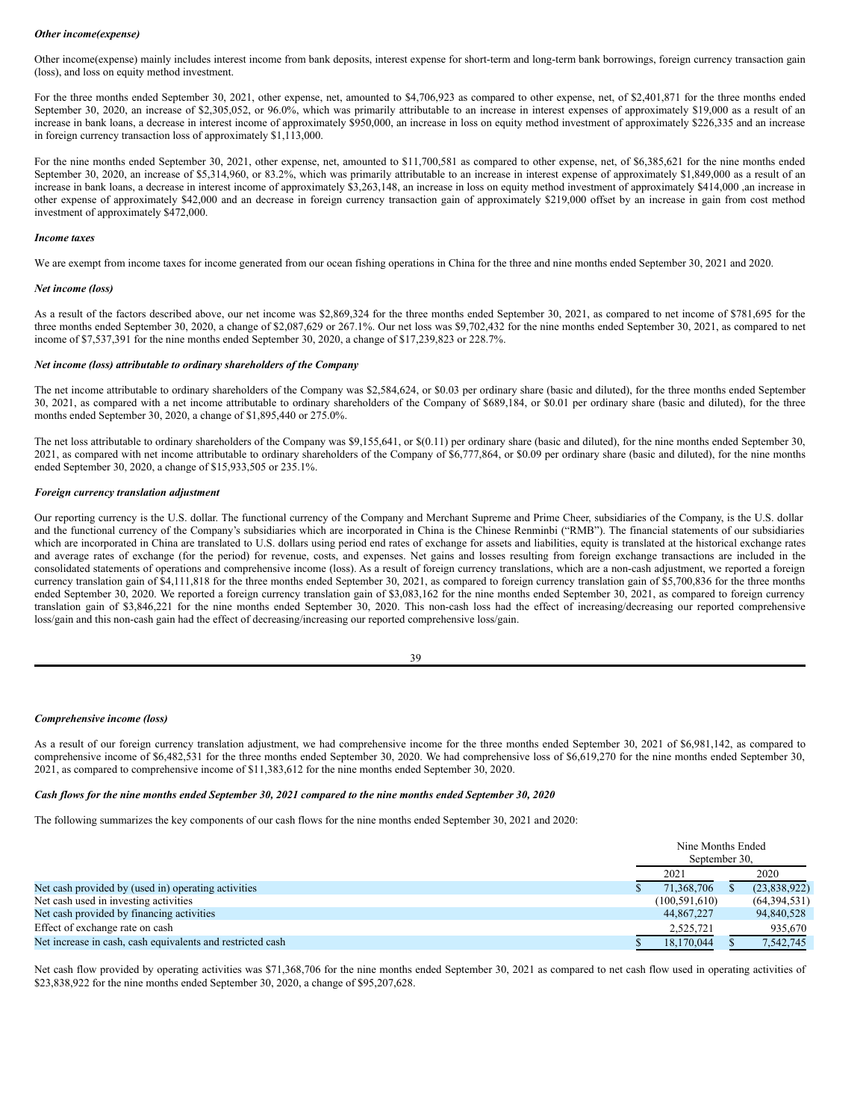#### *Other income(expense)*

Other income(expense) mainly includes interest income from bank deposits, interest expense for short-term and long-term bank borrowings, foreign currency transaction gain (loss), and loss on equity method investment.

For the three months ended September 30, 2021, other expense, net, amounted to \$4,706,923 as compared to other expense, net, of \$2,401,871 for the three months ended September 30, 2020, an increase of \$2,305,052, or 96.0%, which was primarily attributable to an increase in interest expenses of approximately \$19,000 as a result of an increase in bank loans, a decrease in interest income of approximately \$950,000, an increase in loss on equity method investment of approximately \$226,335 and an increase in foreign currency transaction loss of approximately \$1,113,000.

For the nine months ended September 30, 2021, other expense, net, amounted to \$11,700,581 as compared to other expense, net, of \$6,385,621 for the nine months ended September 30, 2020, an increase of \$5,314,960, or 83.2%, which was primarily attributable to an increase in interest expense of approximately \$1,849,000 as a result of an increase in bank loans, a decrease in interest income of approximately \$3,263,148, an increase in loss on equity method investment of approximately \$414,000 ,an increase in other expense of approximately \$42,000 and an decrease in foreign currency transaction gain of approximately \$219,000 offset by an increase in gain from cost method investment of approximately \$472,000.

#### *Income taxes*

We are exempt from income taxes for income generated from our ocean fishing operations in China for the three and nine months ended September 30, 2021 and 2020.

#### *Net income (loss)*

As a result of the factors described above, our net income was \$2,869,324 for the three months ended September 30, 2021, as compared to net income of \$781,695 for the three months ended September 30, 2020, a change of \$2,087,629 or 267.1%. Our net loss was \$9,702,432 for the nine months ended September 30, 2021, as compared to net income of \$7,537,391 for the nine months ended September 30, 2020, a change of \$17,239,823 or 228.7%.

### *Net income (loss) attributable to ordinary shareholders of the Company*

The net income attributable to ordinary shareholders of the Company was \$2,584,624, or \$0.03 per ordinary share (basic and diluted), for the three months ended September 30, 2021, as compared with a net income attributable to ordinary shareholders of the Company of \$689,184, or \$0.01 per ordinary share (basic and diluted), for the three months ended September 30, 2020, a change of \$1,895,440 or 275.0%.

The net loss attributable to ordinary shareholders of the Company was \$9,155,641, or \$(0.11) per ordinary share (basic and diluted), for the nine months ended September 30, 2021, as compared with net income attributable to ordinary shareholders of the Company of \$6,777,864, or \$0.09 per ordinary share (basic and diluted), for the nine months ended September 30, 2020, a change of \$15,933,505 or 235.1%.

#### *Foreign currency translation adjustment*

Our reporting currency is the U.S. dollar. The functional currency of the Company and Merchant Supreme and Prime Cheer, subsidiaries of the Company, is the U.S. dollar and the functional currency of the Company's subsidiaries which are incorporated in China is the Chinese Renminbi ("RMB"). The financial statements of our subsidiaries which are incorporated in China are translated to U.S. dollars using period end rates of exchange for assets and liabilities, equity is translated at the historical exchange rates and average rates of exchange (for the period) for revenue, costs, and expenses. Net gains and losses resulting from foreign exchange transactions are included in the consolidated statements of operations and comprehensive income (loss). As a result of foreign currency translations, which are a non-cash adjustment, we reported a foreign currency translation gain of \$4,111,818 for the three months ended September 30, 2021, as compared to foreign currency translation gain of \$5,700,836 for the three months ended September 30, 2020. We reported a foreign currency translation gain of \$3,083,162 for the nine months ended September 30, 2021, as compared to foreign currency translation gain of \$3,846,221 for the nine months ended September 30, 2020. This non-cash loss had the effect of increasing/decreasing our reported comprehensive loss/gain and this non-cash gain had the effect of decreasing/increasing our reported comprehensive loss/gain.

| I | ۰. |
|---|----|
| I | ۰, |

## *Comprehensive income (loss)*

As a result of our foreign currency translation adjustment, we had comprehensive income for the three months ended September 30, 2021 of \$6,981,142, as compared to comprehensive income of \$6,482,531 for the three months ended September 30, 2020. We had comprehensive loss of \$6,619,270 for the nine months ended September 30, 2021, as compared to comprehensive income of \$11,383,612 for the nine months ended September 30, 2020.

## Cash flows for the nine months ended September 30, 2021 compared to the nine months ended September 30, 2020

The following summarizes the key components of our cash flows for the nine months ended September 30, 2021 and 2020:

|                                                            | Nine Months Ended<br>September 30, |                |
|------------------------------------------------------------|------------------------------------|----------------|
|                                                            | 2021                               | 2020           |
| Net cash provided by (used in) operating activities        | 71,368,706                         | (23,838,922)   |
| Net cash used in investing activities                      | (100, 591, 610)                    | (64, 394, 531) |
| Net cash provided by financing activities                  | 44,867,227                         | 94,840,528     |
| Effect of exchange rate on cash                            | 2,525,721                          | 935,670        |
| Net increase in cash, cash equivalents and restricted cash | 18,170,044                         | 7,542,745      |

Net cash flow provided by operating activities was \$71,368,706 for the nine months ended September 30, 2021 as compared to net cash flow used in operating activities of \$23,838,922 for the nine months ended September 30, 2020, a change of \$95,207,628.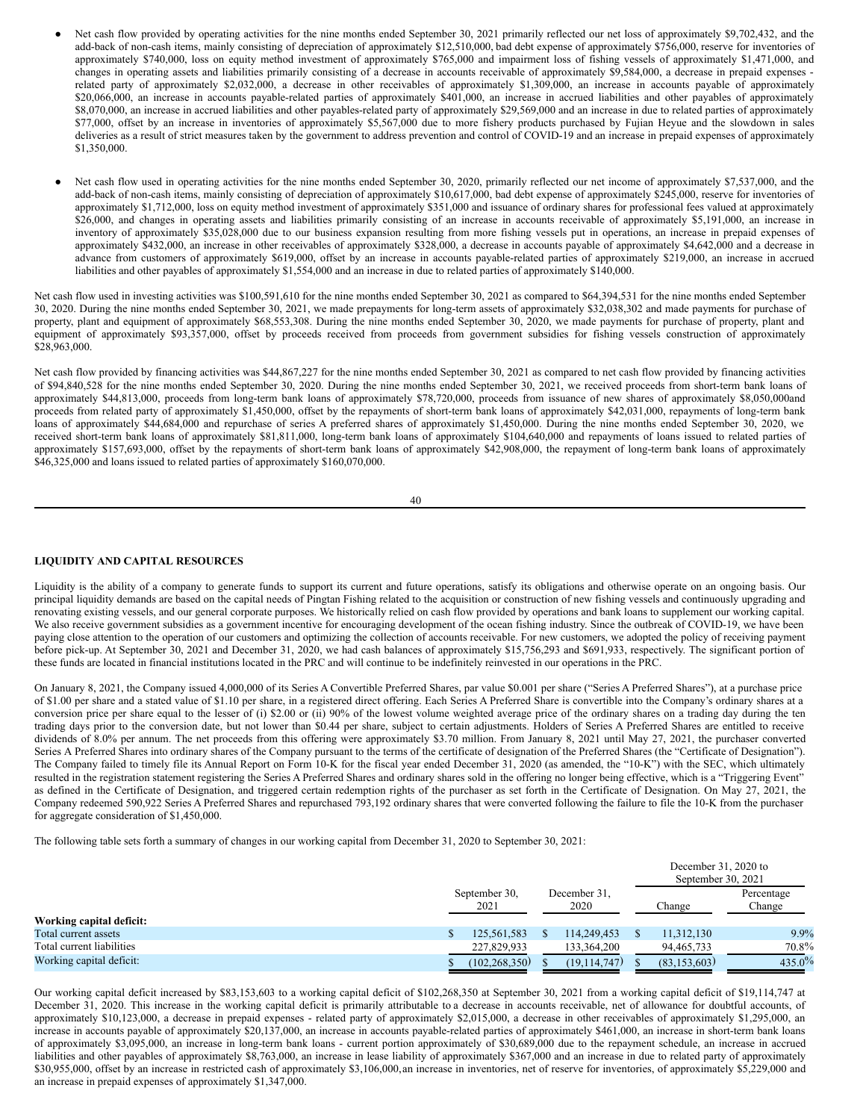- Net cash flow provided by operating activities for the nine months ended September 30, 2021 primarily reflected our net loss of approximately \$9,702,432, and the add-back of non-cash items, mainly consisting of depreciation of approximately \$12,510,000, bad debt expense of approximately \$756,000, reserve for inventories of approximately \$740,000, loss on equity method investment of approximately \$765,000 and impairment loss of fishing vessels of approximately \$1,471,000, and changes in operating assets and liabilities primarily consisting of a decrease in accounts receivable of approximately \$9,584,000, a decrease in prepaid expenses related party of approximately \$2,032,000, a decrease in other receivables of approximately \$1,309,000, an increase in accounts payable of approximately \$20,066,000, an increase in accounts payable-related parties of approximately \$401,000, an increase in accrued liabilities and other payables of approximately \$8,070,000, an increase in accrued liabilities and other payables-related party of approximately \$29,569,000 and an increase in due to related parties of approximately \$77,000, offset by an increase in inventories of approximately \$5,567,000 due to more fishery products purchased by Fujian Heyue and the slowdown in sales deliveries as a result of strict measures taken by the government to address prevention and control of COVID-19 and an increase in prepaid expenses of approximately \$1,350,000.
- Net cash flow used in operating activities for the nine months ended September 30, 2020, primarily reflected our net income of approximately \$7,537,000, and the add-back of non-cash items, mainly consisting of depreciation of approximately \$10,617,000, bad debt expense of approximately \$245,000, reserve for inventories of approximately \$1,712,000, loss on equity method investment of approximately \$351,000 and issuance of ordinary shares for professional fees valued at approximately \$26,000, and changes in operating assets and liabilities primarily consisting of an increase in accounts receivable of approximately \$5,191,000, an increase in inventory of approximately \$35,028,000 due to our business expansion resulting from more fishing vessels put in operations, an increase in prepaid expenses of approximately \$432,000, an increase in other receivables of approximately \$328,000, a decrease in accounts payable of approximately \$4,642,000 and a decrease in advance from customers of approximately \$619,000, offset by an increase in accounts payable-related parties of approximately \$219,000, an increase in accrued liabilities and other payables of approximately \$1,554,000 and an increase in due to related parties of approximately \$140,000.

Net cash flow used in investing activities was \$100,591,610 for the nine months ended September 30, 2021 as compared to \$64,394,531 for the nine months ended September 30, 2020. During the nine months ended September 30, 2021, we made prepayments for long-term assets of approximately \$32,038,302 and made payments for purchase of property, plant and equipment of approximately \$68,553,308. During the nine months ended September 30, 2020, we made payments for purchase of property, plant and equipment of approximately \$93,357,000, offset by proceeds received from proceeds from government subsidies for fishing vessels construction of approximately \$28,963,000.

Net cash flow provided by financing activities was \$44,867,227 for the nine months ended September 30, 2021 as compared to net cash flow provided by financing activities of \$94,840,528 for the nine months ended September 30, 2020. During the nine months ended September 30, 2021, we received proceeds from short-term bank loans of approximately \$44,813,000, proceeds from long-term bank loans of approximately \$78,720,000, proceeds from issuance of new shares of approximately \$8,050,000and proceeds from related party of approximately \$1,450,000, offset by the repayments of short-term bank loans of approximately \$42,031,000, repayments of long-term bank loans of approximately \$44,684,000 and repurchase of series A preferred shares of approximately \$1,450,000. During the nine months ended September 30, 2020, we received short-term bank loans of approximately \$81,811,000, long-term bank loans of approximately \$104,640,000 and repayments of loans issued to related parties of approximately \$157,693,000, offset by the repayments of short-term bank loans of approximately \$42,908,000, the repayment of long-term bank loans of approximately \$46,325,000 and loans issued to related parties of approximately \$160,070,000.

| ٦ | I            |  |
|---|--------------|--|
|   | ٦<br>×<br>۰. |  |

## **LIQUIDITY AND CAPITAL RESOURCES**

Liquidity is the ability of a company to generate funds to support its current and future operations, satisfy its obligations and otherwise operate on an ongoing basis. Our principal liquidity demands are based on the capital needs of Pingtan Fishing related to the acquisition or construction of new fishing vessels and continuously upgrading and renovating existing vessels, and our general corporate purposes. We historically relied on cash flow provided by operations and bank loans to supplement our working capital. We also receive government subsidies as a government incentive for encouraging development of the ocean fishing industry. Since the outbreak of COVID-19, we have been paying close attention to the operation of our customers and optimizing the collection of accounts receivable. For new customers, we adopted the policy of receiving payment before pick-up. At September 30, 2021 and December 31, 2020, we had cash balances of approximately \$15,756,293 and \$691,933, respectively. The significant portion of these funds are located in financial institutions located in the PRC and will continue to be indefinitely reinvested in our operations in the PRC.

On January 8, 2021, the Company issued 4,000,000 of its Series A Convertible Preferred Shares, par value \$0.001 per share ("Series A Preferred Shares"), at a purchase price of \$1.00 per share and a stated value of \$1.10 per share, in a registered direct offering. Each Series A Preferred Share is convertible into the Company's ordinary shares at a conversion price per share equal to the lesser of (i) \$2.00 or (ii) 90% of the lowest volume weighted average price of the ordinary shares on a trading day during the ten trading days prior to the conversion date, but not lower than \$0.44 per share, subject to certain adjustments. Holders of Series A Preferred Shares are entitled to receive dividends of 8.0% per annum. The net proceeds from this offering were approximately \$3.70 million. From January 8, 2021 until May 27, 2021, the purchaser converted Series A Preferred Shares into ordinary shares of the Company pursuant to the terms of the certificate of designation of the Preferred Shares (the "Certificate of Designation"). The Company failed to timely file its Annual Report on Form 10-K for the fiscal year ended December 31, 2020 (as amended, the "10-K") with the SEC, which ultimately resulted in the registration statement registering the Series A Preferred Shares and ordinary shares sold in the offering no longer being effective, which is a "Triggering Event" as defined in the Certificate of Designation, and triggered certain redemption rights of the purchaser as set forth in the Certificate of Designation. On May 27, 2021, the Company redeemed 590,922 Series A Preferred Shares and repurchased 793,192 ordinary shares that were converted following the failure to file the 10-K from the purchaser for aggregate consideration of \$1,450,000.

The following table sets forth a summary of changes in our working capital from December 31, 2020 to September 30, 2021:

|                           |                       |                 |                      |                |        | December $31, 2020$ to<br>September 30, 2021 |                      |
|---------------------------|-----------------------|-----------------|----------------------|----------------|--------|----------------------------------------------|----------------------|
|                           | September 30,<br>2021 |                 | December 31,<br>2020 |                | Change |                                              | Percentage<br>Change |
| Working capital deficit:  |                       |                 |                      |                |        |                                              |                      |
| Total current assets      |                       | 125,561,583     |                      | 114,249,453    |        | 11,312,130                                   | 9.9%                 |
| Total current liabilities |                       | 227,829,933     |                      | 133,364,200    |        | 94, 465, 733                                 | 70.8%                |
| Working capital deficit:  |                       | (102, 268, 350) |                      | (19, 114, 747) |        | (83, 153, 603)                               | $435.0\%$            |

Our working capital deficit increased by \$83,153,603 to a working capital deficit of \$102,268,350 at September 30, 2021 from a working capital deficit of \$19,114,747 at December 31, 2020. This increase in the working capital deficit is primarily attributable to a decrease in accounts receivable, net of allowance for doubtful accounts, of approximately \$10,123,000, a decrease in prepaid expenses - related party of approximately \$2,015,000, a decrease in other receivables of approximately \$1,295,000, an increase in accounts payable of approximately \$20,137,000, an increase in accounts payable-related parties of approximately \$461,000, an increase in short-term bank loans of approximately \$3,095,000, an increase in long-term bank loans - current portion approximately of \$30,689,000 due to the repayment schedule, an increase in accrued liabilities and other payables of approximately \$8,763,000, an increase in lease liability of approximately \$367,000 and an increase in due to related party of approximately \$30,955,000, offset by an increase in restricted cash of approximately \$3,106,000,an increase in inventories, net of reserve for inventories, of approximately \$5,229,000 and an increase in prepaid expenses of approximately \$1,347,000.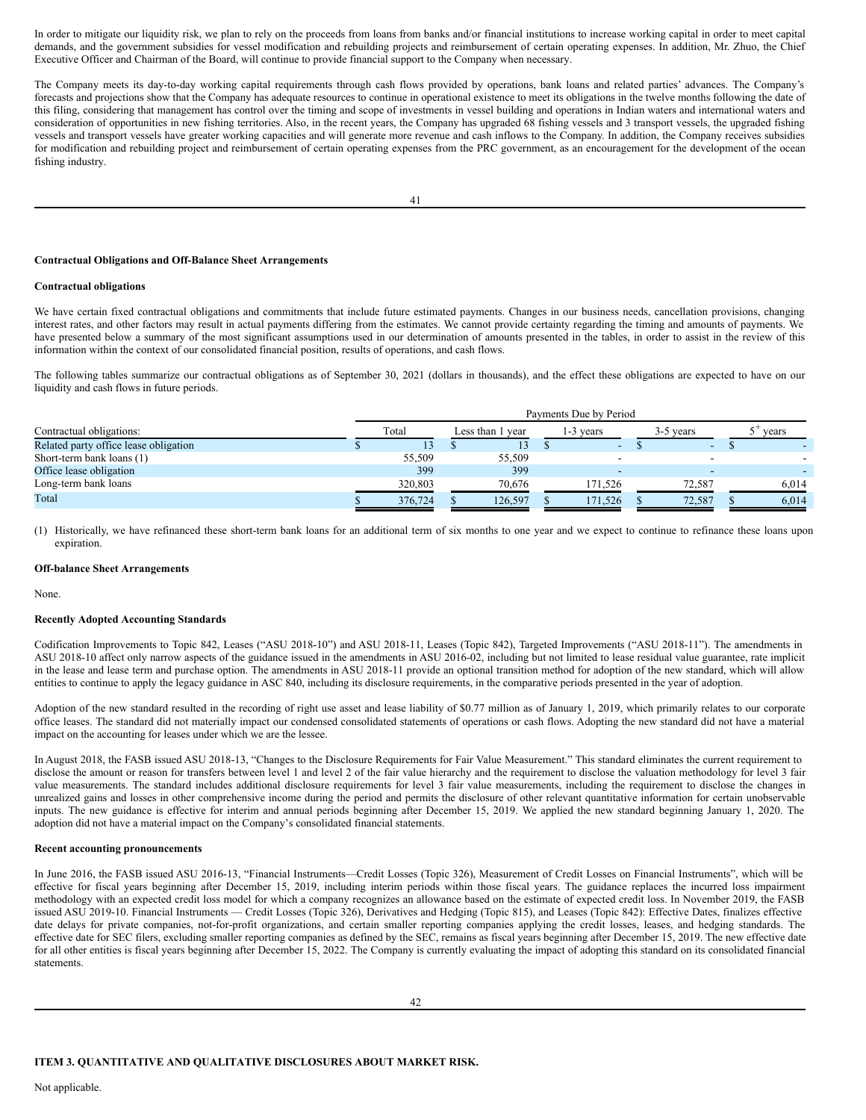In order to mitigate our liquidity risk, we plan to rely on the proceeds from loans from banks and/or financial institutions to increase working capital in order to meet capital demands, and the government subsidies for vessel modification and rebuilding projects and reimbursement of certain operating expenses. In addition, Mr. Zhuo, the Chief Executive Officer and Chairman of the Board, will continue to provide financial support to the Company when necessary.

The Company meets its day-to-day working capital requirements through cash flows provided by operations, bank loans and related parties' advances. The Company's forecasts and projections show that the Company has adequate resources to continue in operational existence to meet its obligations in the twelve months following the date of this filing, considering that management has control over the timing and scope of investments in vessel building and operations in Indian waters and international waters and consideration of opportunities in new fishing territories. Also, in the recent years, the Company has upgraded 68 fishing vessels and 3 transport vessels, the upgraded fishing vessels and transport vessels have greater working capacities and will generate more revenue and cash inflows to the Company. In addition, the Company receives subsidies for modification and rebuilding project and reimbursement of certain operating expenses from the PRC government, as an encouragement for the development of the ocean fishing industry.

#### **Contractual Obligations and Off-Balance Sheet Arrangements**

#### **Contractual obligations**

We have certain fixed contractual obligations and commitments that include future estimated payments. Changes in our business needs, cancellation provisions, changing interest rates, and other factors may result in actual payments differing from the estimates. We cannot provide certainty regarding the timing and amounts of payments. We have presented below a summary of the most significant assumptions used in our determination of amounts presented in the tables, in order to assist in the review of this information within the context of our consolidated financial position, results of operations, and cash flows.

The following tables summarize our contractual obligations as of September 30, 2021 (dollars in thousands), and the effect these obligations are expected to have on our liquidity and cash flows in future periods.

| Contractual obligations:              |  | Payments Due by Period |                  |         |               |                          |             |                          |       |       |  |  |
|---------------------------------------|--|------------------------|------------------|---------|---------------|--------------------------|-------------|--------------------------|-------|-------|--|--|
|                                       |  | Total                  | Less than 1 vear |         | l -3<br>vears |                          | $3-5$ vears |                          | years |       |  |  |
| Related party office lease obligation |  | 13                     |                  |         |               | $\overline{\phantom{0}}$ |             | $\overline{\phantom{0}}$ |       |       |  |  |
| Short-term bank loans (1)             |  | 55,509                 |                  | 55.509  |               |                          |             |                          |       |       |  |  |
| Office lease obligation               |  | 399                    |                  | 399     |               | $\overline{\phantom{0}}$ |             |                          |       |       |  |  |
| Long-term bank loans                  |  | 320,803                |                  | 70.676  |               | 171.526                  |             | 72.587                   |       | 6.014 |  |  |
| Total                                 |  | 376,724                |                  | 126,597 |               | 171,526                  |             | 72,587                   |       | 6,014 |  |  |

(1) Historically, we have refinanced these short-term bank loans for an additional term of six months to one year and we expect to continue to refinance these loans upon expiration.

#### **Off-balance Sheet Arrangements**

None.

## **Recently Adopted Accounting Standards**

Codification Improvements to Topic 842, Leases ("ASU 2018-10") and ASU 2018-11, Leases (Topic 842), Targeted Improvements ("ASU 2018-11"). The amendments in ASU 2018-10 affect only narrow aspects of the guidance issued in the amendments in ASU 2016-02, including but not limited to lease residual value guarantee, rate implicit in the lease and lease term and purchase option. The amendments in ASU 2018-11 provide an optional transition method for adoption of the new standard, which will allow entities to continue to apply the legacy guidance in ASC 840, including its disclosure requirements, in the comparative periods presented in the year of adoption.

Adoption of the new standard resulted in the recording of right use asset and lease liability of \$0.77 million as of January 1, 2019, which primarily relates to our corporate office leases. The standard did not materially impact our condensed consolidated statements of operations or cash flows. Adopting the new standard did not have a material impact on the accounting for leases under which we are the lessee.

In August 2018, the FASB issued ASU 2018-13, "Changes to the Disclosure Requirements for Fair Value Measurement." This standard eliminates the current requirement to disclose the amount or reason for transfers between level 1 and level 2 of the fair value hierarchy and the requirement to disclose the valuation methodology for level 3 fair value measurements. The standard includes additional disclosure requirements for level 3 fair value measurements, including the requirement to disclose the changes in unrealized gains and losses in other comprehensive income during the period and permits the disclosure of other relevant quantitative information for certain unobservable inputs. The new guidance is effective for interim and annual periods beginning after December 15, 2019. We applied the new standard beginning January 1, 2020. The adoption did not have a material impact on the Company's consolidated financial statements.

#### **Recent accounting pronouncements**

In June 2016, the FASB issued ASU 2016-13, "Financial Instruments—Credit Losses (Topic 326), Measurement of Credit Losses on Financial Instruments", which will be effective for fiscal years beginning after December 15, 2019, including interim periods within those fiscal years. The guidance replaces the incurred loss impairment methodology with an expected credit loss model for which a company recognizes an allowance based on the estimate of expected credit loss. In November 2019, the FASB issued ASU 2019-10. Financial Instruments — Credit Losses (Topic 326), Derivatives and Hedging (Topic 815), and Leases (Topic 842): Effective Dates, finalizes effective date delays for private companies, not-for-profit organizations, and certain smaller reporting companies applying the credit losses, leases, and hedging standards. The effective date for SEC filers, excluding smaller reporting companies as defined by the SEC, remains as fiscal years beginning after December 15, 2019. The new effective date for all other entities is fiscal years beginning after December 15, 2022. The Company is currently evaluating the impact of adopting this standard on its consolidated financial statements.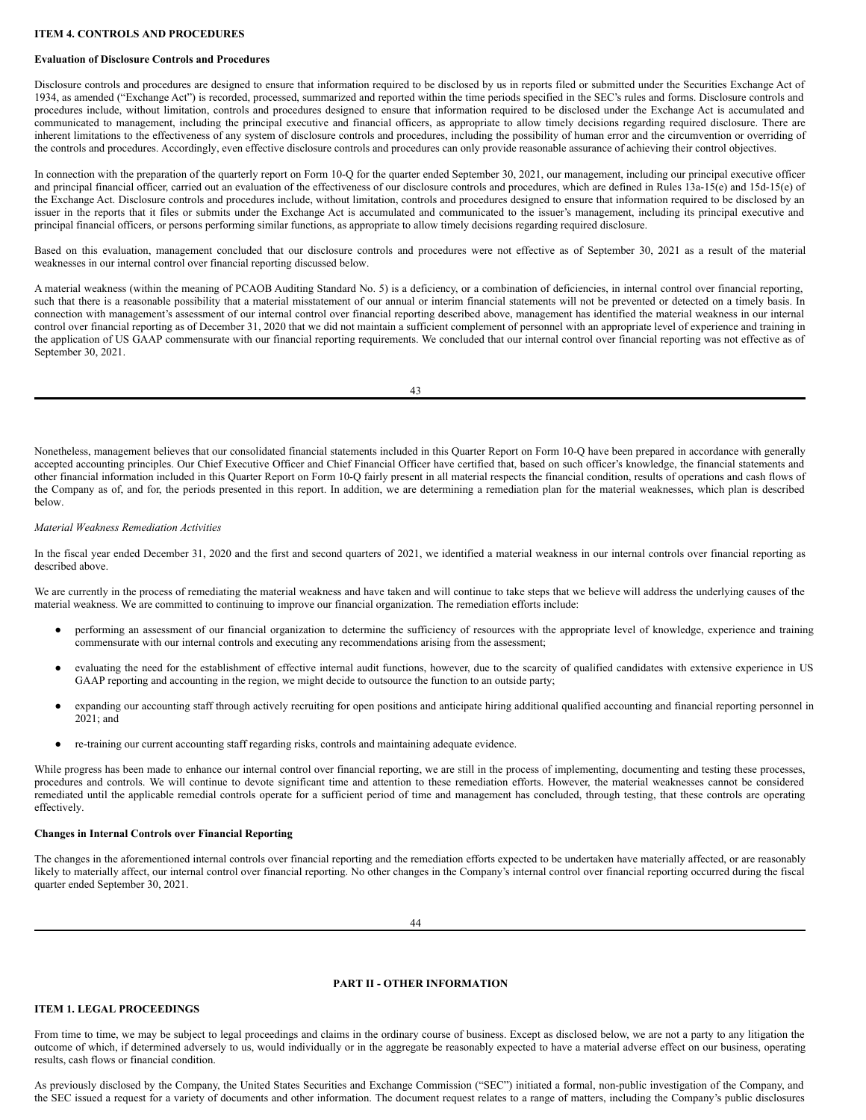#### **ITEM 4. CONTROLS AND PROCEDURES**

## **Evaluation of Disclosure Controls and Procedures**

Disclosure controls and procedures are designed to ensure that information required to be disclosed by us in reports filed or submitted under the Securities Exchange Act of 1934, as amended ("Exchange Act") is recorded, processed, summarized and reported within the time periods specified in the SEC's rules and forms. Disclosure controls and procedures include, without limitation, controls and procedures designed to ensure that information required to be disclosed under the Exchange Act is accumulated and communicated to management, including the principal executive and financial officers, as appropriate to allow timely decisions regarding required disclosure. There are inherent limitations to the effectiveness of any system of disclosure controls and procedures, including the possibility of human error and the circumvention or overriding of the controls and procedures. Accordingly, even effective disclosure controls and procedures can only provide reasonable assurance of achieving their control objectives.

In connection with the preparation of the quarterly report on Form 10-Q for the quarter ended September 30, 2021, our management, including our principal executive officer and principal financial officer, carried out an evaluation of the effectiveness of our disclosure controls and procedures, which are defined in Rules 13a-15(e) and 15d-15(e) of the Exchange Act. Disclosure controls and procedures include, without limitation, controls and procedures designed to ensure that information required to be disclosed by an issuer in the reports that it files or submits under the Exchange Act is accumulated and communicated to the issuer's management, including its principal executive and principal financial officers, or persons performing similar functions, as appropriate to allow timely decisions regarding required disclosure.

Based on this evaluation, management concluded that our disclosure controls and procedures were not effective as of September 30, 2021 as a result of the material weaknesses in our internal control over financial reporting discussed below.

A material weakness (within the meaning of PCAOB Auditing Standard No. 5) is a deficiency, or a combination of deficiencies, in internal control over financial reporting, such that there is a reasonable possibility that a material misstatement of our annual or interim financial statements will not be prevented or detected on a timely basis. In connection with management's assessment of our internal control over financial reporting described above, management has identified the material weakness in our internal control over financial reporting as of December 31, 2020 that we did not maintain a sufficient complement of personnel with an appropriate level of experience and training in the application of US GAAP commensurate with our financial reporting requirements. We concluded that our internal control over financial reporting was not effective as of September 30, 2021.

43

Nonetheless, management believes that our consolidated financial statements included in this Quarter Report on Form 10-Q have been prepared in accordance with generally accepted accounting principles. Our Chief Executive Officer and Chief Financial Officer have certified that, based on such officer's knowledge, the financial statements and other financial information included in this Quarter Report on Form 10-Q fairly present in all material respects the financial condition, results of operations and cash flows of the Company as of, and for, the periods presented in this report. In addition, we are determining a remediation plan for the material weaknesses, which plan is described below.

#### *Material Weakness Remediation Activities*

In the fiscal year ended December 31, 2020 and the first and second quarters of 2021, we identified a material weakness in our internal controls over financial reporting as described above.

We are currently in the process of remediating the material weakness and have taken and will continue to take steps that we believe will address the underlying causes of the material weakness. We are committed to continuing to improve our financial organization. The remediation efforts include:

- performing an assessment of our financial organization to determine the sufficiency of resources with the appropriate level of knowledge, experience and training commensurate with our internal controls and executing any recommendations arising from the assessment;
- evaluating the need for the establishment of effective internal audit functions, however, due to the scarcity of qualified candidates with extensive experience in US GAAP reporting and accounting in the region, we might decide to outsource the function to an outside party;
- expanding our accounting staff through actively recruiting for open positions and anticipate hiring additional qualified accounting and financial reporting personnel in 2021; and
- re-training our current accounting staff regarding risks, controls and maintaining adequate evidence.

While progress has been made to enhance our internal control over financial reporting, we are still in the process of implementing, documenting and testing these processes, procedures and controls. We will continue to devote significant time and attention to these remediation efforts. However, the material weaknesses cannot be considered remediated until the applicable remedial controls operate for a sufficient period of time and management has concluded, through testing, that these controls are operating effectively.

## **Changes in Internal Controls over Financial Reporting**

The changes in the aforementioned internal controls over financial reporting and the remediation efforts expected to be undertaken have materially affected, or are reasonably likely to materially affect, our internal control over financial reporting. No other changes in the Company's internal control over financial reporting occurred during the fiscal quarter ended September 30, 2021.

44

## **PART II - OTHER INFORMATION**

#### **ITEM 1. LEGAL PROCEEDINGS**

From time to time, we may be subject to legal proceedings and claims in the ordinary course of business. Except as disclosed below, we are not a party to any litigation the outcome of which, if determined adversely to us, would individually or in the aggregate be reasonably expected to have a material adverse effect on our business, operating results, cash flows or financial condition.

As previously disclosed by the Company, the United States Securities and Exchange Commission ("SEC") initiated a formal, non-public investigation of the Company, and the SEC issued a request for a variety of documents and other information. The document request relates to a range of matters, including the Company's public disclosures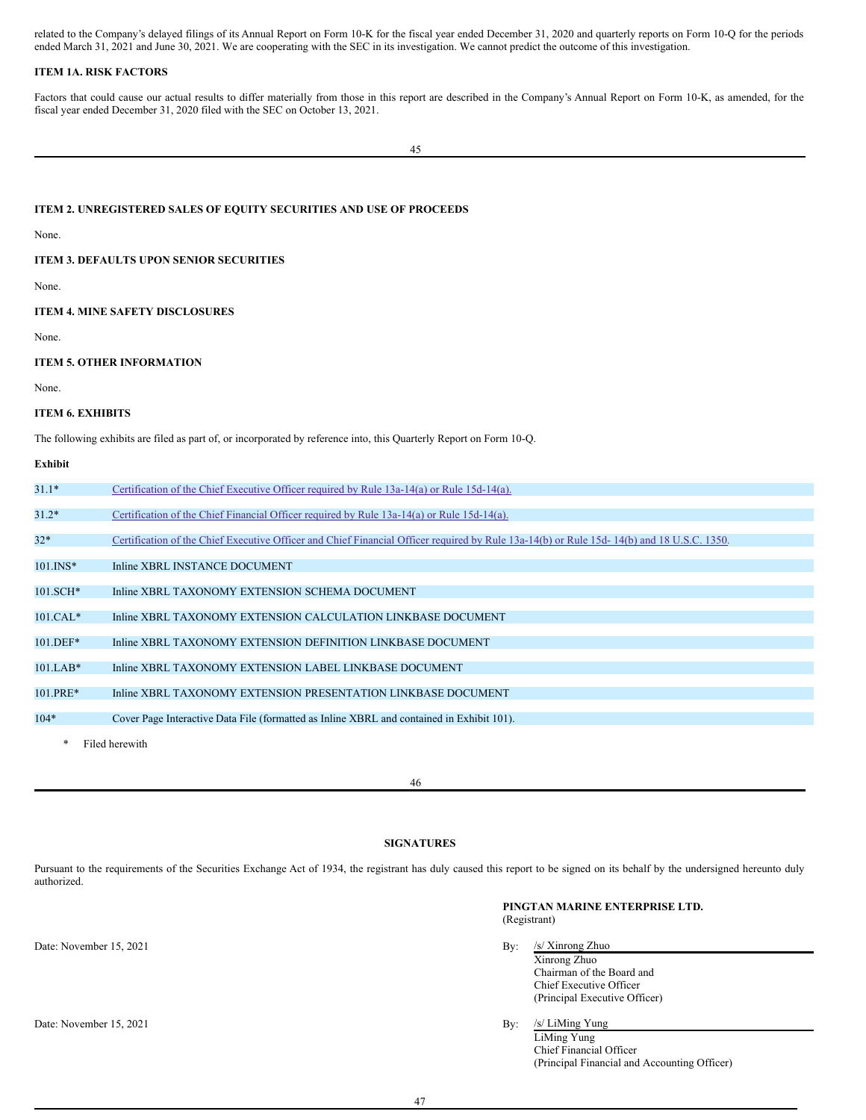related to the Company's delayed filings of its Annual Report on Form 10-K for the fiscal year ended December 31, 2020 and quarterly reports on Form 10-Q for the periods ended March 31, 2021 and June 30, 2021. We are cooperating with the SEC in its investigation. We cannot predict the outcome of this investigation.

## **ITEM 1A. RISK FACTORS**

Factors that could cause our actual results to differ materially from those in this report are described in the Company's Annual Report on Form 10-K, as amended, for the fiscal year ended December 31, 2020 filed with the SEC on October 13, 2021.

## **ITEM 2. UNREGISTERED SALES OF EQUITY SECURITIES AND USE OF PROCEEDS**

None.

#### **ITEM 3. DEFAULTS UPON SENIOR SECURITIES**

None.

## **ITEM 4. MINE SAFETY DISCLOSURES**

None.

## **ITEM 5. OTHER INFORMATION**

None.

## **ITEM 6. EXHIBITS**

The following exhibits are filed as part of, or incorporated by reference into, this Quarterly Report on Form 10-Q.

#### **Exhibit**

| $31.1*$      | Certification of the Chief Executive Officer required by Rule 13a-14(a) or Rule 15d-14(a).                                                |
|--------------|-------------------------------------------------------------------------------------------------------------------------------------------|
|              |                                                                                                                                           |
| $31.2*$      | Certification of the Chief Financial Officer required by Rule 13a-14(a) or Rule 15d-14(a).                                                |
|              |                                                                                                                                           |
| $32*$        | Certification of the Chief Executive Officer and Chief Financial Officer required by Rule 13a-14(b) or Rule 15d-14(b) and 18 U.S.C. 1350. |
|              |                                                                                                                                           |
| $101$ . INS* | Inline XBRL INSTANCE DOCUMENT                                                                                                             |
|              |                                                                                                                                           |
| $101.SCH*$   | Inline XBRL TAXONOMY EXTENSION SCHEMA DOCUMENT                                                                                            |
|              |                                                                                                                                           |
| $101.CAL*$   | Inline XBRL TAXONOMY EXTENSION CALCULATION LINKBASE DOCUMENT                                                                              |
|              |                                                                                                                                           |
| 101.DEF*     | Inline XBRL TAXONOMY EXTENSION DEFINITION LINKBASE DOCUMENT                                                                               |
|              |                                                                                                                                           |
| $101.LAB*$   | Inline XBRL TAXONOMY EXTENSION LABEL LINKBASE DOCUMENT                                                                                    |
|              |                                                                                                                                           |
| 101.PRE*     | Inline XBRL TAXONOMY EXTENSION PRESENTATION LINKBASE DOCUMENT                                                                             |
|              |                                                                                                                                           |
| $104*$       | Cover Page Interactive Data File (formatted as Inline XBRL and contained in Exhibit 101).                                                 |
|              |                                                                                                                                           |
|              | Filed herewith                                                                                                                            |

46

#### **SIGNATURES**

Pursuant to the requirements of the Securities Exchange Act of 1934, the registrant has duly caused this report to be signed on its behalf by the undersigned hereunto duly authorized.

|                         | PINGTAN MARINE ENTERPRISE LTD.<br>(Registrant)                                                                                   |
|-------------------------|----------------------------------------------------------------------------------------------------------------------------------|
| Date: November 15, 2021 | /s/ Xinrong Zhuo<br>By:<br>Xinrong Zhuo<br>Chairman of the Board and<br>Chief Executive Officer<br>(Principal Executive Officer) |
| Date: November 15, 2021 | /s/ LiMing Yung<br>$\rm\,By:$<br>LiMing Yung<br>Chief Financial Officer<br>(Principal Financial and Accounting Officer)          |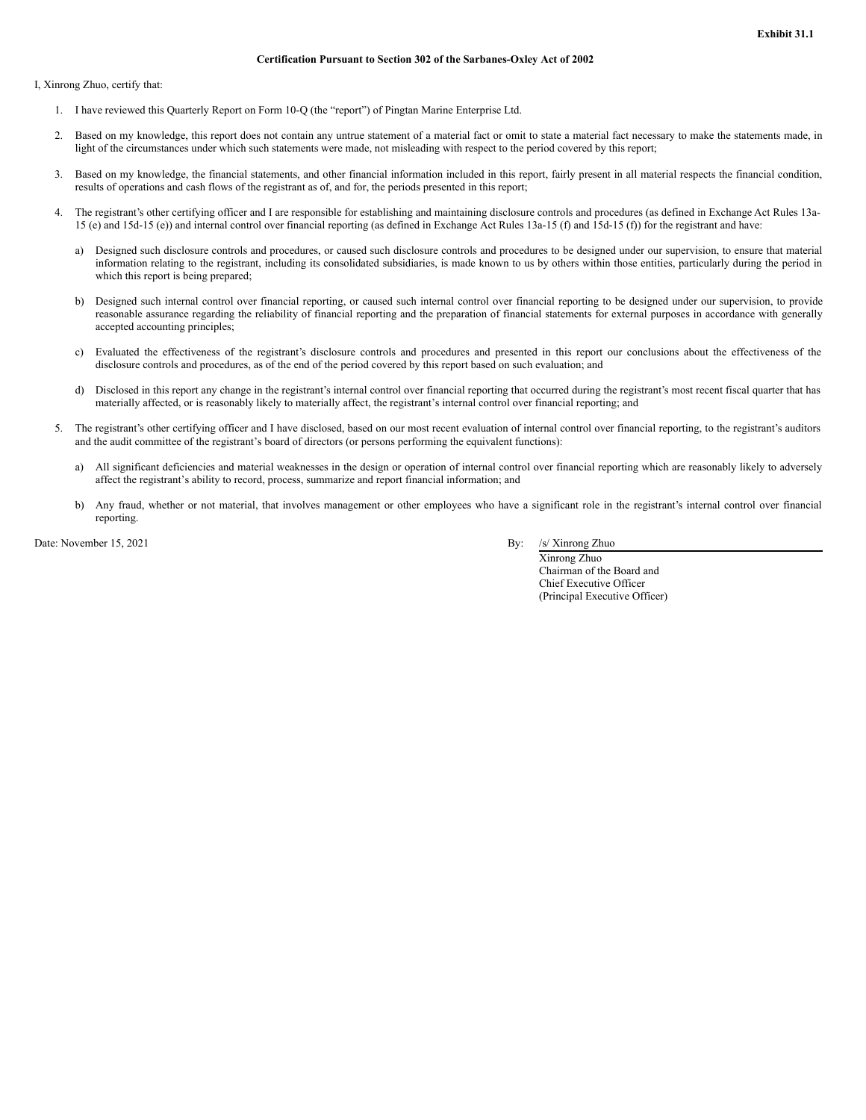## **Certification Pursuant to Section 302 of the Sarbanes-Oxley Act of 2002**

<span id="page-32-0"></span>I, Xinrong Zhuo, certify that:

- 1. I have reviewed this Quarterly Report on Form 10-Q (the "report") of Pingtan Marine Enterprise Ltd.
- 2. Based on my knowledge, this report does not contain any untrue statement of a material fact or omit to state a material fact necessary to make the statements made, in light of the circumstances under which such statements were made, not misleading with respect to the period covered by this report;
- 3. Based on my knowledge, the financial statements, and other financial information included in this report, fairly present in all material respects the financial condition, results of operations and cash flows of the registrant as of, and for, the periods presented in this report;
- 4. The registrant's other certifying officer and I are responsible for establishing and maintaining disclosure controls and procedures (as defined in Exchange Act Rules 13a-15 (e) and 15d-15 (e)) and internal control over financial reporting (as defined in Exchange Act Rules 13a-15 (f) and 15d-15 (f)) for the registrant and have:
	- a) Designed such disclosure controls and procedures, or caused such disclosure controls and procedures to be designed under our supervision, to ensure that material information relating to the registrant, including its consolidated subsidiaries, is made known to us by others within those entities, particularly during the period in which this report is being prepared;
	- b) Designed such internal control over financial reporting, or caused such internal control over financial reporting to be designed under our supervision, to provide reasonable assurance regarding the reliability of financial reporting and the preparation of financial statements for external purposes in accordance with generally accepted accounting principles;
	- c) Evaluated the effectiveness of the registrant's disclosure controls and procedures and presented in this report our conclusions about the effectiveness of the disclosure controls and procedures, as of the end of the period covered by this report based on such evaluation; and
	- d) Disclosed in this report any change in the registrant's internal control over financial reporting that occurred during the registrant's most recent fiscal quarter that has materially affected, or is reasonably likely to materially affect, the registrant's internal control over financial reporting; and
- 5. The registrant's other certifying officer and I have disclosed, based on our most recent evaluation of internal control over financial reporting, to the registrant's auditors and the audit committee of the registrant's board of directors (or persons performing the equivalent functions):
	- a) All significant deficiencies and material weaknesses in the design or operation of internal control over financial reporting which are reasonably likely to adversely affect the registrant's ability to record, process, summarize and report financial information; and
	- b) Any fraud, whether or not material, that involves management or other employees who have a significant role in the registrant's internal control over financial reporting.

Date: November 15, 2021 By: /s/ Xinrong Zhuo

Xinrong Zhuo Chairman of the Board and Chief Executive Officer (Principal Executive Officer)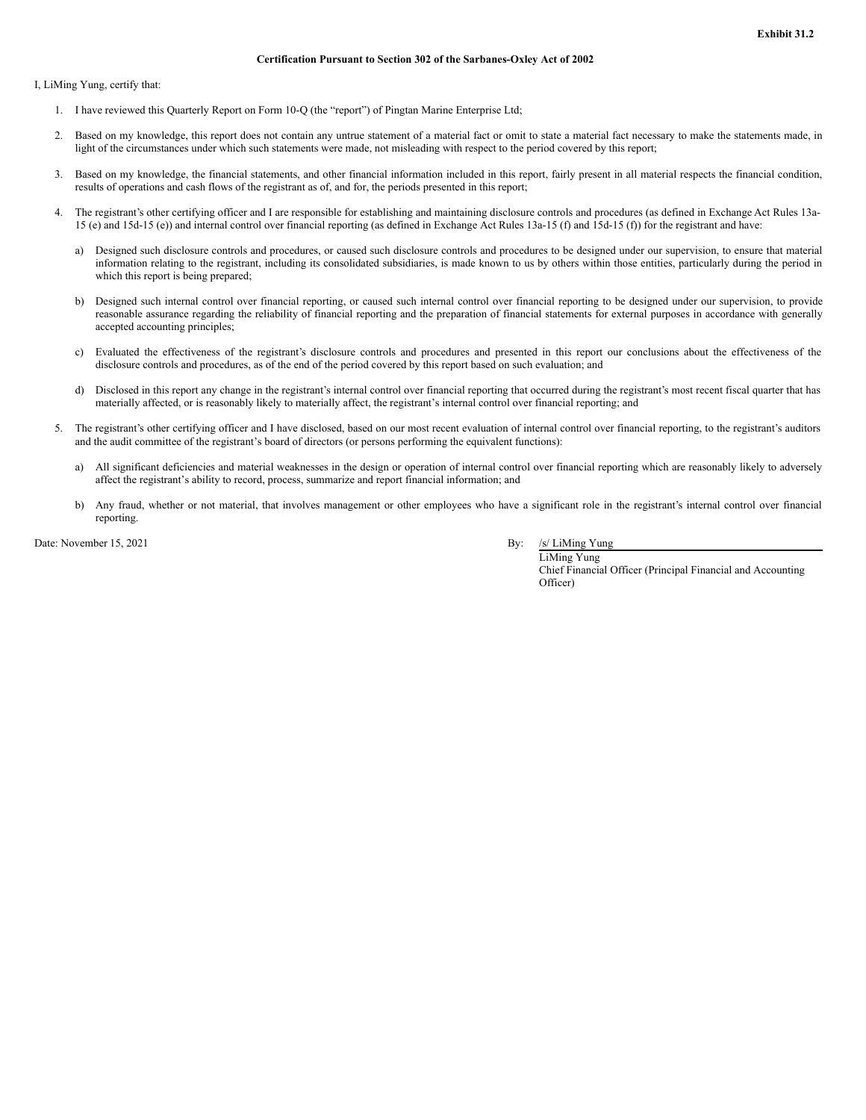## **Certification Pursuant to Section 302 of the Sarbanes-Oxley Act of 2002**

<span id="page-33-0"></span>I, LiMing Yung, certify that:

- 1. I have reviewed this Quarterly Report on Form 10-Q (the "report") of Pingtan Marine Enterprise Ltd;
- 2. Based on my knowledge, this report does not contain any untrue statement of a material fact or omit to state a material fact necessary to make the statements made, in light of the circumstances under which such statements were made, not misleading with respect to the period covered by this report;
- 3. Based on my knowledge, the financial statements, and other financial information included in this report, fairly present in all material respects the financial condition, results of operations and cash flows of the registrant as of, and for, the periods presented in this report;
- 4. The registrant's other certifying officer and I are responsible for establishing and maintaining disclosure controls and procedures (as defined in Exchange Act Rules 13a-15 (e) and 15d-15 (e)) and internal control over financial reporting (as defined in Exchange Act Rules 13a-15 (f) and 15d-15 (f)) for the registrant and have:
	- a) Designed such disclosure controls and procedures, or caused such disclosure controls and procedures to be designed under our supervision, to ensure that material information relating to the registrant, including its consolidated subsidiaries, is made known to us by others within those entities, particularly during the period in which this report is being prepared;
	- b) Designed such internal control over financial reporting, or caused such internal control over financial reporting to be designed under our supervision, to provide reasonable assurance regarding the reliability of financial reporting and the preparation of financial statements for external purposes in accordance with generally accepted accounting principles;
	- c) Evaluated the effectiveness of the registrant's disclosure controls and procedures and presented in this report our conclusions about the effectiveness of the disclosure controls and procedures, as of the end of the period covered by this report based on such evaluation; and
	- d) Disclosed in this report any change in the registrant's internal control over financial reporting that occurred during the registrant's most recent fiscal quarter that has materially affected, or is reasonably likely to materially affect, the registrant's internal control over financial reporting; and
- 5. The registrant's other certifying officer and I have disclosed, based on our most recent evaluation of internal control over financial reporting, to the registrant's auditors and the audit committee of the registrant's board of directors (or persons performing the equivalent functions):
	- a) All significant deficiencies and material weaknesses in the design or operation of internal control over financial reporting which are reasonably likely to adversely affect the registrant's ability to record, process, summarize and report financial information; and
	- b) Any fraud, whether or not material, that involves management or other employees who have a significant role in the registrant's internal control over financial reporting.

Date: November 15, 2021 By: /s/ LiMing Yung

LiMing Yung Chief Financial Officer (Principal Financial and Accounting Officer)